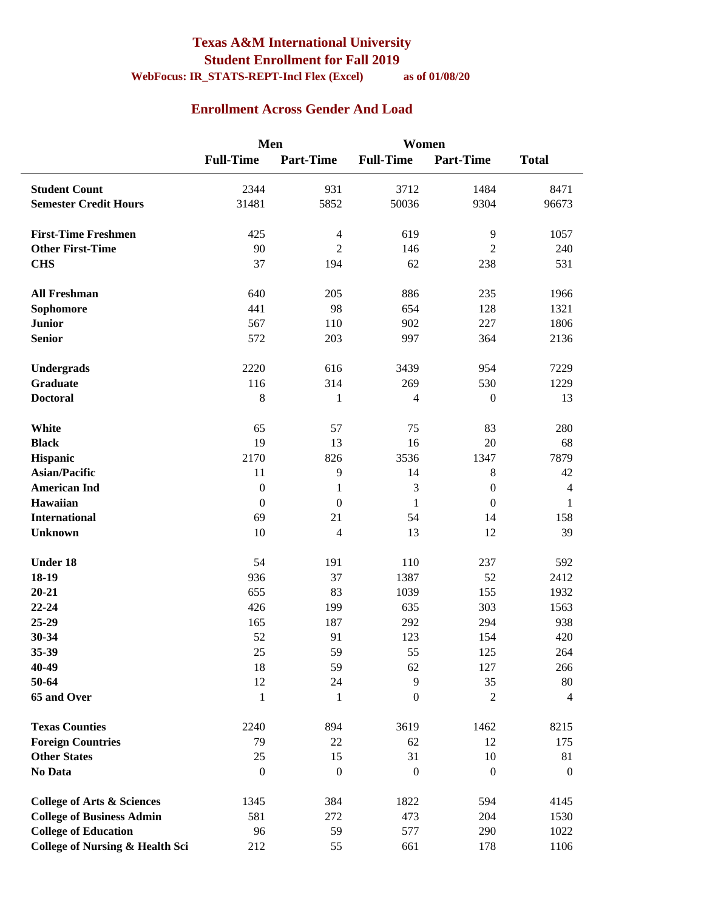#### **Texas A&M International University Student Enrollment for Fall 2019 WebFocus: IR\_STATS-REPT-Incl Flex (Excel) as of 01/08/20**

### **Enrollment Across Gender And Load**

|                                            | Men              |                  | Women            |                  |                  |
|--------------------------------------------|------------------|------------------|------------------|------------------|------------------|
|                                            | <b>Full-Time</b> | <b>Part-Time</b> | <b>Full-Time</b> | <b>Part-Time</b> | <b>Total</b>     |
| <b>Student Count</b>                       | 2344             | 931              | 3712             | 1484             | 8471             |
| <b>Semester Credit Hours</b>               | 31481            | 5852             | 50036            | 9304             | 96673            |
|                                            |                  |                  |                  |                  |                  |
| <b>First-Time Freshmen</b>                 | 425              | $\overline{4}$   | 619              | 9                | 1057             |
| <b>Other First-Time</b>                    | 90               | $\overline{2}$   | 146              | $\overline{2}$   | 240              |
| <b>CHS</b>                                 | 37               | 194              | 62               | 238              | 531              |
|                                            |                  |                  |                  |                  |                  |
| <b>All Freshman</b>                        | 640              | 205              | 886              | 235              | 1966             |
| Sophomore                                  | 441              | 98               | 654              | 128              | 1321             |
| <b>Junior</b>                              | 567              | 110              | 902              | 227              | 1806             |
| <b>Senior</b>                              | 572              | 203              | 997              | 364              | 2136             |
|                                            |                  |                  |                  |                  |                  |
| Undergrads                                 | 2220             | 616              | 3439             | 954              | 7229             |
| Graduate                                   | 116              | 314              | 269              | 530              | 1229             |
| <b>Doctoral</b>                            | $\,$ 8 $\,$      | $\mathbf{1}$     | 4                | $\boldsymbol{0}$ | 13               |
| White                                      | 65               | 57               | 75               | 83               | 280              |
| <b>Black</b>                               | 19               | 13               | 16               | 20               | 68               |
| Hispanic                                   | 2170             | 826              | 3536             | 1347             | 7879             |
| <b>Asian/Pacific</b>                       | 11               | 9                | 14               | $8\,$            | 42               |
| <b>American Ind</b>                        | $\boldsymbol{0}$ | $\mathbf{1}$     | 3                | $\boldsymbol{0}$ | $\overline{4}$   |
| Hawaiian                                   | $\boldsymbol{0}$ | $\boldsymbol{0}$ | 1                | $\mathbf{0}$     | $\mathbf{1}$     |
| <b>International</b>                       | 69               | 21               | 54               | 14               | 158              |
| <b>Unknown</b>                             | 10               | $\overline{4}$   | 13               | 12               | 39               |
|                                            |                  |                  |                  |                  |                  |
| <b>Under 18</b>                            | 54               | 191              | 110              | 237              | 592              |
| 18-19                                      | 936              | 37               | 1387             | 52               | 2412             |
| $20 - 21$                                  | 655              | 83               | 1039             | 155              | 1932             |
| 22-24                                      | 426              | 199              | 635              | 303              | 1563             |
| 25-29                                      | 165              | 187              | 292              | 294              | 938              |
| 30-34                                      | 52               | 91               | 123              | 154              | 420              |
| 35-39                                      | 25               | 59               | 55               | 125              | 264              |
| 40-49                                      | 18               | 59               | 62               | 127              | 266              |
| 50-64                                      | 12               | 24               | 9                | 35               | 80               |
| 65 and Over                                | $\mathbf{1}$     | 1                | $\mathbf{0}$     | $\overline{c}$   | $\overline{4}$   |
| <b>Texas Counties</b>                      | 2240             | 894              | 3619             | 1462             | 8215             |
| <b>Foreign Countries</b>                   | 79               | $22\,$           | 62               | 12               | 175              |
| <b>Other States</b>                        | 25               | 15               | 31               | 10               | 81               |
| No Data                                    | $\boldsymbol{0}$ | $\boldsymbol{0}$ | $\overline{0}$   | $\boldsymbol{0}$ | $\boldsymbol{0}$ |
|                                            |                  |                  |                  |                  |                  |
| <b>College of Arts &amp; Sciences</b>      | 1345             | 384              | 1822             | 594              | 4145             |
| <b>College of Business Admin</b>           | 581              | 272              | 473              | 204              | 1530             |
| <b>College of Education</b>                | 96               | 59               | 577              | 290              | 1022             |
| <b>College of Nursing &amp; Health Sci</b> | 212              | 55               | 661              | 178              | 1106             |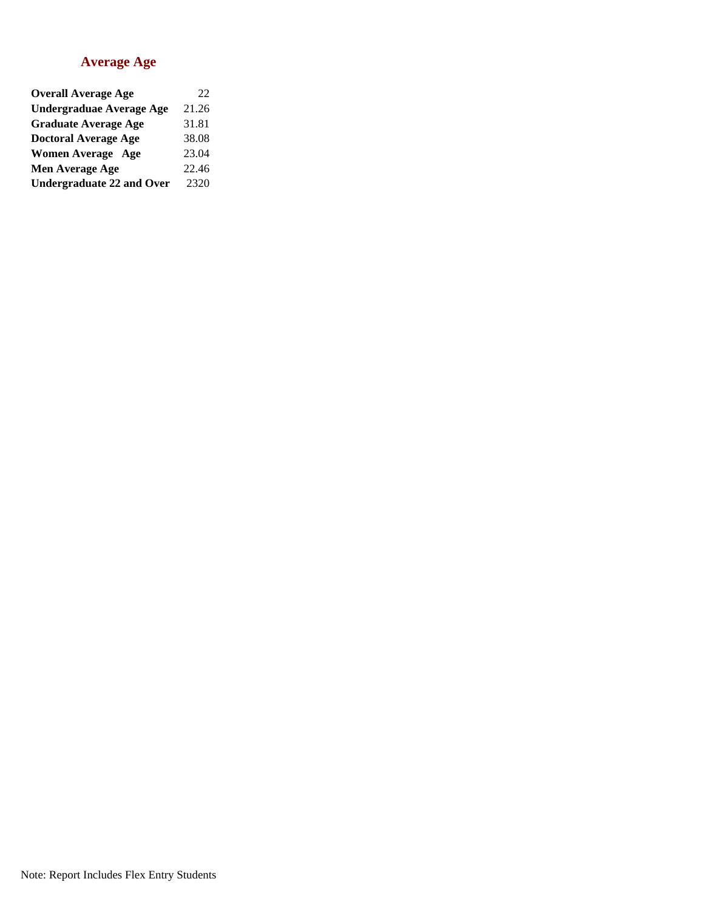#### **Average Age**

| <b>Overall Average Age</b>       | 22    |
|----------------------------------|-------|
| <b>Undergraduae Average Age</b>  | 21.26 |
| <b>Graduate Average Age</b>      | 31.81 |
| <b>Doctoral Average Age</b>      | 38.08 |
| <b>Women Average Age</b>         | 23.04 |
| Men Average Age                  | 22.46 |
| <b>Undergraduate 22 and Over</b> | 2320  |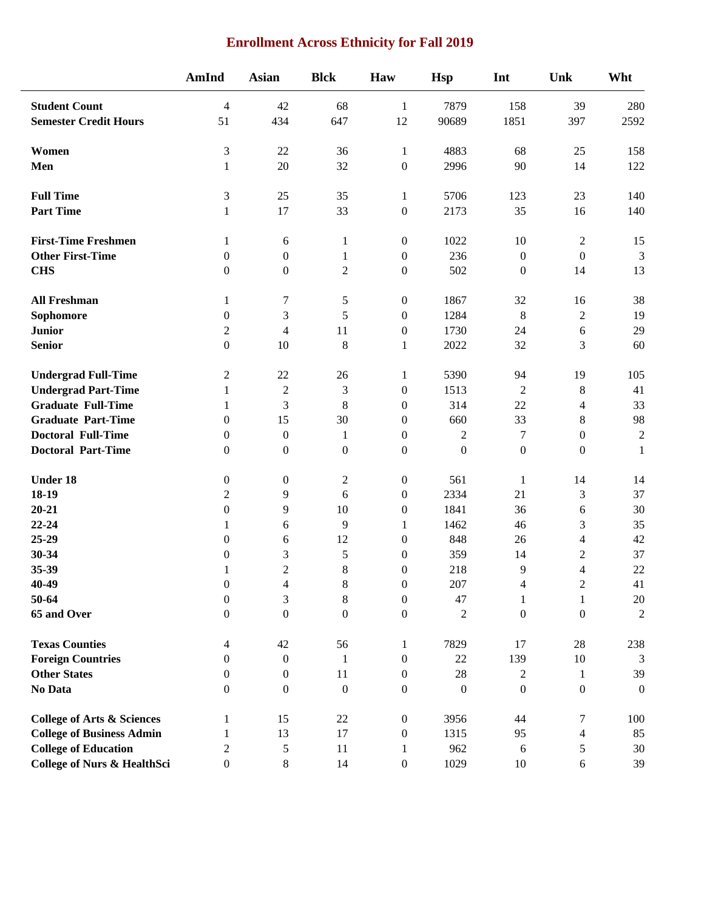### **Enrollment Across Ethnicity for Fall 2019**

|                                        | AmInd            | <b>Asian</b>             | <b>Blck</b>      | Haw              | <b>Hsp</b>       | Int              | Unk                      | Wht              |
|----------------------------------------|------------------|--------------------------|------------------|------------------|------------------|------------------|--------------------------|------------------|
| <b>Student Count</b>                   | $\overline{4}$   | 42                       | 68               | 1                | 7879             | 158              | 39                       | 280              |
| <b>Semester Credit Hours</b>           | 51               | 434                      | 647              | 12               | 90689            | 1851             | 397                      | 2592             |
| Women                                  | $\mathfrak{Z}$   | 22                       | 36               | $\mathbf{1}$     | 4883             | 68               | 25                       | 158              |
| Men                                    | 1                | 20                       | 32               | $\boldsymbol{0}$ | 2996             | 90               | 14                       | 122              |
| <b>Full Time</b>                       | $\mathfrak{Z}$   | 25                       | 35               | $\mathbf{1}$     | 5706             | 123              | 23                       | 140              |
| <b>Part Time</b>                       | 1                | 17                       | 33               | $\boldsymbol{0}$ | 2173             | 35               | 16                       | 140              |
| <b>First-Time Freshmen</b>             | 1                | 6                        | 1                | $\boldsymbol{0}$ | 1022             | 10               | $\overline{c}$           | 15               |
| <b>Other First-Time</b>                | $\mathbf{0}$     | $\boldsymbol{0}$         | 1                | $\boldsymbol{0}$ | 236              | $\boldsymbol{0}$ | $\boldsymbol{0}$         | 3                |
| <b>CHS</b>                             | $\boldsymbol{0}$ | $\boldsymbol{0}$         | $\overline{c}$   | $\boldsymbol{0}$ | 502              | $\boldsymbol{0}$ | 14                       | 13               |
| <b>All Freshman</b>                    | 1                | 7                        | 5                | $\boldsymbol{0}$ | 1867             | 32               | 16                       | 38               |
| Sophomore                              | $\boldsymbol{0}$ | 3                        | 5                | $\boldsymbol{0}$ | 1284             | $\,8\,$          | $\boldsymbol{2}$         | 19               |
| <b>Junior</b>                          | $\boldsymbol{2}$ | $\overline{4}$           | 11               | $\boldsymbol{0}$ | 1730             | 24               | 6                        | 29               |
| <b>Senior</b>                          | $\boldsymbol{0}$ | 10                       | 8                | $\mathbf{1}$     | 2022             | 32               | 3                        | 60               |
| <b>Undergrad Full-Time</b>             | $\overline{2}$   | 22                       | 26               | $\mathbf{1}$     | 5390             | 94               | 19                       | 105              |
| <b>Undergrad Part-Time</b>             | 1                | $\sqrt{2}$               | 3                | $\boldsymbol{0}$ | 1513             | $\sqrt{2}$       | $\,8\,$                  | 41               |
| <b>Graduate Full-Time</b>              | 1                | 3                        | 8                | $\boldsymbol{0}$ | 314              | 22               | $\overline{\mathcal{L}}$ | 33               |
| <b>Graduate Part-Time</b>              | $\Omega$         | 15                       | 30               | $\theta$         | 660              | 33               | 8                        | 98               |
| <b>Doctoral Full-Time</b>              | $\theta$         | $\boldsymbol{0}$         | 1                | $\boldsymbol{0}$ | $\mathfrak{2}$   | 7                | $\boldsymbol{0}$         | $\overline{2}$   |
| <b>Doctoral Part-Time</b>              | $\mathbf{0}$     | $\boldsymbol{0}$         | $\boldsymbol{0}$ | $\boldsymbol{0}$ | $\boldsymbol{0}$ | $\boldsymbol{0}$ | $\boldsymbol{0}$         | $\mathbf{1}$     |
| <b>Under 18</b>                        | $\boldsymbol{0}$ | $\boldsymbol{0}$         | $\overline{c}$   | $\boldsymbol{0}$ | 561              | $\mathbf{1}$     | 14                       | 14               |
| 18-19                                  | $\boldsymbol{2}$ | 9                        | 6                | $\boldsymbol{0}$ | 2334             | 21               | 3                        | 37               |
| $20 - 21$                              | $\boldsymbol{0}$ | 9                        | 10               | $\boldsymbol{0}$ | 1841             | 36               | 6                        | 30               |
| 22-24                                  | 1                | 6                        | 9                | 1                | 1462             | 46               | 3                        | 35               |
| 25-29                                  | $\theta$         | 6                        | 12               | $\boldsymbol{0}$ | 848              | 26               | $\overline{\mathcal{L}}$ | 42               |
| 30-34                                  | $\overline{0}$   | 3                        | 5                | $\boldsymbol{0}$ | 359              | 14               | $\overline{2}$           | 37               |
| 35-39                                  | 1                | $\overline{c}$           | 8                | $\boldsymbol{0}$ | 218              | 9                | $\overline{\mathbf{4}}$  | 22               |
| 40-49                                  | $\boldsymbol{0}$ | $\overline{\mathcal{L}}$ | 8                | $\boldsymbol{0}$ | 207              | $\overline{4}$   | $\sqrt{2}$               | $41\,$           |
| 50-64                                  | $\boldsymbol{0}$ | 3                        | 8                | $\boldsymbol{0}$ | 47               | $\mathbf{1}$     | $\mathbf{1}$             | 20               |
| 65 and Over                            | $\boldsymbol{0}$ | $\boldsymbol{0}$         | $\boldsymbol{0}$ | $\boldsymbol{0}$ | $\boldsymbol{2}$ | $\boldsymbol{0}$ | $\boldsymbol{0}$         | $\overline{c}$   |
| <b>Texas Counties</b>                  | $\overline{4}$   | 42                       | 56               | $\mathbf{1}$     | 7829             | 17               | 28                       | 238              |
| <b>Foreign Countries</b>               | $\boldsymbol{0}$ | $\boldsymbol{0}$         | 1                | $\boldsymbol{0}$ | 22               | 139              | 10                       | 3                |
| <b>Other States</b>                    | $\boldsymbol{0}$ | $\boldsymbol{0}$         | 11               | $\boldsymbol{0}$ | 28               | 2                | 1                        | 39               |
| No Data                                | $\theta$         | $\mathbf{0}$             | $\mathbf{0}$     | $\boldsymbol{0}$ | $\mathbf{0}$     | $\boldsymbol{0}$ | $\boldsymbol{0}$         | $\boldsymbol{0}$ |
| <b>College of Arts &amp; Sciences</b>  | 1                | 15                       | 22               | $\boldsymbol{0}$ | 3956             | 44               | 7                        | 100              |
| <b>College of Business Admin</b>       | 1                | 13                       | 17               | $\boldsymbol{0}$ | 1315             | 95               | 4                        | 85               |
| <b>College of Education</b>            | $\overline{c}$   | 5                        | 11               | 1                | 962              | 6                | 5                        | 30               |
| <b>College of Nurs &amp; HealthSci</b> | $\boldsymbol{0}$ | 8                        | 14               | $\boldsymbol{0}$ | 1029             | 10               | 6                        | 39               |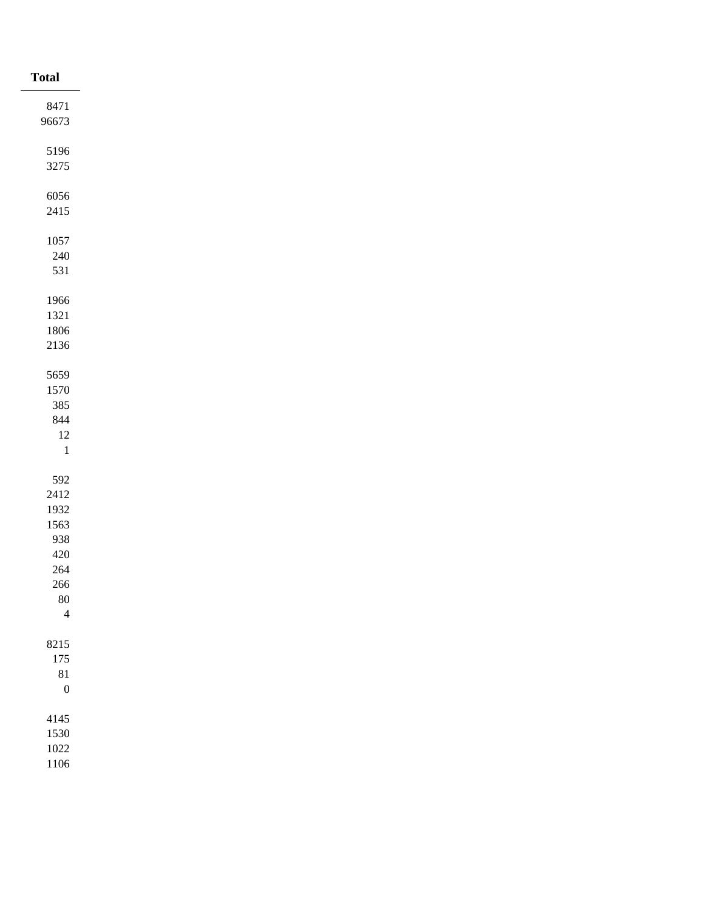| <b>Total</b>     |
|------------------|
| 8471             |
| 96673            |
|                  |
| 5196             |
| 3275             |
| 6056             |
| 2415             |
|                  |
| 1057             |
| $240\,$          |
| 531              |
|                  |
| 1966<br>1321     |
| 1806             |
| $2136\,$         |
|                  |
| 5659             |
| 1570             |
| 385              |
| $844\,$          |
| $12\,$           |
| $\,1\,$          |
| 592              |
| 2412             |
| 1932             |
| 1563             |
| 938              |
| $420\,$          |
| 264              |
| 266              |
| $80\,$           |
| $\overline{4}$   |
| 8215             |
| $175\,$          |
| 81               |
| $\boldsymbol{0}$ |
|                  |
| 4145             |
| 1530<br>1022     |
| 1106             |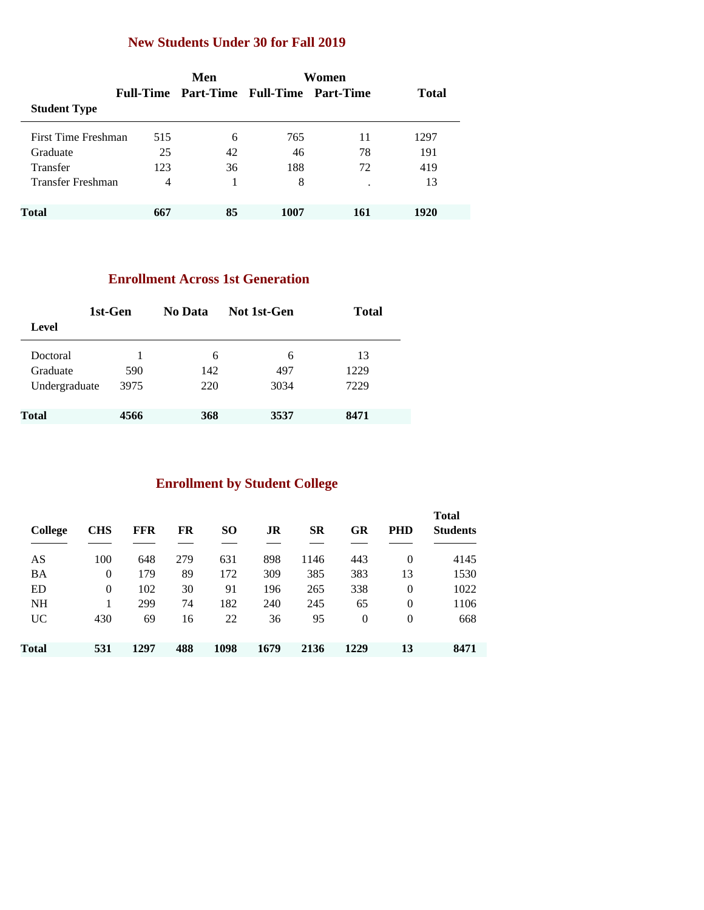### **New Students Under 30 for Fall 2019**

|                     |                | Men                                     | Women |     |              |  |
|---------------------|----------------|-----------------------------------------|-------|-----|--------------|--|
|                     |                | Full-Time Part-Time Full-Time Part-Time |       |     | <b>Total</b> |  |
| <b>Student Type</b> |                |                                         |       |     |              |  |
| First Time Freshman | 515            | 6                                       | 765   | 11  | 1297         |  |
| Graduate            | 25             | 42                                      | 46    | 78  | 191          |  |
| <b>Transfer</b>     | 123            | 36                                      | 188   | 72  | 419          |  |
| Transfer Freshman   | $\overline{4}$ |                                         | 8     |     | 13           |  |
| <b>Total</b>        | 667            | 85                                      | 1007  | 161 | 1920         |  |

### **Enrollment Across 1st Generation**

| 1st-Gen       |      | No Data | Not 1st-Gen | <b>Total</b> |  |  |
|---------------|------|---------|-------------|--------------|--|--|
| Level         |      |         |             |              |  |  |
| Doctoral      |      | 6       | 6           | 13           |  |  |
| Graduate      | 590  | 142     | 497         | 1229         |  |  |
| Undergraduate | 3975 | 220     | 3034        | 7229         |  |  |
| <b>Total</b>  | 4566 | 368     | 3537        | 8471         |  |  |

# **Enrollment by Student College**

| College   | <b>CHS</b> | FFR  | FR  | <b>SO</b> | JR   | <b>SR</b> | GR       | <b>PHD</b> | <b>Total</b><br><b>Students</b> |
|-----------|------------|------|-----|-----------|------|-----------|----------|------------|---------------------------------|
| AS        | 100        | 648  | 279 | 631       | 898  | 1146      | 443      | $\Omega$   | 4145                            |
| BA        | 0          | 179  | 89  | 172       | 309  | 385       | 383      | 13         | 1530                            |
| ED        | 0          | 102  | 30  | 91        | 196  | 265       | 338      | $\theta$   | 1022                            |
| <b>NH</b> |            | 299  | 74  | 182       | 240  | 245       | 65       | $\Omega$   | 1106                            |
| <b>UC</b> | 430        | 69   | 16  | 22        | 36   | 95        | $\Omega$ | $\Omega$   | 668                             |
| Total     | 531        | 1297 | 488 | 1098      | 1679 | 2136      | 1229     | 13         | 8471                            |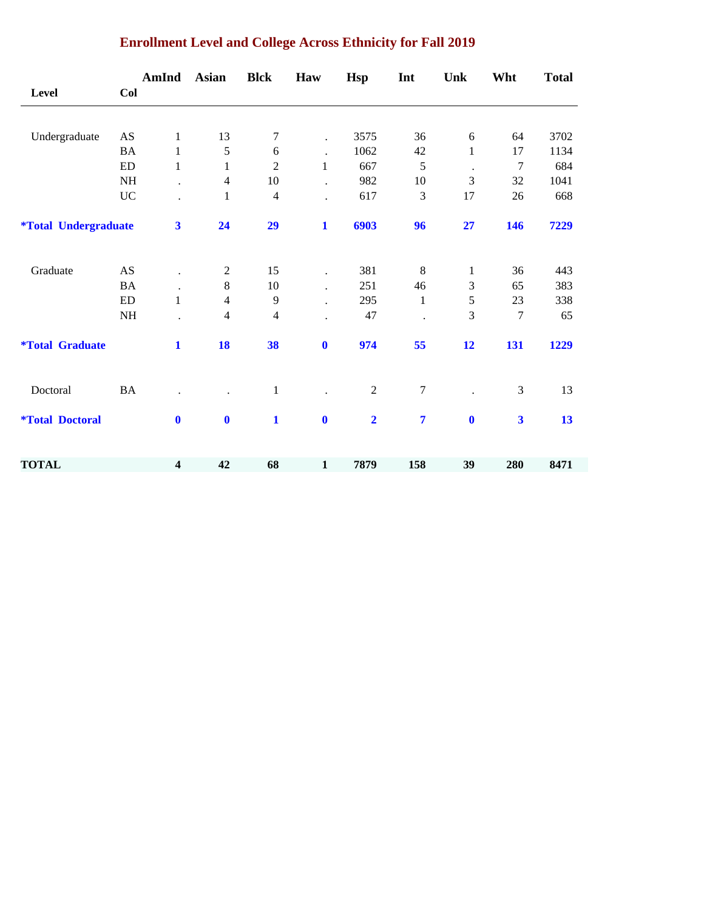|                                    |           | AmInd                   | <b>Asian</b>     | <b>Blck</b>    | Haw                  | <b>Hsp</b>              | Int              | Unk              | Wht                     | <b>Total</b> |
|------------------------------------|-----------|-------------------------|------------------|----------------|----------------------|-------------------------|------------------|------------------|-------------------------|--------------|
| <b>Level</b>                       | Col       |                         |                  |                |                      |                         |                  |                  |                         |              |
| Undergraduate                      | AS        | $\mathbf{1}$            | 13               | 7              | $\ddot{\phantom{a}}$ | 3575                    | 36               | $\boldsymbol{6}$ | 64                      | 3702         |
|                                    | <b>BA</b> | 1                       | 5                | 6              | $\bullet$            | 1062                    | 42               | 1                | 17                      | 1134         |
|                                    | <b>ED</b> | $\mathbf{1}$            | 1                | $\overline{c}$ | $\mathbf{1}$         | 667                     | 5                | $\cdot$          | 7                       | 684          |
|                                    | NH        | $\ddot{\phantom{0}}$    | 4                | $10\,$         | $\cdot$              | 982                     | 10               | 3                | 32                      | 1041         |
|                                    | $\rm UC$  |                         | $\mathbf{1}$     | $\overline{4}$ |                      | 617                     | 3                | 17               | 26                      | 668          |
| <i><b>*Total Undergraduate</b></i> |           | $\overline{\mathbf{3}}$ | 24               | 29             | $\mathbf{1}$         | 6903                    | 96               | 27               | 146                     | 7229         |
| Graduate                           | AS        |                         | $\mathbf{2}$     | 15             | $\cdot$              | 381                     | $\,8$            | $\mathbf{1}$     | 36                      | 443          |
|                                    | <b>BA</b> |                         | $8\,$            | $10\,$         | $\ddot{\phantom{0}}$ | 251                     | 46               | 3                | 65                      | 383          |
|                                    | ED        | $\mathbf{1}$            | $\overline{4}$   | 9              | $\ddot{\phantom{a}}$ | 295                     | 1                | 5                | 23                      | 338          |
|                                    | NH        |                         | $\overline{4}$   | $\overline{4}$ |                      | 47                      |                  | 3                | $\tau$                  | 65           |
| <i><b>*Total Graduate</b></i>      |           | $\mathbf{1}$            | 18               | 38             | $\mathbf 0$          | 974                     | 55               | 12               | 131                     | 1229         |
| Doctoral                           | BA        |                         |                  | $\,1$          |                      | $\sqrt{2}$              | $\boldsymbol{7}$ |                  | $\mathfrak{Z}$          | 13           |
| <i><b>*Total Doctoral</b></i>      |           | $\mathbf{0}$            | $\boldsymbol{0}$ | $\mathbf{1}$   | $\mathbf 0$          | $\overline{\mathbf{2}}$ | $\overline{7}$   | $\boldsymbol{0}$ | $\overline{\mathbf{3}}$ | 13           |
| <b>TOTAL</b>                       |           | $\overline{\mathbf{4}}$ | 42               | 68             | $\mathbf{1}$         | 7879                    | 158              | 39               | 280                     | 8471         |

### **Enrollment Level and College Across Ethnicity for Fall 2019**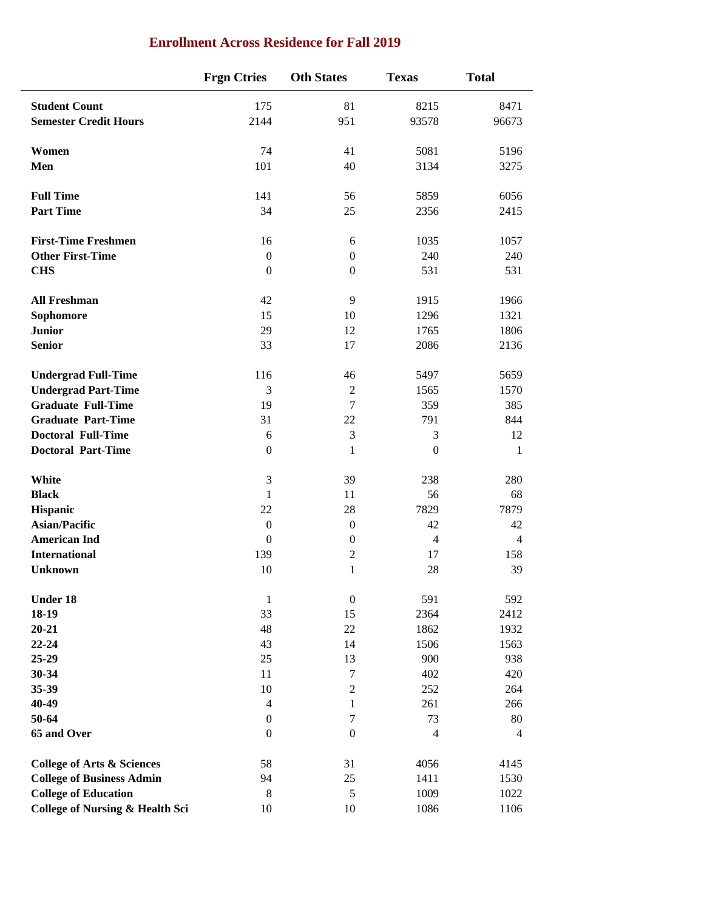|                                            | <b>Frgn Ctries</b> | <b>Oth States</b> | <b>Texas</b>     | <b>Total</b>   |
|--------------------------------------------|--------------------|-------------------|------------------|----------------|
| <b>Student Count</b>                       | 175                | 81                | 8215             | 8471           |
| <b>Semester Credit Hours</b>               | 2144               | 951               | 93578            | 96673          |
| Women                                      | 74                 | 41                | 5081             | 5196           |
| Men                                        | 101                | 40                | 3134             | 3275           |
| <b>Full Time</b>                           | 141                | 56                | 5859             | 6056           |
| <b>Part Time</b>                           | 34                 | 25                | 2356             | 2415           |
| <b>First-Time Freshmen</b>                 | 16                 | 6                 | 1035             | 1057           |
| <b>Other First-Time</b>                    | $\boldsymbol{0}$   | $\boldsymbol{0}$  | 240              | 240            |
| <b>CHS</b>                                 | $\boldsymbol{0}$   | $\boldsymbol{0}$  | 531              | 531            |
| <b>All Freshman</b>                        | 42                 | 9                 | 1915             | 1966           |
| Sophomore                                  | 15                 | 10                | 1296             | 1321           |
| <b>Junior</b>                              | 29                 | 12                | 1765             | 1806           |
| <b>Senior</b>                              | 33                 | 17                | 2086             | 2136           |
| <b>Undergrad Full-Time</b>                 | 116                | 46                | 5497             | 5659           |
| <b>Undergrad Part-Time</b>                 | 3                  | $\sqrt{2}$        | 1565             | 1570           |
| <b>Graduate Full-Time</b>                  | 19                 | $\tau$            | 359              | 385            |
| <b>Graduate Part-Time</b>                  | 31                 | 22                | 791              | 844            |
| <b>Doctoral Full-Time</b>                  | 6                  | $\mathfrak{Z}$    | $\mathfrak{Z}$   | 12             |
| <b>Doctoral Part-Time</b>                  | $\boldsymbol{0}$   | $\mathbf{1}$      | $\boldsymbol{0}$ | 1              |
| White                                      | 3                  | 39                | 238              | 280            |
| <b>Black</b>                               | $\mathbf{1}$       | 11                | 56               | 68             |
| Hispanic                                   | 22                 | 28                | 7829             | 7879           |
| <b>Asian/Pacific</b>                       | $\boldsymbol{0}$   | $\boldsymbol{0}$  | 42               | 42             |
| <b>American Ind</b>                        | $\boldsymbol{0}$   | $\boldsymbol{0}$  | $\overline{4}$   | $\overline{4}$ |
| <b>International</b>                       | 139                | $\sqrt{2}$        | 17               | 158            |
| <b>Unknown</b>                             | 10                 | $\mathbf{1}$      | 28               | 39             |
| Under 18                                   | $\mathbf{1}$       | $\boldsymbol{0}$  | 591              | 592            |
| 18-19                                      | 33                 | 15                | 2364             | 2412           |
| $20 - 21$                                  | 48                 | 22                | 1862             | 1932           |
| $22 - 24$                                  | 43                 | 14                | 1506             | 1563           |
| 25-29                                      | 25                 | 13                | 900              | 938            |
| $30 - 34$                                  | 11                 | $\boldsymbol{7}$  | 402              | 420            |
| 35-39                                      | 10                 | $\sqrt{2}$        | 252              | 264            |
| 40-49                                      | $\overline{4}$     | $\mathbf{1}$      | 261              | 266            |
| 50-64                                      | $\boldsymbol{0}$   | $\boldsymbol{7}$  | 73               | 80             |
| 65 and Over                                | $\boldsymbol{0}$   | $\mathbf{0}$      | $\overline{4}$   | $\overline{4}$ |
| <b>College of Arts &amp; Sciences</b>      | 58                 | 31                | 4056             | 4145           |
| <b>College of Business Admin</b>           | 94                 | 25                | 1411             | 1530           |
| <b>College of Education</b>                | $8\,$              | $\sqrt{5}$        | 1009             | 1022           |
| <b>College of Nursing &amp; Health Sci</b> | $10\,$             | 10                | 1086             | 1106           |

### **Enrollment Across Residence for Fall 2019**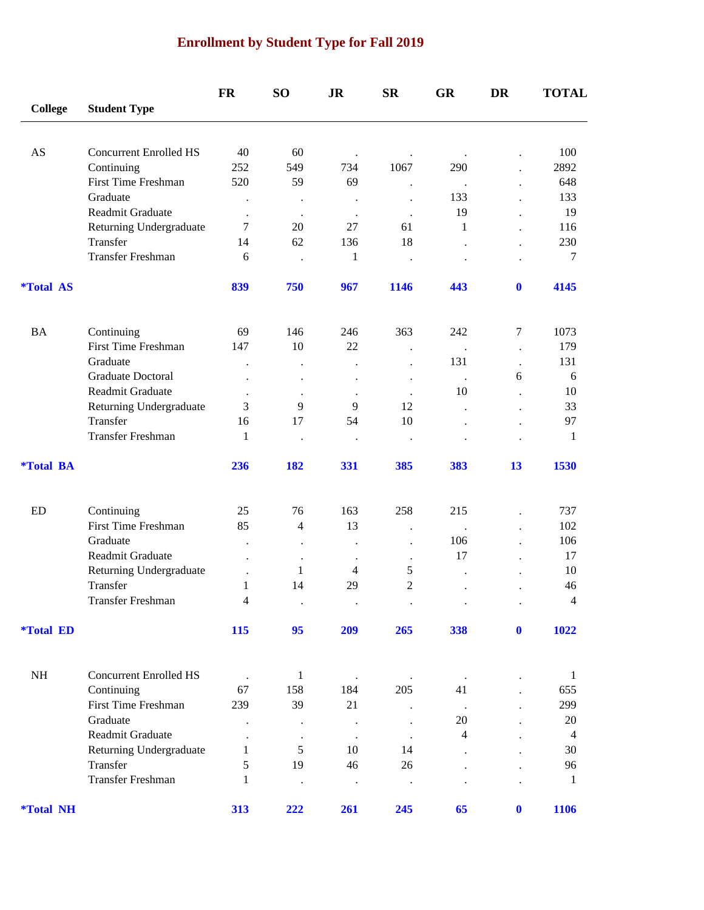# **Enrollment by Student Type for Fall 2019**

|                         |                                   | <b>FR</b>                 | <b>SO</b>            | <b>JR</b>                   | <b>SR</b>                 | <b>GR</b>                   | DR                   | <b>TOTAL</b>   |
|-------------------------|-----------------------------------|---------------------------|----------------------|-----------------------------|---------------------------|-----------------------------|----------------------|----------------|
| <b>College</b>          | <b>Student Type</b>               |                           |                      |                             |                           |                             |                      |                |
|                         |                                   |                           |                      |                             |                           |                             |                      |                |
| AS                      | <b>Concurrent Enrolled HS</b>     | 40                        | 60                   | $\bullet$                   |                           | $\cdot$                     |                      | 100            |
|                         | Continuing                        | 252                       | 549                  | 734                         | 1067                      | 290                         |                      | 2892           |
|                         | <b>First Time Freshman</b>        | 520                       | 59                   | 69                          |                           | $\cdot$                     |                      | 648            |
|                         | Graduate                          | $\bullet$                 | $\ddot{\phantom{0}}$ | $\bullet$                   | $\ddot{\phantom{0}}$      | 133                         |                      | 133            |
|                         | Readmit Graduate                  | $\ddot{\phantom{0}}$      | $\ddot{\phantom{0}}$ | $\cdot$                     | $\ddot{\phantom{0}}$      | 19                          |                      | 19             |
|                         | Returning Undergraduate           | $\tau$                    | 20                   | 27                          | 61                        | $\mathbf{1}$                |                      | 116            |
|                         | Transfer                          | 14                        | 62                   | 136                         | 18                        | $\ddot{\phantom{0}}$        |                      | 230            |
|                         | <b>Transfer Freshman</b>          | 6                         |                      | 1                           | $\cdot$                   |                             |                      | 7              |
| <i><b>*Total AS</b></i> |                                   | 839                       | 750                  | 967                         | 1146                      | 443                         | $\mathbf 0$          | 4145           |
| <b>BA</b>               | Continuing                        | 69                        | 146                  | 246                         | 363                       | 242                         | $\overline{7}$       | 1073           |
|                         | <b>First Time Freshman</b>        | 147                       | 10                   | 22                          | $\ddot{\phantom{0}}$      | $\ddot{\phantom{a}}$        | $\ddot{\phantom{1}}$ | 179            |
|                         | Graduate                          |                           | $\ddot{\phantom{0}}$ |                             |                           | 131                         | $\ddot{\phantom{a}}$ | 131            |
|                         | Graduate Doctoral                 |                           | $\bullet$            |                             | $\ddot{\phantom{0}}$      | $\,$ .                      | 6                    | 6              |
|                         | Readmit Graduate                  |                           | $\ddot{\phantom{a}}$ | $\cdot$                     |                           | 10                          |                      | 10             |
|                         | Returning Undergraduate           | 3                         | 9                    | 9                           | 12                        | $\ddot{\phantom{0}}$        |                      | 33             |
|                         | Transfer                          | 16                        | 17                   | 54                          | 10                        |                             |                      | 97             |
|                         | Transfer Freshman                 | 1                         | $\ddot{\phantom{0}}$ | $\bullet$                   | $\cdot$                   |                             |                      | 1              |
| <i><b>*Total BA</b></i> |                                   | 236                       | 182                  | 331                         | 385                       | 383                         | 13                   | 1530           |
| ED                      |                                   | 25                        | 76                   | 163                         | 258                       | 215                         |                      | 737            |
|                         | Continuing<br>First Time Freshman | 85                        | 4                    | 13                          |                           |                             |                      | 102            |
|                         | Graduate                          |                           |                      |                             | $\ddot{\phantom{0}}$      | $\ddot{\phantom{a}}$<br>106 |                      | 106            |
|                         | Readmit Graduate                  |                           | $\bullet$            | $\bullet$                   | $\ddot{\phantom{0}}$      | 17                          |                      | 17             |
|                         | Returning Undergraduate           |                           | $\bullet$<br>1       | $\bullet$<br>$\overline{4}$ | $\ddot{\phantom{0}}$<br>5 |                             |                      | 10             |
|                         | Transfer                          | $\ddot{\phantom{0}}$<br>1 | 14                   | 29                          | $\overline{2}$            | $\ddot{\phantom{a}}$        |                      | 46             |
|                         | <b>Transfer Freshman</b>          | 4                         |                      |                             |                           |                             |                      | $\overline{4}$ |
| <i><b>*Total ED</b></i> |                                   | 115                       |                      |                             |                           | 338                         | $\bf{0}$             | 1022           |
|                         |                                   |                           | 95                   | 209                         | 265                       |                             |                      |                |
| $\rm NH$                | <b>Concurrent Enrolled HS</b>     |                           | $\mathbf{1}$         |                             |                           | $\cdot$                     |                      | 1              |
|                         | Continuing                        | 67                        | 158                  | 184                         | 205                       | 41                          |                      | 655            |
|                         | First Time Freshman               | 239                       | 39                   | 21                          |                           | $\ddot{\phantom{a}}$        |                      | 299            |
|                         | Graduate                          |                           |                      | $\bullet$                   |                           | 20                          |                      | $20\,$         |
|                         | Readmit Graduate                  | $\bullet$                 | $\bullet$            | $\bullet$                   | $\ddot{\phantom{a}}$      | 4                           |                      | $\overline{4}$ |
|                         | Returning Undergraduate           | 1                         | 5                    | 10                          | 14                        |                             |                      | 30             |
|                         | Transfer                          | 5                         | 19                   | 46                          | 26                        |                             |                      | 96             |
|                         | Transfer Freshman                 | $\mathbf{1}$              |                      | $\bullet$                   | $\bullet$                 |                             |                      | $\mathbf{1}$   |
| <i><b>*Total NH</b></i> |                                   | 313                       | 222                  | 261                         | 245                       | 65                          | $\bf{0}$             | 1106           |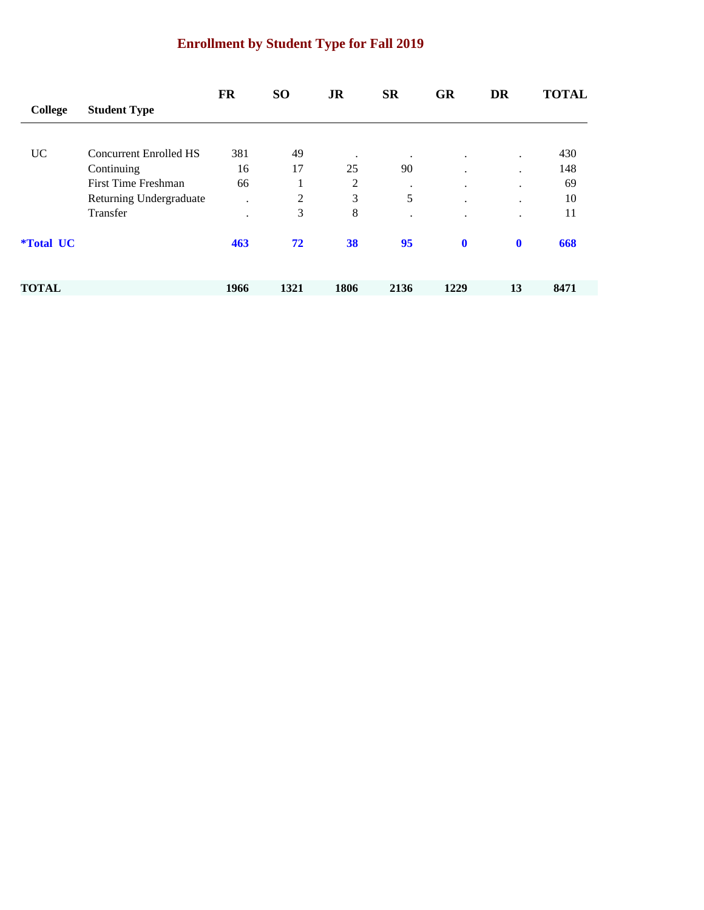# **Enrollment by Student Type for Fall 2019**

|                  |                         | FR      | <b>SO</b> | <b>JR</b>      | <b>SR</b> | <b>GR</b>   | <b>DR</b>   | <b>TOTAL</b> |
|------------------|-------------------------|---------|-----------|----------------|-----------|-------------|-------------|--------------|
| College          | <b>Student Type</b>     |         |           |                |           |             |             |              |
|                  |                         |         |           |                |           |             |             |              |
| <b>UC</b>        | Concurrent Enrolled HS  | 381     | 49        | $\bullet$      | $\bullet$ | $\cdot$     | $\bullet$   | 430          |
|                  | Continuing              | 16      | 17        | 25             | 90        | ٠           | ٠           | 148          |
|                  | First Time Freshman     | 66      | 1<br>1    | $\overline{c}$ | ٠         | $\cdot$     | ٠           | 69           |
|                  | Returning Undergraduate | $\cdot$ | 2         | 3              | 5         | ٠           | $\cdot$     | 10           |
|                  | Transfer                | ٠       | 3         | 8              |           | ٠           | ٠           | 11           |
| <i>*Total UC</i> |                         | 463     | 72        | 38             | 95        | $\mathbf 0$ | $\mathbf 0$ | 668          |
| <b>TOTAL</b>     |                         | 1966    | 1321      | 1806           | 2136      | 1229        | 13          | 8471         |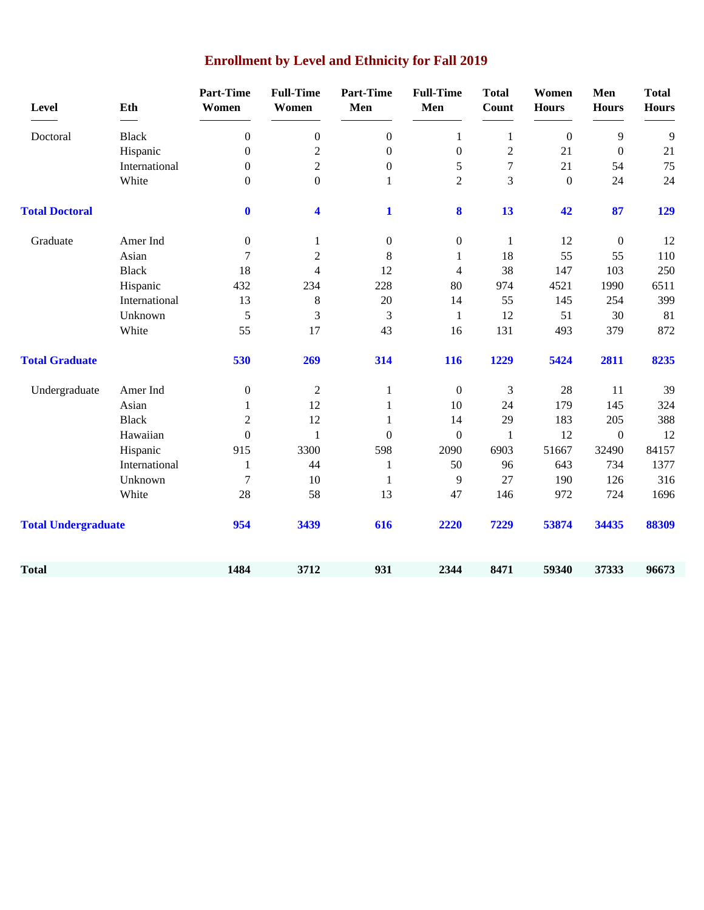| Level                      | Eth           | <b>Part-Time</b><br>Women | <b>Full-Time</b><br>Women | <b>Part-Time</b><br>Men | <b>Full-Time</b><br>Men | <b>Total</b><br><b>Count</b> | Women<br><b>Hours</b> | Men<br><b>Hours</b> | <b>Total</b><br><b>Hours</b> |
|----------------------------|---------------|---------------------------|---------------------------|-------------------------|-------------------------|------------------------------|-----------------------|---------------------|------------------------------|
| Doctoral                   | <b>Black</b>  | $\overline{0}$            | $\boldsymbol{0}$          | $\overline{0}$          | $\mathbf{1}$            | $\mathbf{1}$                 | $\mathbf{0}$          | 9                   | 9                            |
|                            | Hispanic      | $\boldsymbol{0}$          | $\overline{c}$            | $\boldsymbol{0}$        | $\boldsymbol{0}$        | $\sqrt{2}$                   | 21                    | $\boldsymbol{0}$    | 21                           |
|                            | International | $\overline{0}$            | $\overline{c}$            | $\boldsymbol{0}$        | 5                       | $\overline{7}$               | 21                    | 54                  | 75                           |
|                            | White         | $\overline{0}$            | $\boldsymbol{0}$          | 1                       | $\overline{2}$          | 3                            | $\boldsymbol{0}$      | 24                  | 24                           |
| <b>Total Doctoral</b>      |               | $\bf{0}$                  | 4                         | $\mathbf{1}$            | 8                       | 13                           | 42                    | 87                  | 129                          |
| Graduate                   | Amer Ind      | $\overline{0}$            | $\mathbf{1}$              | $\boldsymbol{0}$        | $\boldsymbol{0}$        | $\mathbf{1}$                 | 12                    | $\boldsymbol{0}$    | 12                           |
|                            | Asian         | $\overline{7}$            | $\overline{2}$            | $8\,$                   | $\mathbf{1}$            | 18                           | 55                    | 55                  | 110                          |
|                            | <b>Black</b>  | 18                        | $\overline{4}$            | 12                      | $\overline{4}$          | 38                           | 147                   | 103                 | 250                          |
|                            | Hispanic      | 432                       | 234                       | 228                     | 80                      | 974                          | 4521                  | 1990                | 6511                         |
|                            | International | 13                        | 8                         | 20                      | 14                      | 55                           | 145                   | 254                 | 399                          |
|                            | Unknown       | 5                         | 3                         | 3                       | 1                       | 12                           | 51                    | 30                  | 81                           |
|                            | White         | 55                        | 17                        | 43                      | 16                      | 131                          | 493                   | 379                 | 872                          |
| <b>Total Graduate</b>      |               | 530                       | 269                       | 314                     | 116                     | 1229                         | 5424                  | 2811                | 8235                         |
| Undergraduate              | Amer Ind      | $\boldsymbol{0}$          | $\overline{2}$            | $\mathbf{1}$            | $\boldsymbol{0}$        | 3                            | 28                    | 11                  | 39                           |
|                            | Asian         | $\mathbf{1}$              | 12                        | 1                       | 10                      | 24                           | 179                   | 145                 | 324                          |
|                            | <b>Black</b>  | $\overline{2}$            | 12                        | 1                       | 14                      | 29                           | 183                   | 205                 | 388                          |
|                            | Hawaiian      | $\overline{0}$            | 1                         | $\boldsymbol{0}$        | $\boldsymbol{0}$        | $\mathbf{1}$                 | 12                    | $\boldsymbol{0}$    | 12                           |
|                            | Hispanic      | 915                       | 3300                      | 598                     | 2090                    | 6903                         | 51667                 | 32490               | 84157                        |
|                            | International | $\mathbf{1}$              | 44                        | $\mathbf{1}$            | 50                      | 96                           | 643                   | 734                 | 1377                         |
|                            | Unknown       | $\overline{7}$            | 10                        | 1                       | 9                       | 27                           | 190                   | 126                 | 316                          |
|                            | White         | 28                        | 58                        | 13                      | 47                      | 146                          | 972                   | 724                 | 1696                         |
| <b>Total Undergraduate</b> |               | 954                       | 3439                      | 616                     | 2220                    | 7229                         | 53874                 | 34435               | 88309                        |
| <b>Total</b>               |               | 1484                      | 3712                      | 931                     | 2344                    | 8471                         | 59340                 | 37333               | 96673                        |

# **Enrollment by Level and Ethnicity for Fall 2019**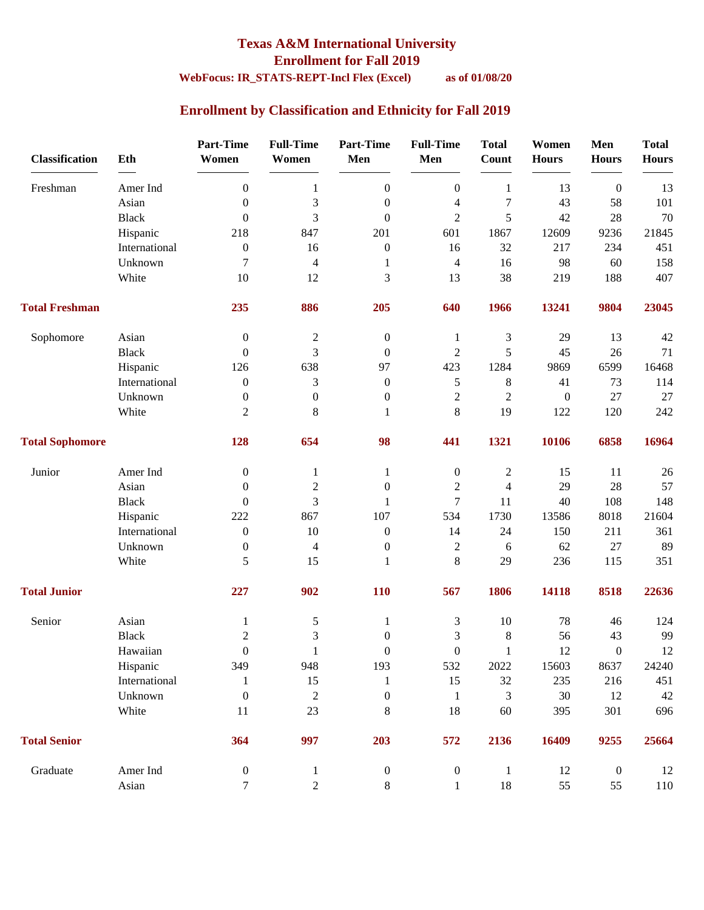### **Texas A&M International University Enrollment for Fall 2019**

### **WebFocus: IR\_STATS-REPT-Incl Flex (Excel) as of 01/08/20**

### **Enrollment by Classification and Ethnicity for Fall 2019**

| <b>Classification</b>  | Eth           | <b>Part-Time</b><br>Women | <b>Full-Time</b><br>Women | <b>Part-Time</b><br>Men | <b>Full-Time</b><br>Men | <b>Total</b><br>Count | Women<br><b>Hours</b> | Men<br><b>Hours</b> | <b>Total</b><br><b>Hours</b> |
|------------------------|---------------|---------------------------|---------------------------|-------------------------|-------------------------|-----------------------|-----------------------|---------------------|------------------------------|
| Freshman               | Amer Ind      | $\boldsymbol{0}$          | $\mathbf{1}$              | $\boldsymbol{0}$        | $\boldsymbol{0}$        | $\mathbf{1}$          | 13                    | $\boldsymbol{0}$    | 13                           |
|                        | Asian         | $\boldsymbol{0}$          | 3                         | $\boldsymbol{0}$        | $\overline{4}$          | $\tau$                | 43                    | 58                  | 101                          |
|                        | <b>Black</b>  | $\boldsymbol{0}$          | 3                         | $\boldsymbol{0}$        | $\overline{2}$          | 5                     | 42                    | 28                  | 70                           |
|                        | Hispanic      | 218                       | 847                       | 201                     | 601                     | 1867                  | 12609                 | 9236                | 21845                        |
|                        | International | $\boldsymbol{0}$          | 16                        | $\boldsymbol{0}$        | 16                      | 32                    | 217                   | 234                 | 451                          |
|                        | Unknown       | 7                         | $\overline{4}$            | 1                       | $\overline{4}$          | 16                    | 98                    | 60                  | 158                          |
|                        | White         | 10                        | 12                        | 3                       | 13                      | 38                    | 219                   | 188                 | 407                          |
| <b>Total Freshman</b>  |               | 235                       | 886                       | 205                     | 640                     | 1966                  | 13241                 | 9804                | 23045                        |
| Sophomore              | Asian         | $\boldsymbol{0}$          | $\mathfrak{2}$            | $\boldsymbol{0}$        | 1                       | 3                     | 29                    | 13                  | 42                           |
|                        | <b>Black</b>  | $\boldsymbol{0}$          | 3                         | $\boldsymbol{0}$        | $\sqrt{2}$              | 5                     | 45                    | 26                  | 71                           |
|                        | Hispanic      | 126                       | 638                       | 97                      | 423                     | 1284                  | 9869                  | 6599                | 16468                        |
|                        | International | $\boldsymbol{0}$          | 3                         | $\boldsymbol{0}$        | $\sqrt{5}$              | $8\,$                 | 41                    | 73                  | 114                          |
|                        | Unknown       | $\boldsymbol{0}$          | $\boldsymbol{0}$          | $\boldsymbol{0}$        | $\sqrt{2}$              | $\overline{2}$        | $\boldsymbol{0}$      | 27                  | 27                           |
|                        | White         | $\overline{2}$            | 8                         | 1                       | $\,8\,$                 | 19                    | 122                   | 120                 | 242                          |
| <b>Total Sophomore</b> |               | 128                       | 654                       | 98                      | 441                     | 1321                  | 10106                 | 6858                | 16964                        |
| Junior                 | Amer Ind      | $\boldsymbol{0}$          | 1                         | 1                       | $\boldsymbol{0}$        | $\mathbf{2}$          | 15                    | 11                  | $26\,$                       |
|                        | Asian         | $\theta$                  | $\overline{c}$            | $\boldsymbol{0}$        | $\boldsymbol{2}$        | $\overline{4}$        | 29                    | 28                  | 57                           |
|                        | <b>Black</b>  | $\mathbf{0}$              | 3                         | 1                       | $\overline{7}$          | 11                    | 40                    | 108                 | 148                          |
|                        | Hispanic      | 222                       | 867                       | 107                     | 534                     | 1730                  | 13586                 | 8018                | 21604                        |
|                        | International | $\boldsymbol{0}$          | 10                        | $\boldsymbol{0}$        | 14                      | 24                    | 150                   | 211                 | 361                          |
|                        | Unknown       | $\boldsymbol{0}$          | $\overline{4}$            | $\boldsymbol{0}$        | $\boldsymbol{2}$        | 6                     | 62                    | 27                  | 89                           |
|                        | White         | 5                         | 15                        | 1                       | $\,8\,$                 | 29                    | 236                   | 115                 | 351                          |
| <b>Total Junior</b>    |               | 227                       | 902                       | 110                     | 567                     | 1806                  | 14118                 | 8518                | 22636                        |
| Senior                 | Asian         | 1                         | 5                         | 1                       | $\mathfrak{Z}$          | 10                    | 78                    | 46                  | 124                          |
|                        | <b>Black</b>  | $\mathbf{2}$              | 3                         | $\boldsymbol{0}$        | 3                       | $8\,$                 | 56                    | 43                  | 99                           |
|                        | Hawaiian      | $\boldsymbol{0}$          | $\mathbf{1}$              | $\boldsymbol{0}$        | $\boldsymbol{0}$        | $\mathbf{1}$          | 12                    | $\boldsymbol{0}$    | $12\,$                       |
|                        | Hispanic      | 349                       | 948                       | 193                     | 532                     | 2022                  | 15603                 | 8637                | 24240                        |
|                        | International | 1                         | 15                        | 1                       | 15                      | 32                    | 235                   | 216                 | 451                          |
|                        | Unknown       | $\boldsymbol{0}$          | $\boldsymbol{2}$          | $\boldsymbol{0}$        | $\mathbf{1}$            | 3                     | 30                    | 12                  | 42                           |
|                        | White         | 11                        | 23                        | $8\,$                   | 18                      | 60                    | 395                   | 301                 | 696                          |
| <b>Total Senior</b>    |               | 364                       | 997                       | 203                     | 572                     | 2136                  | 16409                 | 9255                | 25664                        |
| Graduate               | Amer Ind      | $\boldsymbol{0}$          | $\mathbf{1}$              | $\boldsymbol{0}$        | $\boldsymbol{0}$        | $\mathbf{1}$          | 12                    | $\boldsymbol{0}$    | 12                           |
|                        | Asian         | $\tau$                    | $\overline{2}$            | 8                       | $\mathbf{1}$            | 18                    | 55                    | 55                  | 110                          |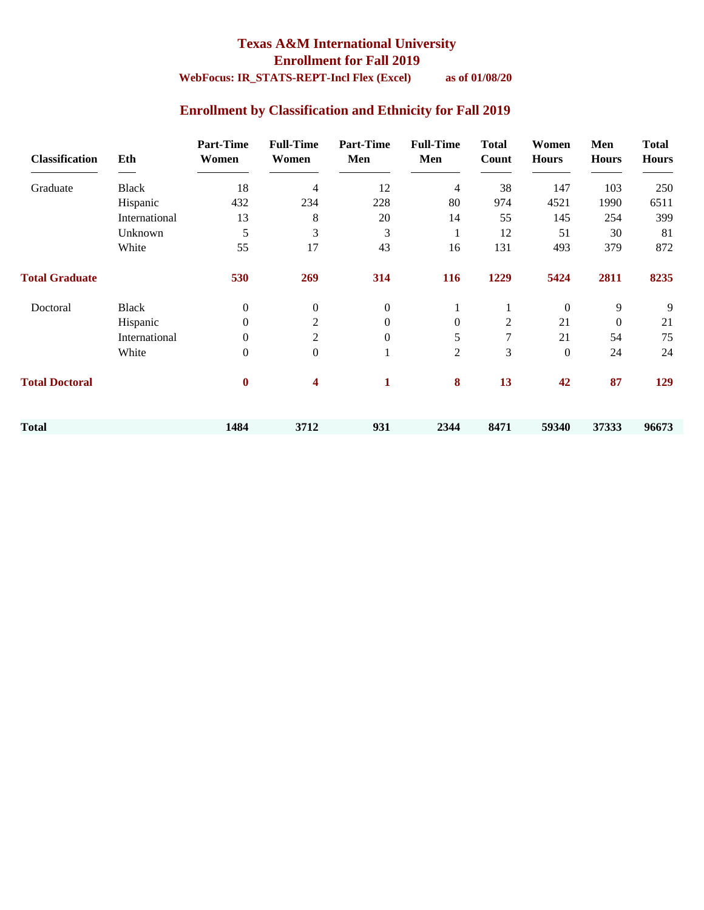#### **Texas A&M International University Enrollment for Fall 2019 WebFocus: IR\_STATS-REPT-Incl Flex (Excel) as of 01/08/20**

### **Enrollment by Classification and Ethnicity for Fall 2019**

| <b>Classification</b> | Eth           | <b>Part-Time</b><br>Women | <b>Full-Time</b><br>Women | <b>Part-Time</b><br>Men | <b>Full-Time</b><br>Men | <b>Total</b><br>Count | Women<br><b>Hours</b> | Men<br><b>Hours</b> | <b>Total</b><br><b>Hours</b> |
|-----------------------|---------------|---------------------------|---------------------------|-------------------------|-------------------------|-----------------------|-----------------------|---------------------|------------------------------|
| Graduate              | <b>Black</b>  | 18                        | 4                         | 12                      | $\overline{4}$          | 38                    | 147                   | 103                 | 250                          |
|                       | Hispanic      | 432                       | 234                       | 228                     | 80                      | 974                   | 4521                  | 1990                | 6511                         |
|                       | International | 13                        | 8                         | 20                      | 14                      | 55                    | 145                   | 254                 | 399                          |
|                       | Unknown       | 5                         | 3                         | 3                       | 1                       | 12                    | 51                    | 30                  | 81                           |
|                       | White         | 55                        | 17                        | 43                      | 16                      | 131                   | 493                   | 379                 | 872                          |
| <b>Total Graduate</b> |               | 530                       | 269                       | 314                     | <b>116</b>              | 1229                  | 5424                  | 2811                | 8235                         |
| Doctoral              | <b>Black</b>  | $\mathbf{0}$              | $\boldsymbol{0}$          | $\boldsymbol{0}$        |                         |                       | $\boldsymbol{0}$      | 9                   | 9                            |
|                       | Hispanic      | $\theta$                  | 2                         | $\overline{0}$          | $\overline{0}$          | $\overline{2}$        | 21                    | $\theta$            | 21                           |
|                       | International | $\theta$                  | 2                         | $\overline{0}$          | 5                       | 7                     | 21                    | 54                  | 75                           |
|                       | White         | $\mathbf{0}$              | $\boldsymbol{0}$          |                         | $\overline{2}$          | 3                     | $\overline{0}$        | 24                  | 24                           |
| <b>Total Doctoral</b> |               | $\bf{0}$                  | 4                         | $\mathbf{1}$            | 8                       | 13                    | 42                    | 87                  | 129                          |
| <b>Total</b>          |               | 1484                      | 3712                      | 931                     | 2344                    | 8471                  | 59340                 | 37333               | 96673                        |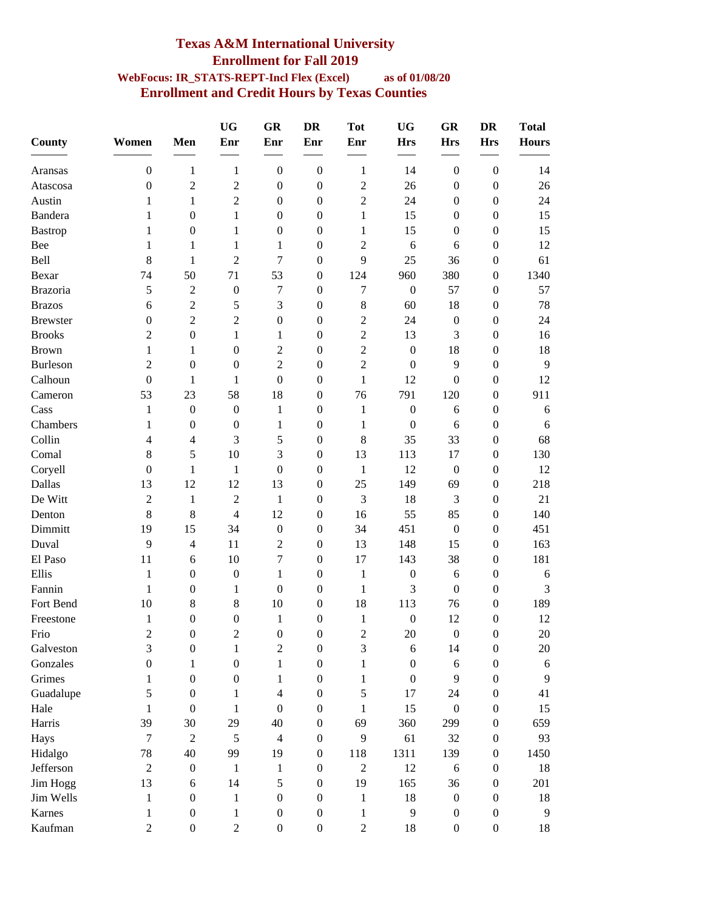### **Texas A&M International University Enrollment for Fall 2019 WebFocus: IR\_STATS-REPT-Incl Flex (Excel) as of 01/08/20 Enrollment and Credit Hours by Texas Counties**

|                 |                  |                  | <b>UG</b>        | <b>GR</b>        | <b>DR</b>        | <b>Tot</b>     | <b>UG</b>        | <b>GR</b>        | <b>DR</b>        | <b>Total</b> |
|-----------------|------------------|------------------|------------------|------------------|------------------|----------------|------------------|------------------|------------------|--------------|
| <b>County</b>   | Women            | Men              | Enr              | Enr              | Enr              | Enr            | <b>Hrs</b>       | <b>Hrs</b>       | <b>Hrs</b>       | <b>Hours</b> |
| Aransas         | $\boldsymbol{0}$ | 1                | $\mathbf{1}$     | $\boldsymbol{0}$ | $\boldsymbol{0}$ | 1              | 14               | $\boldsymbol{0}$ | $\boldsymbol{0}$ | 14           |
| Atascosa        | $\overline{0}$   | $\overline{c}$   | 2                | $\boldsymbol{0}$ | $\boldsymbol{0}$ | $\mathfrak{2}$ | 26               | $\theta$         | $\boldsymbol{0}$ | 26           |
| Austin          | 1                | 1                | $\overline{c}$   | $\boldsymbol{0}$ | $\boldsymbol{0}$ | $\overline{2}$ | 24               | $\mathbf{0}$     | 0                | 24           |
| <b>Bandera</b>  | 1                | 0                | $\mathbf{1}$     | $\boldsymbol{0}$ | $\boldsymbol{0}$ | 1              | 15               | $\mathbf{0}$     | $\overline{0}$   | 15           |
| <b>Bastrop</b>  | 1                | $\boldsymbol{0}$ | 1                | $\boldsymbol{0}$ | $\boldsymbol{0}$ | 1              | 15               | $\boldsymbol{0}$ | $\boldsymbol{0}$ | 15           |
| Bee             | 1                | 1                | 1                | 1                | $\boldsymbol{0}$ | $\overline{2}$ | 6                | 6                | $\boldsymbol{0}$ | 12           |
| Bell            | 8                | $\mathbf{1}$     | $\sqrt{2}$       | 7                | $\boldsymbol{0}$ | 9              | 25               | 36               | 0                | 61           |
| Bexar           | 74               | 50               | 71               | 53               | $\boldsymbol{0}$ | 124            | 960              | 380              | 0                | 1340         |
| Brazoria        | 5                | $\overline{c}$   | $\boldsymbol{0}$ | $\tau$           | $\boldsymbol{0}$ | 7              | $\boldsymbol{0}$ | 57               | $\boldsymbol{0}$ | 57           |
| <b>Brazos</b>   | 6                | $\overline{2}$   | 5                | 3                | $\boldsymbol{0}$ | 8              | 60               | 18               | $\boldsymbol{0}$ | 78           |
| <b>Brewster</b> | $\boldsymbol{0}$ | $\overline{2}$   | $\overline{c}$   | $\boldsymbol{0}$ | $\boldsymbol{0}$ | $\overline{2}$ | 24               | $\boldsymbol{0}$ | $\boldsymbol{0}$ | 24           |
| <b>Brooks</b>   | 2                | $\boldsymbol{0}$ | 1                | 1                | $\boldsymbol{0}$ | $\overline{2}$ | 13               | 3                | $\boldsymbol{0}$ | 16           |
| <b>Brown</b>    | 1                | 1                | $\boldsymbol{0}$ | $\overline{2}$   | $\mathbf{0}$     | $\overline{2}$ | $\mathbf{0}$     | 18               | $\overline{0}$   | 18           |
| <b>Burleson</b> | 2                | $\boldsymbol{0}$ | $\boldsymbol{0}$ | $\overline{2}$   | $\mathbf{0}$     | $\overline{2}$ | $\boldsymbol{0}$ | 9                | $\overline{0}$   | 9            |
| Calhoun         | $\overline{0}$   | 1                | 1                | $\boldsymbol{0}$ | $\boldsymbol{0}$ | 1              | 12               | $\overline{0}$   | $\boldsymbol{0}$ | 12           |
| Cameron         | 53               | 23               | 58               | 18               | $\boldsymbol{0}$ | 76             | 791              | 120              | $\overline{0}$   | 911          |
| Cass            | 1                | $\boldsymbol{0}$ | $\boldsymbol{0}$ | $\mathbf{1}$     | $\boldsymbol{0}$ | 1              | $\boldsymbol{0}$ | 6                | $\boldsymbol{0}$ | 6            |
| Chambers        | 1                | $\boldsymbol{0}$ | $\boldsymbol{0}$ | 1                | $\boldsymbol{0}$ | 1              | $\boldsymbol{0}$ | 6                | $\boldsymbol{0}$ | 6            |
| Collin          | 4                | 4                | 3                | 5                | $\mathbf{0}$     | 8              | 35               | 33               | $\boldsymbol{0}$ | 68           |
| Comal           | 8                | 5                | 10               | 3                | $\boldsymbol{0}$ | 13             | 113              | 17               | 0                | 130          |
| Coryell         | $\overline{0}$   | $\mathbf{1}$     | $\mathbf{1}$     | $\boldsymbol{0}$ | $\boldsymbol{0}$ | $\mathbf{1}$   | 12               | $\boldsymbol{0}$ | $\boldsymbol{0}$ | 12           |
| Dallas          | 13               | 12               | 12               | 13               | $\boldsymbol{0}$ | 25             | 149              | 69               | $\boldsymbol{0}$ | 218          |
| De Witt         | $\overline{c}$   | 1                | $\overline{2}$   | 1                | $\boldsymbol{0}$ | 3              | 18               | 3                | $\boldsymbol{0}$ | 21           |
| Denton          | 8                | $8\,$            | $\overline{4}$   | 12               | $\boldsymbol{0}$ | 16             | 55               | 85               | $\boldsymbol{0}$ | 140          |
| Dimmitt         | 19               | 15               | 34               | $\boldsymbol{0}$ | $\mathbf{0}$     | 34             | 451              | $\overline{0}$   | $\overline{0}$   | 451          |
| Duval           | 9                | 4                | 11               | $\mathfrak{2}$   | $\mathbf{0}$     | 13             | 148              | 15               | $\boldsymbol{0}$ | 163          |
| El Paso         | 11               | 6                | 10               | 7                | $\mathbf{0}$     | 17             | 143              | 38               | $\boldsymbol{0}$ | 181          |
| Ellis           | 1                | $\boldsymbol{0}$ | $\boldsymbol{0}$ | 1                | $\boldsymbol{0}$ | $\mathbf{1}$   | $\boldsymbol{0}$ | 6                | $\boldsymbol{0}$ | 6            |
| Fannin          | 1                | $\boldsymbol{0}$ | 1                | $\boldsymbol{0}$ | $\boldsymbol{0}$ | 1              | 3                | $\boldsymbol{0}$ | $\boldsymbol{0}$ | 3            |
| Fort Bend       | 10               | 8                | $8\,$            | 10               | $\boldsymbol{0}$ | 18             | 113              | 76               | $\boldsymbol{0}$ | 189          |
| Freestone       | 1                | $\boldsymbol{0}$ | $\boldsymbol{0}$ | 1                | $\boldsymbol{0}$ | $\mathbf{1}$   | $\boldsymbol{0}$ | 12               | $\boldsymbol{0}$ | 12           |
| Frio            | 2                | $\boldsymbol{0}$ | 2                | $\mathbf{0}$     | $\theta$         | $\overline{2}$ | 20               | $\mathbf{0}$     | $\mathbf{0}$     | 20           |
| Galveston       | 3                | $\boldsymbol{0}$ | $\mathbf{1}$     | $\sqrt{2}$       | $\boldsymbol{0}$ | $\mathfrak{Z}$ | 6                | 14               | $\boldsymbol{0}$ | $20\,$       |
| Gonzales        | $\overline{0}$   | 1                | $\boldsymbol{0}$ | $\mathbf{1}$     | $\boldsymbol{0}$ | 1              | $\boldsymbol{0}$ | 6                | $\mathbf{0}$     | 6            |
| Grimes          | 1                | $\boldsymbol{0}$ | $\boldsymbol{0}$ | 1                | $\boldsymbol{0}$ | 1              | $\boldsymbol{0}$ | 9                | $\boldsymbol{0}$ | 9            |
| Guadalupe       | 5                | $\boldsymbol{0}$ | 1                | $\overline{4}$   | $\boldsymbol{0}$ | 5              | 17               | 24               | $\boldsymbol{0}$ | 41           |
| Hale            | 1                | $\boldsymbol{0}$ | $\mathbf{1}$     | $\mathbf{0}$     | $\boldsymbol{0}$ | $\mathbf{1}$   | 15               | $\boldsymbol{0}$ | $\mathbf{0}$     | 15           |
| Harris          | 39               | 30               | 29               | 40               | $\boldsymbol{0}$ | 69             | 360              | 299              | $\boldsymbol{0}$ | 659          |
| Hays            | $\overline{7}$   | $\overline{c}$   | 5                | $\overline{4}$   | $\boldsymbol{0}$ | 9              | 61               | 32               | $\boldsymbol{0}$ | 93           |
| Hidalgo         | 78               | 40               | 99               | 19               | $\boldsymbol{0}$ | 118            | 1311             | 139              | $\boldsymbol{0}$ | 1450         |
| Jefferson       | $\overline{2}$   | $\boldsymbol{0}$ | $\mathbf{1}$     | $\mathbf{1}$     | $\boldsymbol{0}$ | $\mathfrak{2}$ | 12               | 6                | $\boldsymbol{0}$ | 18           |
| Jim Hogg        | 13               | 6                | 14               | 5                | $\boldsymbol{0}$ | 19             | 165              | 36               | $\boldsymbol{0}$ | 201          |
| Jim Wells       | $\mathbf{1}$     | $\boldsymbol{0}$ | $\mathbf{1}$     | $\boldsymbol{0}$ | $\boldsymbol{0}$ | $\mathbf{1}$   | 18               | $\boldsymbol{0}$ | $\mathbf{0}$     | 18           |
| Karnes          | 1                | $\boldsymbol{0}$ | 1                | $\boldsymbol{0}$ | $\boldsymbol{0}$ | 1              | 9                | $\boldsymbol{0}$ | $\boldsymbol{0}$ | 9            |
| Kaufman         | $\overline{c}$   | $\boldsymbol{0}$ | $\sqrt{2}$       | $\boldsymbol{0}$ | $\boldsymbol{0}$ | $\overline{c}$ | 18               | $\boldsymbol{0}$ | $\boldsymbol{0}$ | 18           |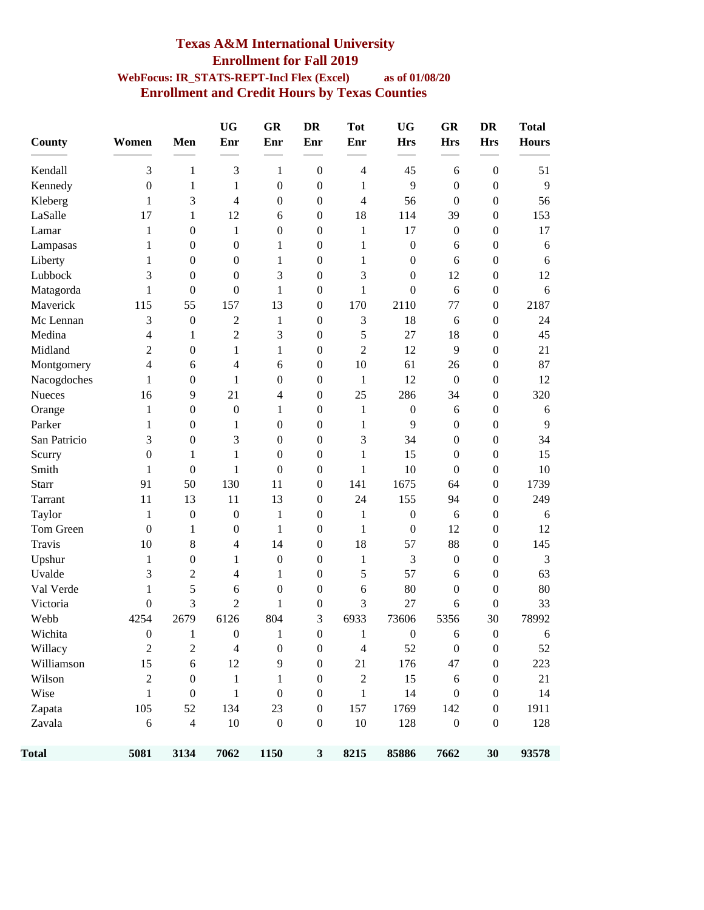#### **Texas A&M International University Enrollment for Fall 2019 WebFocus: IR\_STATS-REPT-Incl Flex (Excel) as of 01/08/20 Enrollment and Credit Hours by Texas Counties**

| County        | Women            | Men                      | <b>UG</b><br>Enr | GR<br>Enr        | <b>DR</b><br>Enr | <b>Tot</b><br>Enr | <b>UG</b><br><b>Hrs</b> | <b>GR</b><br><b>Hrs</b> | <b>DR</b><br><b>Hrs</b> | <b>Total</b><br><b>Hours</b> |
|---------------|------------------|--------------------------|------------------|------------------|------------------|-------------------|-------------------------|-------------------------|-------------------------|------------------------------|
| Kendall       | 3                | 1                        | 3                | 1                | $\boldsymbol{0}$ | $\overline{4}$    | 45                      | 6                       | $\boldsymbol{0}$        | 51                           |
| Kennedy       | $\boldsymbol{0}$ | $\mathbf{1}$             | $\mathbf{1}$     | $\boldsymbol{0}$ | $\boldsymbol{0}$ | 1                 | 9                       | $\boldsymbol{0}$        | $\boldsymbol{0}$        | 9                            |
| Kleberg       | 1                | 3                        | 4                | $\boldsymbol{0}$ | $\boldsymbol{0}$ | 4                 | 56                      | $\boldsymbol{0}$        | $\boldsymbol{0}$        | 56                           |
| LaSalle       | 17               | $\mathbf{1}$             | 12               | 6                | $\boldsymbol{0}$ | 18                | 114                     | 39                      | $\boldsymbol{0}$        | 153                          |
| Lamar         | 1                | $\boldsymbol{0}$         | $\mathbf{1}$     | $\boldsymbol{0}$ | $\boldsymbol{0}$ | $\mathbf{1}$      | 17                      | $\boldsymbol{0}$        | $\boldsymbol{0}$        | 17                           |
| Lampasas      | 1                | $\boldsymbol{0}$         | $\boldsymbol{0}$ | 1                | $\boldsymbol{0}$ | 1                 | $\boldsymbol{0}$        | 6                       | $\boldsymbol{0}$        | 6                            |
| Liberty       | 1                | $\boldsymbol{0}$         | $\boldsymbol{0}$ | $\mathbf{1}$     | $\boldsymbol{0}$ | $\mathbf{1}$      | $\mathbf{0}$            | 6                       | $\boldsymbol{0}$        | 6                            |
| Lubbock       | 3                | $\boldsymbol{0}$         | $\boldsymbol{0}$ | 3                | $\boldsymbol{0}$ | 3                 | $\boldsymbol{0}$        | 12                      | $\boldsymbol{0}$        | 12                           |
| Matagorda     | 1                | $\boldsymbol{0}$         | $\boldsymbol{0}$ | $\mathbf{1}$     | $\boldsymbol{0}$ | $\mathbf{1}$      | $\boldsymbol{0}$        | 6                       | $\boldsymbol{0}$        | 6                            |
| Maverick      | 115              | 55                       | 157              | 13               | $\boldsymbol{0}$ | 170               | 2110                    | 77                      | $\boldsymbol{0}$        | 2187                         |
| Mc Lennan     | 3                | $\boldsymbol{0}$         | $\overline{c}$   | $\mathbf{1}$     | $\boldsymbol{0}$ | 3                 | 18                      | 6                       | $\boldsymbol{0}$        | 24                           |
| Medina        | 4                | 1                        | $\overline{c}$   | 3                | $\boldsymbol{0}$ | 5                 | 27                      | 18                      | $\boldsymbol{0}$        | 45                           |
| Midland       | $\overline{2}$   | $\boldsymbol{0}$         | $\mathbf{1}$     | $\mathbf{1}$     | $\boldsymbol{0}$ | $\overline{2}$    | 12                      | 9                       | $\boldsymbol{0}$        | 21                           |
| Montgomery    | 4                | 6                        | 4                | 6                | $\boldsymbol{0}$ | 10                | 61                      | 26                      | $\boldsymbol{0}$        | 87                           |
| Nacogdoches   | 1                | $\boldsymbol{0}$         | 1                | $\boldsymbol{0}$ | $\boldsymbol{0}$ | $\mathbf{1}$      | 12                      | $\boldsymbol{0}$        | $\boldsymbol{0}$        | 12                           |
| Nueces        | 16               | 9                        | 21               | 4                | $\boldsymbol{0}$ | 25                | 286                     | 34                      | $\boldsymbol{0}$        | 320                          |
| Orange        | 1                | $\boldsymbol{0}$         | $\boldsymbol{0}$ | $\mathbf{1}$     | $\boldsymbol{0}$ | 1                 | $\boldsymbol{0}$        | 6                       | $\boldsymbol{0}$        | 6                            |
| Parker        | 1                | $\boldsymbol{0}$         | 1                | $\boldsymbol{0}$ | $\boldsymbol{0}$ | 1                 | 9                       | $\mathbf{0}$            | $\boldsymbol{0}$        | 9                            |
| San Patricio  | 3                | $\boldsymbol{0}$         | 3                | $\boldsymbol{0}$ | $\boldsymbol{0}$ | 3                 | 34                      | $\mathbf{0}$            | $\boldsymbol{0}$        | 34                           |
| Scurry        | $\boldsymbol{0}$ | 1                        | $\mathbf{1}$     | $\boldsymbol{0}$ | $\boldsymbol{0}$ | $\mathbf{1}$      | 15                      | $\mathbf{0}$            | $\boldsymbol{0}$        | 15                           |
| Smith         | 1                | $\boldsymbol{0}$         | 1                | $\boldsymbol{0}$ | $\boldsymbol{0}$ | 1                 | 10                      | $\boldsymbol{0}$        | $\boldsymbol{0}$        | 10                           |
| <b>Starr</b>  | 91               | 50                       | 130              | 11               | $\boldsymbol{0}$ | 141               | 1675                    | 64                      | $\boldsymbol{0}$        | 1739                         |
| Tarrant       | 11               | 13                       | 11               | 13               | $\boldsymbol{0}$ | 24                | 155                     | 94                      | $\boldsymbol{0}$        | 249                          |
| Taylor        | 1                | $\boldsymbol{0}$         | $\boldsymbol{0}$ | 1                | $\boldsymbol{0}$ | 1                 | $\boldsymbol{0}$        | 6                       | $\boldsymbol{0}$        | 6                            |
| Tom Green     | $\mathbf{0}$     | $\mathbf{1}$             | $\boldsymbol{0}$ | $\mathbf{1}$     | $\boldsymbol{0}$ | $\mathbf{1}$      | $\boldsymbol{0}$        | 12                      | $\boldsymbol{0}$        | 12                           |
| <b>Travis</b> | 10               | $\,8\,$                  | 4                | 14               | $\boldsymbol{0}$ | 18                | 57                      | 88                      | $\boldsymbol{0}$        | 145                          |
| Upshur        | 1                | $\boldsymbol{0}$         | 1                | $\boldsymbol{0}$ | $\boldsymbol{0}$ | $\mathbf{1}$      | 3                       | $\boldsymbol{0}$        | $\boldsymbol{0}$        | 3                            |
| Uvalde        | 3                | $\overline{c}$           | 4                | 1                | $\boldsymbol{0}$ | 5                 | 57                      | 6                       | $\boldsymbol{0}$        | 63                           |
| Val Verde     | 1                | 5                        | 6                | $\boldsymbol{0}$ | $\boldsymbol{0}$ | 6                 | 80                      | $\boldsymbol{0}$        | $\boldsymbol{0}$        | 80                           |
| Victoria      | $\overline{0}$   | 3                        | $\overline{c}$   | 1                | $\boldsymbol{0}$ | 3                 | 27                      | 6                       | $\boldsymbol{0}$        | 33                           |
| Webb          | 4254             | 2679                     | 6126             | 804              | 3                | 6933              | 73606                   | 5356                    | 30                      | 78992                        |
| Wichita       | $\mathbf{0}$     |                          | $\boldsymbol{0}$ | $\mathbf{1}$     | $\boldsymbol{0}$ | 1                 | $\boldsymbol{0}$        | 6                       | $\boldsymbol{0}$        | 6                            |
| Willacy       | $\overline{c}$   | $\overline{c}$           | $\overline{4}$   | $\boldsymbol{0}$ | $\boldsymbol{0}$ | $\overline{4}$    | 52                      | $\boldsymbol{0}$        | $\boldsymbol{0}$        | 52                           |
| Williamson    | 15               | $\boldsymbol{6}$         | 12               | 9                | $\boldsymbol{0}$ | 21                | 176                     | 47                      | $\boldsymbol{0}$        | 223                          |
| Wilson        | $\overline{2}$   | $\boldsymbol{0}$         | $\mathbf{1}$     | $\mathbf{1}$     | $\boldsymbol{0}$ | $\boldsymbol{2}$  | 15                      | $\sqrt{6}$              | $\boldsymbol{0}$        | 21                           |
| Wise          | $\mathbf{1}$     | $\boldsymbol{0}$         | $\mathbf{1}$     | $\boldsymbol{0}$ | $\boldsymbol{0}$ | $\mathbf{1}$      | 14                      | $\boldsymbol{0}$        | $\boldsymbol{0}$        | 14                           |
| Zapata        | 105              | 52                       | 134              | 23               | $\boldsymbol{0}$ | 157               | 1769                    | 142                     | $\boldsymbol{0}$        | 1911                         |
| Zavala        | $\sqrt{6}$       | $\overline{\mathcal{A}}$ | 10               | $\boldsymbol{0}$ | $\boldsymbol{0}$ | $10\,$            | 128                     | $\boldsymbol{0}$        | $\boldsymbol{0}$        | 128                          |
| <b>Total</b>  | 5081             | 3134                     | 7062             | 1150             | $\mathbf{3}$     | 8215              | 85886                   | 7662                    | 30                      | 93578                        |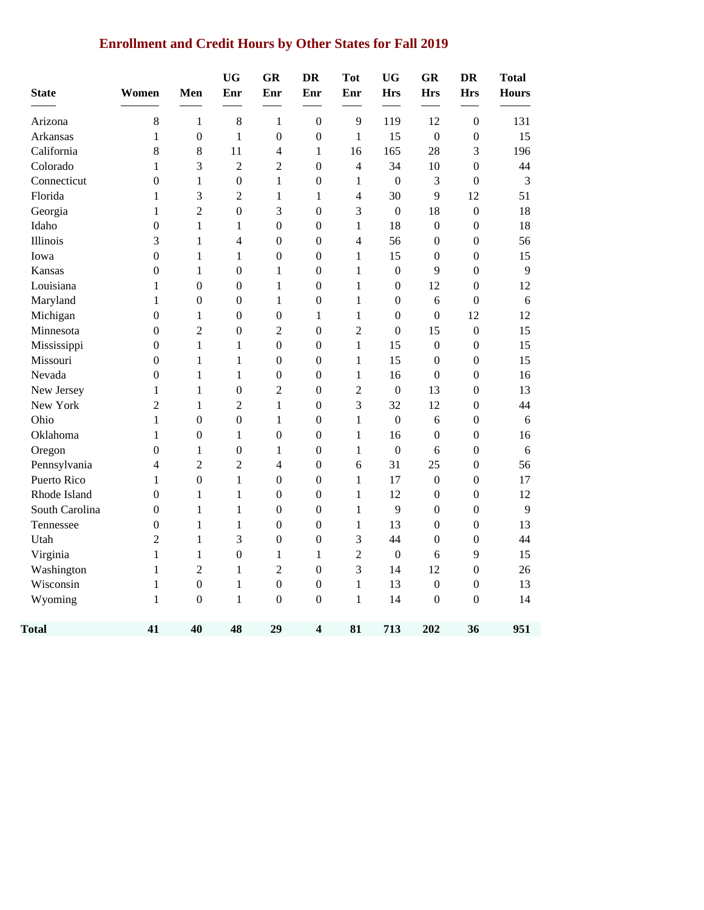# **Enrollment and Credit Hours by Other States for Fall 2019**

| <b>State</b>   | Women            | Men              | <b>UG</b><br>Enr | GR<br>Enr        | <b>DR</b><br>Enr        | <b>Tot</b><br>Enr | <b>UG</b><br><b>Hrs</b> | <b>GR</b><br><b>Hrs</b> | <b>DR</b><br><b>Hrs</b> | <b>Total</b><br><b>Hours</b> |
|----------------|------------------|------------------|------------------|------------------|-------------------------|-------------------|-------------------------|-------------------------|-------------------------|------------------------------|
| Arizona        | 8                | $\mathbf{1}$     | 8                | $\mathbf{1}$     | $\boldsymbol{0}$        | 9                 | 119                     | 12                      | $\boldsymbol{0}$        | 131                          |
| Arkansas       | 1                | $\boldsymbol{0}$ | $\mathbf{1}$     | $\boldsymbol{0}$ | $\boldsymbol{0}$        | $\mathbf{1}$      | 15                      | $\boldsymbol{0}$        | $\boldsymbol{0}$        | 15                           |
| California     | 8                | 8                | 11               | $\overline{4}$   | $\mathbf{1}$            | 16                | 165                     | 28                      | 3                       | 196                          |
| Colorado       | $\mathbf{1}$     | 3                | $\overline{2}$   | $\overline{c}$   | $\boldsymbol{0}$        | $\overline{4}$    | 34                      | 10                      | $\boldsymbol{0}$        | 44                           |
| Connecticut    | $\overline{0}$   | $\mathbf{1}$     | $\mathbf{0}$     | $\mathbf{1}$     | $\mathbf{0}$            | $\mathbf{1}$      | $\boldsymbol{0}$        | 3                       | $\overline{0}$          | 3                            |
| Florida        | 1                | 3                | $\overline{2}$   | 1                | 1                       | $\overline{4}$    | 30                      | 9                       | 12                      | 51                           |
| Georgia        | 1                | $\overline{2}$   | $\boldsymbol{0}$ | 3                | $\overline{0}$          | 3                 | $\boldsymbol{0}$        | 18                      | $\boldsymbol{0}$        | 18                           |
| Idaho          | $\overline{0}$   | $\mathbf{1}$     | $\mathbf{1}$     | $\mathbf{0}$     | $\mathbf{0}$            | $\mathbf{1}$      | 18                      | $\boldsymbol{0}$        | $\boldsymbol{0}$        | 18                           |
| Illinois       | 3                | $\mathbf{1}$     | $\overline{4}$   | $\mathbf{0}$     | $\mathbf{0}$            | $\overline{4}$    | 56                      | $\overline{0}$          | $\boldsymbol{0}$        | 56                           |
| Iowa           | $\boldsymbol{0}$ | $\mathbf{1}$     | $\mathbf{1}$     | $\boldsymbol{0}$ | $\boldsymbol{0}$        | $\mathbf{1}$      | 15                      | $\boldsymbol{0}$        | $\boldsymbol{0}$        | 15                           |
| Kansas         | $\overline{0}$   | $\mathbf{1}$     | $\boldsymbol{0}$ | 1                | $\boldsymbol{0}$        | $\mathbf{1}$      | $\boldsymbol{0}$        | 9                       | $\boldsymbol{0}$        | 9                            |
| Louisiana      | 1                | $\boldsymbol{0}$ | $\boldsymbol{0}$ | 1                | $\mathbf{0}$            | 1                 | $\boldsymbol{0}$        | 12                      | $\overline{0}$          | 12                           |
| Maryland       | 1                | $\mathbf{0}$     | $\mathbf{0}$     | 1                | $\boldsymbol{0}$        | 1                 | $\boldsymbol{0}$        | 6                       | $\mathbf{0}$            | 6                            |
| Michigan       | $\overline{0}$   | $\mathbf{1}$     | $\boldsymbol{0}$ | $\boldsymbol{0}$ | 1                       | $\mathbf{1}$      | $\boldsymbol{0}$        | $\boldsymbol{0}$        | 12                      | 12                           |
| Minnesota      | $\mathbf{0}$     | $\overline{2}$   | $\boldsymbol{0}$ | $\overline{2}$   | $\mathbf{0}$            | $\overline{2}$    | $\boldsymbol{0}$        | 15                      | $\boldsymbol{0}$        | 15                           |
| Mississippi    | $\overline{0}$   | $\mathbf{1}$     | $\mathbf{1}$     | $\mathbf{0}$     | $\mathbf{0}$            | $\mathbf{1}$      | 15                      | $\boldsymbol{0}$        | $\boldsymbol{0}$        | 15                           |
| Missouri       | $\boldsymbol{0}$ | $\mathbf{1}$     | $\mathbf{1}$     | $\boldsymbol{0}$ | $\boldsymbol{0}$        | $\mathbf{1}$      | 15                      | $\boldsymbol{0}$        | $\boldsymbol{0}$        | 15                           |
| Nevada         | $\overline{0}$   | $\mathbf{1}$     | 1                | $\boldsymbol{0}$ | $\boldsymbol{0}$        | 1                 | 16                      | $\boldsymbol{0}$        | $\boldsymbol{0}$        | 16                           |
| New Jersey     | 1                | $\mathbf{1}$     | $\mathbf{0}$     | $\overline{2}$   | $\theta$                | $\overline{2}$    | $\boldsymbol{0}$        | 13                      | $\boldsymbol{0}$        | 13                           |
| New York       | $\overline{c}$   | $\mathbf{1}$     | $\overline{2}$   | $\mathbf{1}$     | $\mathbf{0}$            | 3                 | 32                      | 12                      | $\overline{0}$          | 44                           |
| Ohio           | $\mathbf{1}$     | $\boldsymbol{0}$ | $\boldsymbol{0}$ | $\mathbf{1}$     | $\boldsymbol{0}$        | $\,1$             | $\boldsymbol{0}$        | 6                       | $\boldsymbol{0}$        | 6                            |
| Oklahoma       | $\mathbf{1}$     | $\boldsymbol{0}$ | 1                | $\boldsymbol{0}$ | $\boldsymbol{0}$        | $\mathbf{1}$      | 16                      | $\boldsymbol{0}$        | $\boldsymbol{0}$        | 16                           |
| Oregon         | $\boldsymbol{0}$ | $\mathbf{1}$     | $\boldsymbol{0}$ | $\mathbf{1}$     | $\boldsymbol{0}$        | 1                 | $\boldsymbol{0}$        | 6                       | $\boldsymbol{0}$        | 6                            |
| Pennsylvania   | $\overline{4}$   | $\overline{2}$   | $\overline{2}$   | $\overline{4}$   | $\overline{0}$          | 6                 | 31                      | 25                      | $\boldsymbol{0}$        | 56                           |
| Puerto Rico    | $\mathbf{1}$     | $\boldsymbol{0}$ | $\mathbf{1}$     | $\boldsymbol{0}$ | $\boldsymbol{0}$        | $\mathbf{1}$      | 17                      | $\boldsymbol{0}$        | $\boldsymbol{0}$        | 17                           |
| Rhode Island   | $\boldsymbol{0}$ | $\mathbf{1}$     | $\mathbf{1}$     | $\boldsymbol{0}$ | $\boldsymbol{0}$        | $\,1$             | 12                      | $\boldsymbol{0}$        | $\boldsymbol{0}$        | 12                           |
| South Carolina | $\overline{0}$   | $\mathbf{1}$     | $\mathbf{1}$     | $\boldsymbol{0}$ | $\boldsymbol{0}$        | $\,1$             | 9                       | $\boldsymbol{0}$        | $\boldsymbol{0}$        | 9                            |
| Tennessee      | $\boldsymbol{0}$ | $\mathbf{1}$     | $\mathbf{1}$     | $\boldsymbol{0}$ | $\boldsymbol{0}$        | $\mathbf{1}$      | 13                      | $\boldsymbol{0}$        | $\boldsymbol{0}$        | 13                           |
| Utah           | $\overline{c}$   | $\mathbf{1}$     | 3                | $\boldsymbol{0}$ | $\boldsymbol{0}$        | $\mathfrak{Z}$    | 44                      | $\boldsymbol{0}$        | $\boldsymbol{0}$        | 44                           |
| Virginia       | $\mathbf{1}$     | $\mathbf{1}$     | $\boldsymbol{0}$ | $\mathbf{1}$     | $\mathbf{1}$            | $\overline{c}$    | $\boldsymbol{0}$        | 6                       | 9                       | 15                           |
| Washington     | $\mathbf{1}$     | $\overline{c}$   | $\mathbf{1}$     | $\overline{2}$   | $\mathbf{0}$            | 3                 | 14                      | 12                      | $\boldsymbol{0}$        | 26                           |
| Wisconsin      | $\mathbf{1}$     | $\boldsymbol{0}$ | $\mathbf{1}$     | $\boldsymbol{0}$ | $\boldsymbol{0}$        | $\,1$             | 13                      | $\boldsymbol{0}$        | $\boldsymbol{0}$        | 13                           |
| Wyoming        | 1                | $\boldsymbol{0}$ | 1                | $\boldsymbol{0}$ | $\boldsymbol{0}$        | $\mathbf{1}$      | 14                      | $\boldsymbol{0}$        | $\boldsymbol{0}$        | 14                           |
| <b>Total</b>   | 41               | 40               | 48               | 29               | $\overline{\mathbf{4}}$ | 81                | 713                     | 202                     | 36                      | 951                          |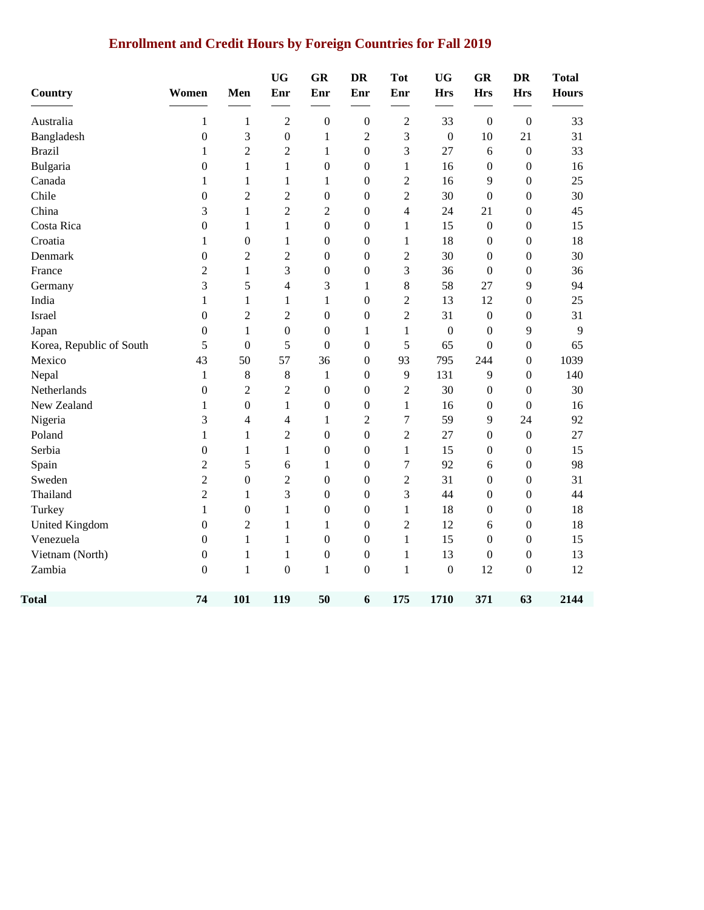# **Enrollment and Credit Hours by Foreign Countries for Fall 2019**

| Country                  | Women            | Men              | <b>UG</b><br>Enr | <b>GR</b><br>Enr | <b>DR</b><br>Enr | <b>Tot</b><br>Enr | <b>UG</b><br><b>Hrs</b> | <b>GR</b><br><b>Hrs</b> | <b>DR</b><br><b>Hrs</b> | <b>Total</b><br><b>Hours</b> |
|--------------------------|------------------|------------------|------------------|------------------|------------------|-------------------|-------------------------|-------------------------|-------------------------|------------------------------|
| Australia                | 1                | 1                | $\overline{2}$   | $\boldsymbol{0}$ | $\mathbf{0}$     | $\overline{2}$    | 33                      | $\boldsymbol{0}$        | $\mathbf{0}$            | 33                           |
| Bangladesh               | $\boldsymbol{0}$ | 3                | $\boldsymbol{0}$ | $\mathbf{1}$     | $\overline{2}$   | 3                 | $\boldsymbol{0}$        | 10                      | 21                      | 31                           |
| <b>Brazil</b>            | 1                | $\overline{2}$   | $\overline{2}$   | 1                | $\Omega$         | 3                 | 27                      | 6                       | $\mathbf{0}$            | 33                           |
| Bulgaria                 | $\boldsymbol{0}$ | $\mathbf{1}$     | $\mathbf{1}$     | $\boldsymbol{0}$ | $\boldsymbol{0}$ | 1                 | 16                      | $\boldsymbol{0}$        | $\boldsymbol{0}$        | 16                           |
| Canada                   | 1                | 1                | $\mathbf{1}$     | $\mathbf{1}$     | $\boldsymbol{0}$ | $\overline{2}$    | 16                      | 9                       | $\boldsymbol{0}$        | 25                           |
| Chile                    | $\boldsymbol{0}$ | $\overline{2}$   | $\overline{2}$   | $\boldsymbol{0}$ | $\boldsymbol{0}$ | $\overline{2}$    | 30                      | $\boldsymbol{0}$        | $\boldsymbol{0}$        | 30                           |
| China                    | 3                | $\mathbf{1}$     | $\overline{2}$   | $\mathfrak 2$    | $\boldsymbol{0}$ | 4                 | 24                      | 21                      | $\boldsymbol{0}$        | 45                           |
| Costa Rica               | $\boldsymbol{0}$ | 1                | $\mathbf{1}$     | $\boldsymbol{0}$ | $\boldsymbol{0}$ | $\mathbf{1}$      | 15                      | $\boldsymbol{0}$        | $\theta$                | 15                           |
| Croatia                  | $\mathbf{1}$     | $\boldsymbol{0}$ | $\mathbf{1}$     | $\boldsymbol{0}$ | $\boldsymbol{0}$ | $\mathbf{1}$      | 18                      | $\boldsymbol{0}$        | $\boldsymbol{0}$        | 18                           |
| Denmark                  | $\boldsymbol{0}$ | $\overline{c}$   | $\overline{c}$   | $\boldsymbol{0}$ | $\boldsymbol{0}$ | $\overline{2}$    | 30                      | $\theta$                | $\boldsymbol{0}$        | 30                           |
| France                   | $\overline{2}$   | $\mathbf{1}$     | 3                | $\boldsymbol{0}$ | $\boldsymbol{0}$ | $\mathfrak{Z}$    | 36                      | $\boldsymbol{0}$        | $\boldsymbol{0}$        | 36                           |
| Germany                  | 3                | 5                | $\overline{4}$   | 3                | $\mathbf{1}$     | $8\,$             | 58                      | 27                      | 9                       | 94                           |
| India                    | 1                | 1                | 1                | $\mathbf{1}$     | $\boldsymbol{0}$ | $\overline{2}$    | 13                      | 12                      | $\boldsymbol{0}$        | 25                           |
| Israel                   | $\boldsymbol{0}$ | $\overline{2}$   | $\overline{2}$   | $\boldsymbol{0}$ | $\overline{0}$   | $\overline{2}$    | 31                      | $\boldsymbol{0}$        | $\mathbf{0}$            | 31                           |
| Japan                    | $\boldsymbol{0}$ | 1                | $\boldsymbol{0}$ | $\boldsymbol{0}$ | 1                | 1                 | $\boldsymbol{0}$        | $\boldsymbol{0}$        | 9                       | 9                            |
| Korea, Republic of South | 5                | $\overline{0}$   | 5                | $\boldsymbol{0}$ | $\boldsymbol{0}$ | 5                 | 65                      | $\boldsymbol{0}$        | $\boldsymbol{0}$        | 65                           |
| Mexico                   | 43               | 50               | 57               | 36               | $\boldsymbol{0}$ | 93                | 795                     | 244                     | $\mathbf{0}$            | 1039                         |
| Nepal                    | 1                | 8                | $8\,$            | $\mathbf{1}$     | $\boldsymbol{0}$ | 9                 | 131                     | 9                       | $\boldsymbol{0}$        | 140                          |
| Netherlands              | $\boldsymbol{0}$ | $\overline{2}$   | $\overline{c}$   | $\boldsymbol{0}$ | $\boldsymbol{0}$ | $\overline{2}$    | 30                      | $\boldsymbol{0}$        | $\theta$                | 30                           |
| New Zealand              | 1                | $\boldsymbol{0}$ | $\mathbf{1}$     | $\boldsymbol{0}$ | $\boldsymbol{0}$ | $\mathbf{1}$      | 16                      | $\boldsymbol{0}$        | $\boldsymbol{0}$        | 16                           |
| Nigeria                  | 3                | $\overline{4}$   | 4                | $\mathbf{1}$     | $\overline{2}$   | $\overline{7}$    | 59                      | 9                       | 24                      | 92                           |
| Poland                   | $\mathbf{1}$     | $\mathbf{1}$     | $\mathfrak{2}$   | $\boldsymbol{0}$ | $\boldsymbol{0}$ | $\mathfrak{2}$    | 27                      | 0                       | $\boldsymbol{0}$        | 27                           |
| Serbia                   | $\boldsymbol{0}$ | $\mathbf{1}$     | $\mathbf{1}$     | $\boldsymbol{0}$ | $\boldsymbol{0}$ | $\mathbf{1}$      | 15                      | $\boldsymbol{0}$        | $\overline{0}$          | 15                           |
| Spain                    | $\overline{2}$   | 5                | 6                | $\mathbf{1}$     | $\boldsymbol{0}$ | $\overline{7}$    | 92                      | 6                       | $\boldsymbol{0}$        | 98                           |
| Sweden                   | $\mathfrak{2}$   | $\boldsymbol{0}$ | $\mathfrak{2}$   | $\boldsymbol{0}$ | $\overline{0}$   | $\sqrt{2}$        | 31                      | $\boldsymbol{0}$        | $\boldsymbol{0}$        | 31                           |
| Thailand                 | $\overline{2}$   | 1                | 3                | $\boldsymbol{0}$ | $\boldsymbol{0}$ | 3                 | 44                      | 0                       | $\boldsymbol{0}$        | 44                           |
| Turkey                   | 1                | $\boldsymbol{0}$ | $\mathbf{1}$     | $\boldsymbol{0}$ | $\boldsymbol{0}$ | $\mathbf{1}$      | 18                      | 0                       | $\boldsymbol{0}$        | 18                           |
| <b>United Kingdom</b>    | $\boldsymbol{0}$ | $\overline{c}$   | $\mathbf{1}$     | $\mathbf{1}$     | $\boldsymbol{0}$ | $\overline{c}$    | 12                      | 6                       | $\boldsymbol{0}$        | 18                           |
| Venezuela                | 0                | $\mathbf{1}$     | $\mathbf{1}$     | $\boldsymbol{0}$ | $\boldsymbol{0}$ | 1                 | 15                      | $\boldsymbol{0}$        | $\boldsymbol{0}$        | 15                           |
| Vietnam (North)          | $\boldsymbol{0}$ | $\mathbf{1}$     | $\mathbf{1}$     | $\boldsymbol{0}$ | $\boldsymbol{0}$ | $\mathbf{1}$      | 13                      | $\boldsymbol{0}$        | $\boldsymbol{0}$        | 13                           |
| Zambia                   | $\boldsymbol{0}$ | $\mathbf{1}$     | $\boldsymbol{0}$ | $\,1$            | $\boldsymbol{0}$ | $\mathbf{1}$      | $\boldsymbol{0}$        | 12                      | $\boldsymbol{0}$        | 12                           |
| <b>Total</b>             | 74               | 101              | 119              | 50               | 6                | 175               | 1710                    | 371                     | 63                      | 2144                         |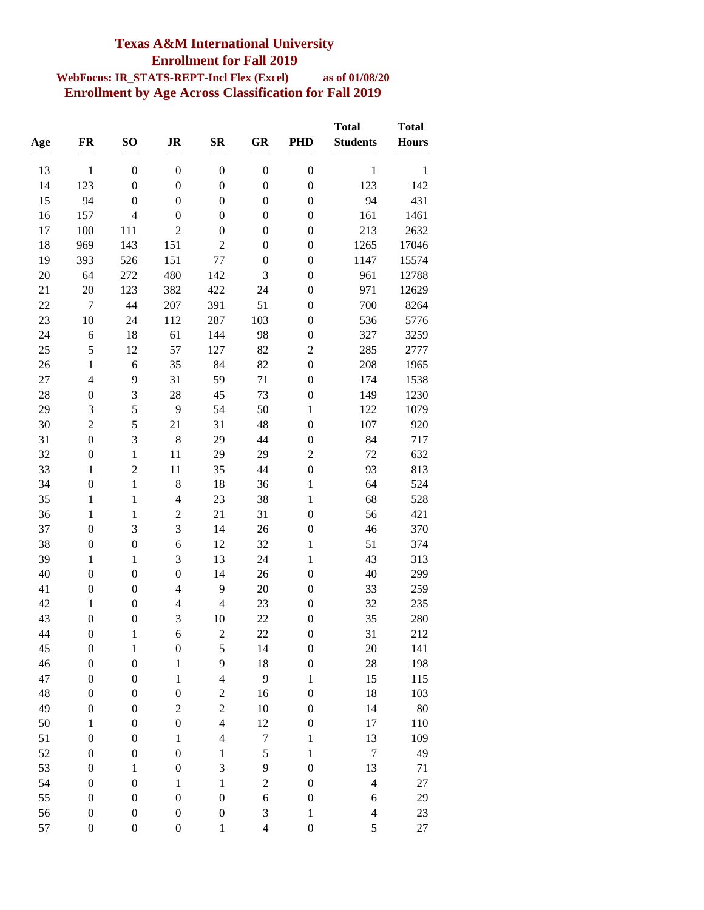### **Texas A&M International University Enrollment for Fall 2019**

#### **WebFocus: IR\_STATS-REPT-Incl Flex (Excel) as of 01/08/20 Enrollment by Age Across Classification for Fall 2019**

| Age      | FR                               | SO <sub>1</sub>                      | <b>JR</b>                     | $S_{\mathbf{R}}$     | GR               | <b>PHD</b>                           | <b>Total</b><br><b>Students</b> | <b>Total</b><br><b>Hours</b> |
|----------|----------------------------------|--------------------------------------|-------------------------------|----------------------|------------------|--------------------------------------|---------------------------------|------------------------------|
| 13       | $\mathbf{1}$                     | $\boldsymbol{0}$                     | $\boldsymbol{0}$              | $\boldsymbol{0}$     | $\boldsymbol{0}$ | $\boldsymbol{0}$                     | $\mathbf{1}$                    | $\mathbf{1}$                 |
| 14       | 123                              | $\boldsymbol{0}$                     | $\boldsymbol{0}$              | $\boldsymbol{0}$     | $\boldsymbol{0}$ | $\boldsymbol{0}$                     | 123                             | 142                          |
| 15       | 94                               | $\boldsymbol{0}$                     | $\boldsymbol{0}$              | $\boldsymbol{0}$     | $\boldsymbol{0}$ | $\boldsymbol{0}$                     | 94                              | 431                          |
| 16       | 157                              | $\overline{4}$                       | $\boldsymbol{0}$              | $\boldsymbol{0}$     | $\boldsymbol{0}$ | $\boldsymbol{0}$                     | 161                             | 1461                         |
| 17       | 100                              | 111                                  | $\overline{2}$                | $\boldsymbol{0}$     | $\boldsymbol{0}$ | $\boldsymbol{0}$                     | 213                             | 2632                         |
| 18       | 969                              | 143                                  | 151                           | $\mathfrak 2$        | $\boldsymbol{0}$ | $\boldsymbol{0}$                     | 1265                            | 17046                        |
| 19       | 393                              | 526                                  | 151                           | 77                   | $\boldsymbol{0}$ | $\boldsymbol{0}$                     | 1147                            | 15574                        |
| 20       | 64                               | 272                                  | 480                           | 142                  | 3                | $\boldsymbol{0}$                     | 961                             | 12788                        |
| 21       | 20                               | 123                                  | 382                           | 422                  | 24               | $\boldsymbol{0}$                     | 971                             | 12629                        |
| 22       | $\overline{7}$                   | 44                                   | 207                           | 391                  | 51               | $\boldsymbol{0}$                     | 700                             | 8264                         |
| 23       | 10                               | 24                                   | 112                           | 287                  | 103              | $\boldsymbol{0}$                     | 536                             | 5776                         |
| 24       | 6                                | 18                                   | 61                            | 144                  | 98               | $\boldsymbol{0}$                     | 327                             | 3259                         |
| 25       | 5                                | 12                                   | 57                            | 127                  | 82               | $\overline{c}$                       | 285                             | 2777                         |
| 26       | $\mathbf{1}$                     | 6                                    | 35                            | 84                   | 82               | $\boldsymbol{0}$                     | 208                             | 1965                         |
| 27       | $\overline{4}$                   | 9                                    | 31                            | 59                   | 71               | $\boldsymbol{0}$                     | 174                             | 1538                         |
| 28       | $\boldsymbol{0}$                 | 3                                    | 28                            | 45                   | 73               | $\boldsymbol{0}$                     | 149                             | 1230                         |
| 29       | $\mathfrak{Z}$                   | 5                                    | 9                             | 54                   | 50               | $\mathbf 1$                          | 122                             | 1079                         |
| 30       | $\overline{c}$                   | 5                                    | 21                            | 31                   | 48               | $\boldsymbol{0}$                     | 107                             | 920                          |
| 31       | $\boldsymbol{0}$                 | 3                                    | 8                             | 29                   | 44               | $\boldsymbol{0}$                     | 84                              | 717                          |
| 32       | $\boldsymbol{0}$                 | $\mathbf{1}$                         | 11                            | 29                   | 29               | $\overline{c}$                       | 72                              | 632                          |
| 33       | $\mathbf{1}$                     | $\overline{c}$                       | 11                            | 35                   | 44               | $\boldsymbol{0}$                     | 93                              | 813                          |
| 34       | $\boldsymbol{0}$                 | $\mathbf{1}$                         | 8                             | 18                   | 36               | $\mathbf 1$                          | 64                              | 524                          |
| 35       | $\mathbf{1}$                     | $\mathbf{1}$                         | $\overline{4}$                | 23                   | 38               | $\,1$                                | 68                              | 528                          |
| 36       | $\mathbf{1}$                     | $\mathbf{1}$                         | $\overline{c}$                | 21                   | 31               | $\boldsymbol{0}$                     | 56                              | 421                          |
| 37       | $\boldsymbol{0}$                 | 3                                    | $\overline{3}$                | 14                   | 26               | $\boldsymbol{0}$                     | 46                              | 370                          |
| 38       | $\boldsymbol{0}$                 | $\boldsymbol{0}$                     | $\sqrt{6}$                    | 12                   | 32               | $\mathbf 1$                          | 51                              | 374                          |
| 39       | $\mathbf{1}$                     | $\mathbf{1}$                         | 3                             | 13                   | 24               | $\mathbf{1}$                         | 43                              | 313                          |
| 40       | $\boldsymbol{0}$                 | $\boldsymbol{0}$                     | $\boldsymbol{0}$              | 14                   | 26               | $\boldsymbol{0}$                     | 40                              | 299                          |
| 41       | $\boldsymbol{0}$                 | $\boldsymbol{0}$                     | $\overline{4}$                | 9                    | 20               | $\boldsymbol{0}$                     | 33                              | 259                          |
| 42<br>43 | $\mathbf{1}$<br>$\boldsymbol{0}$ | $\boldsymbol{0}$<br>$\boldsymbol{0}$ | $\overline{\mathcal{L}}$<br>3 | $\overline{4}$<br>10 | 23<br>22         | $\boldsymbol{0}$<br>$\boldsymbol{0}$ | 32<br>35                        | 235<br>280                   |
| 44       | $\boldsymbol{0}$                 |                                      | 6                             | $\overline{c}$       | 22               | $\boldsymbol{0}$                     | 31                              | 212                          |
| 45       | $\boldsymbol{0}$                 | $\mathbf{1}$<br>$\mathbf{1}$         | $\boldsymbol{0}$              | $\sqrt{5}$           | 14               | $\boldsymbol{0}$                     | 20                              | 141                          |
| 46       | $\boldsymbol{0}$                 | $\boldsymbol{0}$                     | $\,1$                         | 9                    | 18               | $\boldsymbol{0}$                     | 28                              | 198                          |
| 47       | $\boldsymbol{0}$                 | $\boldsymbol{0}$                     | $\,1$                         | $\overline{4}$       | 9                | $\,1$                                | 15                              | 115                          |
| 48       | $\boldsymbol{0}$                 | $\boldsymbol{0}$                     | $\boldsymbol{0}$              | $\overline{c}$       | 16               | $\boldsymbol{0}$                     | 18                              | 103                          |
| 49       | $\boldsymbol{0}$                 | $\boldsymbol{0}$                     | $\overline{c}$                | $\overline{c}$       | 10               | $\boldsymbol{0}$                     | 14                              | 80                           |
| 50       | $\,1$                            | $\boldsymbol{0}$                     | $\boldsymbol{0}$              | $\overline{4}$       | 12               | $\boldsymbol{0}$                     | $17\,$                          | 110                          |
| 51       | $\boldsymbol{0}$                 | $\boldsymbol{0}$                     | $\,1$                         | $\overline{4}$       | $\boldsymbol{7}$ | $\mathbf 1$                          | 13                              | 109                          |
| 52       | $\boldsymbol{0}$                 | $\boldsymbol{0}$                     | $\boldsymbol{0}$              | $\,1$                | 5                | $\,1$                                | $\sqrt{ }$                      | 49                           |
| 53       | $\boldsymbol{0}$                 | $\,1$                                | $\boldsymbol{0}$              | 3                    | 9                | $\boldsymbol{0}$                     | 13                              | 71                           |
| 54       | $\boldsymbol{0}$                 | $\boldsymbol{0}$                     | $\,1$                         | $\mathbf 1$          | $\overline{c}$   | $\boldsymbol{0}$                     | $\overline{\mathcal{L}}$        | 27                           |
| 55       | $\boldsymbol{0}$                 | $\boldsymbol{0}$                     | $\boldsymbol{0}$              | $\boldsymbol{0}$     | 6                | $\boldsymbol{0}$                     | 6                               | 29                           |
| 56       | $\boldsymbol{0}$                 | $\boldsymbol{0}$                     | $\boldsymbol{0}$              | $\boldsymbol{0}$     | 3                | $\mathbf 1$                          | $\overline{\mathcal{L}}$        | 23                           |
| 57       | $\boldsymbol{0}$                 | $\boldsymbol{0}$                     | $\boldsymbol{0}$              | $\mathbf{1}$         | $\overline{4}$   | $\boldsymbol{0}$                     | 5                               | 27                           |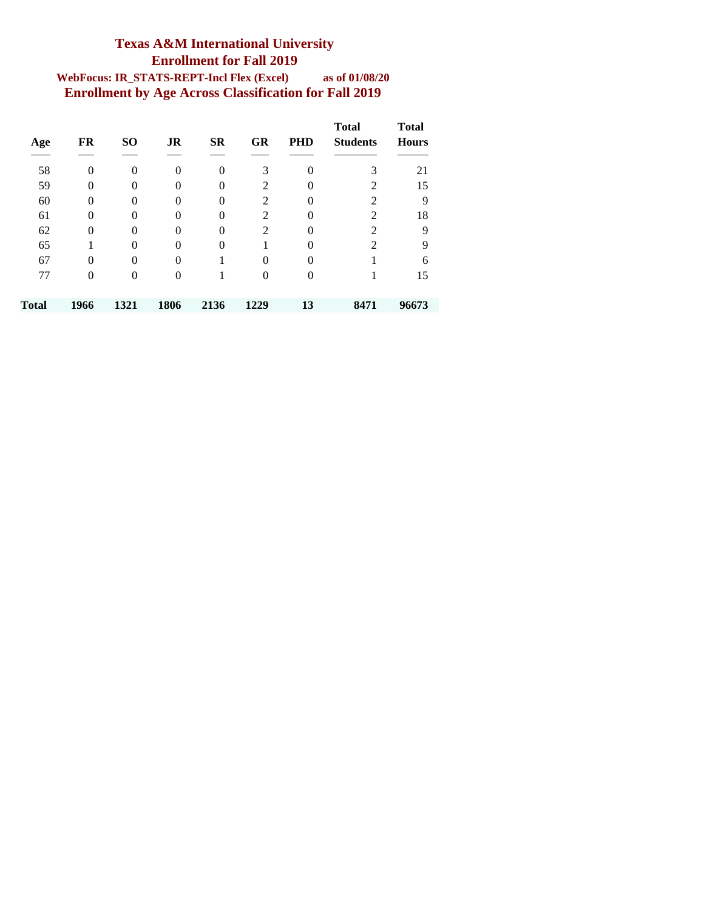#### **Texas A&M International University Enrollment for Fall 2019 WebFocus: IR\_STATS-REPT-Incl Flex (Excel) as of 01/08/20 Enrollment by Age Across Classification for Fall 2019**

| Age   | FR             | <b>SO</b>      | JR             | <b>SR</b>      | <b>GR</b>      | <b>PHD</b> | <b>Total</b><br><b>Students</b> | <b>Total</b><br><b>Hours</b> |
|-------|----------------|----------------|----------------|----------------|----------------|------------|---------------------------------|------------------------------|
|       |                |                |                |                |                |            |                                 |                              |
| 58    | $\theta$       | $\overline{0}$ | $\theta$       | $\overline{0}$ | 3              | $\Omega$   | 3                               | 21                           |
| 59    | $\theta$       | $\theta$       | $\overline{0}$ | $\Omega$       | 2              | 0          | $\overline{2}$                  | 15                           |
| 60    | $\theta$       | $\theta$       | $\Omega$       | $\Omega$       | $\overline{c}$ | $\Omega$   | 2                               | 9                            |
| 61    | $\theta$       | $\theta$       | $\theta$       | $\theta$       | $\overline{2}$ | $\Omega$   | $\overline{2}$                  | 18                           |
| 62    | $\overline{0}$ | $\overline{0}$ | $\overline{0}$ | $\theta$       | $\overline{c}$ | $\Omega$   | $\overline{2}$                  | 9                            |
| 65    |                | $\theta$       | $\theta$       | $\theta$       |                | 0          | 2                               | 9                            |
| 67    | 0              | $\overline{0}$ | $\overline{0}$ |                | $\overline{0}$ | 0          |                                 | 6                            |
| 77    | 0              | $\overline{0}$ | $\overline{0}$ |                | $\theta$       | $\Omega$   |                                 | 15                           |
|       |                |                |                |                |                |            |                                 |                              |
| Total | 1966           | 1321           | 1806           | 2136           | 1229           | 13         | 8471                            | 96673                        |
|       |                |                |                |                |                |            |                                 |                              |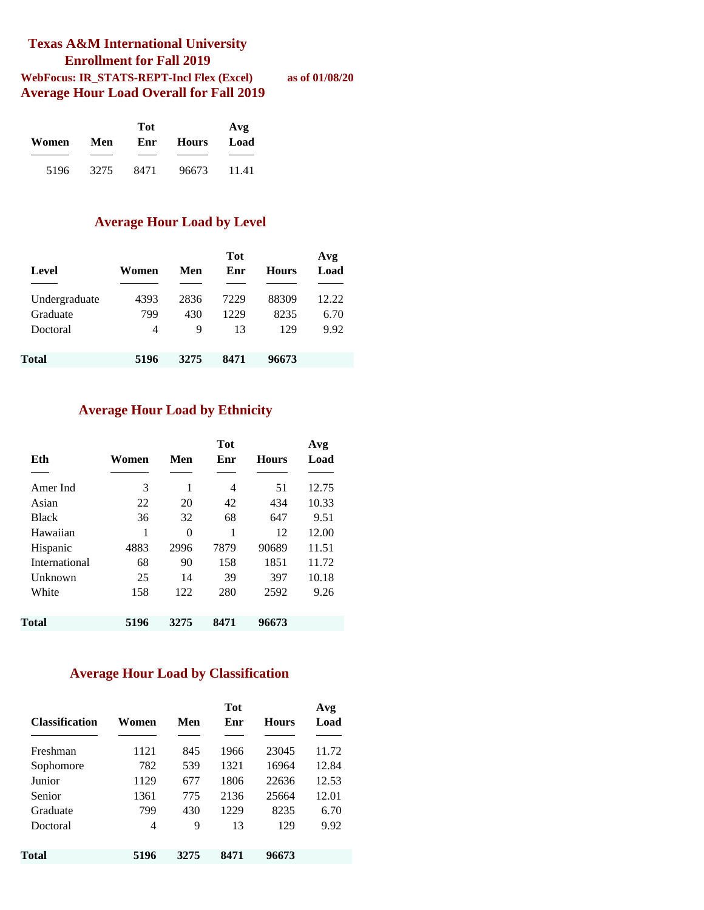#### **Texas A&M International University Enrollment for Fall 2019 WebFocus: IR\_STATS-REPT-Incl Flex (Excel) as of 01/08/20 Average Hour Load Overall for Fall 2019**

|       | Tot  |      |              |       |  |  |  |  |
|-------|------|------|--------------|-------|--|--|--|--|
| Women | Men  | Enr  | <b>Hours</b> | Load  |  |  |  |  |
|       |      |      |              |       |  |  |  |  |
| 5196  | 3275 | 8471 | 96673        | 11.41 |  |  |  |  |

#### **Average Hour Load by Level**

| Level         | Women | Men  | <b>Tot</b><br>Enr | <b>Hours</b> | Avg<br>Load |
|---------------|-------|------|-------------------|--------------|-------------|
| Undergraduate | 4393  | 2836 | 7229              | 88309        | 12.22       |
| Graduate      | 799   | 430  | 1229              | 8235         | 6.70        |
| Doctoral      | 4     | 9    | 13                | 129          | 9.92        |
|               |       |      |                   |              |             |
| Total         | 5196  | 3275 | 8471              | 96673        |             |

#### **Average Hour Load by Ethnicity**

| Eth           | Women | Men  | <b>Tot</b><br>Enr | <b>Hours</b> | Avg<br>Load |
|---------------|-------|------|-------------------|--------------|-------------|
|               |       |      |                   |              |             |
| Amer Ind      | 3     | 1    | 4                 | 51           | 12.75       |
| Asian         | 22    | 20   | 42                | 434          | 10.33       |
| <b>Black</b>  | 36    | 32   | 68                | 647          | 9.51        |
| Hawaiian      | 1     | 0    | 1                 | 12           | 12.00       |
| Hispanic      | 4883  | 2996 | 7879              | 90689        | 11.51       |
| International | 68    | 90   | 158               | 1851         | 11.72       |
| Unknown       | 25    | 14   | 39                | 397          | 10.18       |
| White         | 158   | 122  | 280               | 2592         | 9.26        |
|               |       |      |                   |              |             |
| Total         | 5196  | 3275 | 8471              | 96673        |             |

#### **Average Hour Load by Classification**

| <b>Classification</b> | Women | Men  | <b>Tot</b><br>Enr | <b>Hours</b> | Avg<br>Load |
|-----------------------|-------|------|-------------------|--------------|-------------|
| Freshman              | 1121  | 845  | 1966              | 23045        | 11.72       |
| Sophomore             | 782   | 539  | 1321              | 16964        | 12.84       |
| Junior                | 1129  | 677  | 1806              | 22636        | 12.53       |
| Senior                | 1361  | 775  | 2136              | 25664        | 12.01       |
| Graduate              | 799   | 430  | 1229              | 8235         | 6.70        |
| Doctoral              | 4     | 9    | 13                | 129          | 9.92        |
| Total                 | 5196  | 3275 | 8471              | 96673        |             |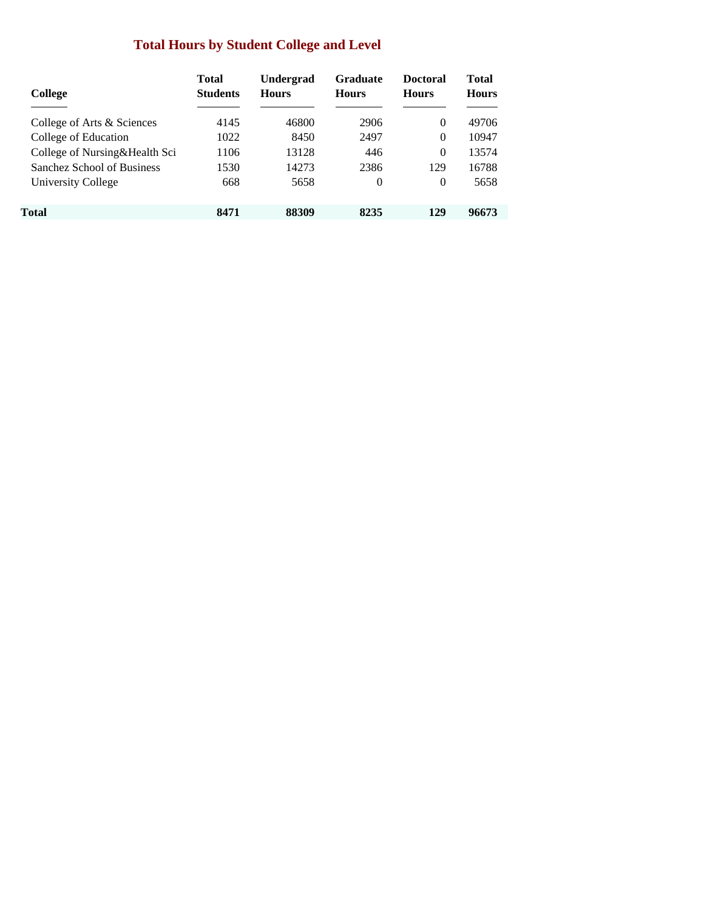### **Total Hours by Student College and Level**

| College                       | <b>Total</b><br><b>Students</b> | Undergrad<br><b>Hours</b> | <b>Graduate</b><br><b>Hours</b> | <b>Doctoral</b><br><b>Hours</b> | Total<br><b>Hours</b> |
|-------------------------------|---------------------------------|---------------------------|---------------------------------|---------------------------------|-----------------------|
| College of Arts & Sciences    | 4145                            | 46800                     | 2906                            | $\Omega$                        | 49706                 |
| College of Education          | 1022                            | 8450                      | 2497                            | $\Omega$                        | 10947                 |
| College of Nursing&Health Sci | 1106                            | 13128                     | 446                             | $\Omega$                        | 13574                 |
| Sanchez School of Business    | 1530                            | 14273                     | 2386                            | 129                             | 16788                 |
| University College            | 668                             | 5658                      | $\Omega$                        | 0                               | 5658                  |
| Total                         | 8471                            | 88309                     | 8235                            | 129                             | 96673                 |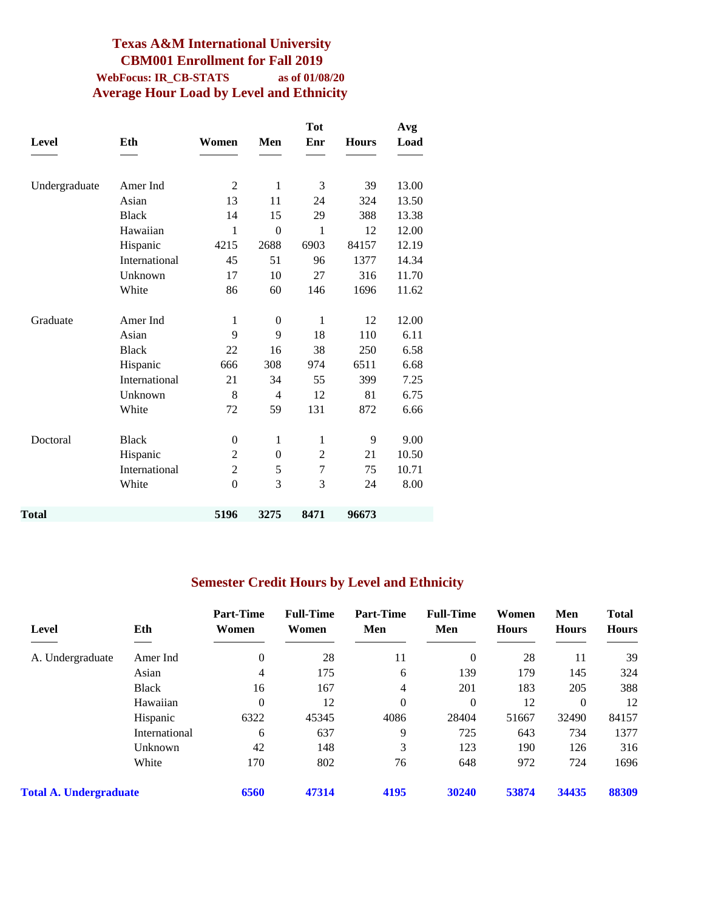#### **Texas A&M International University CBM001 Enrollment for Fall 2019 WebFocus: IR\_CB-STATS as of 01/08/20 Average Hour Load by Level and Ethnicity**

|               |               |                |                  | <b>Tot</b>     |              | Avg   |
|---------------|---------------|----------------|------------------|----------------|--------------|-------|
| <b>Level</b>  | Eth           | Women          | Men              | Enr            | <b>Hours</b> | Load  |
|               |               |                |                  |                |              |       |
| Undergraduate | Amer Ind      | $\overline{2}$ | $\mathbf{1}$     | 3              | 39           | 13.00 |
|               | Asian         | 13             | 11               | 24             | 324          | 13.50 |
|               | <b>Black</b>  | 14             | 15               | 29             | 388          | 13.38 |
|               | Hawaiian      | 1              | $\overline{0}$   | 1              | 12           | 12.00 |
|               | Hispanic      | 4215           | 2688             | 6903           | 84157        | 12.19 |
|               | International | 45             | 51               | 96             | 1377         | 14.34 |
|               | Unknown       | 17             | 10               | 27             | 316          | 11.70 |
|               | White         | 86             | 60               | 146            | 1696         | 11.62 |
| Graduate      | Amer Ind      | 1              | $\theta$         | $\mathbf{1}$   | 12           | 12.00 |
|               | Asian         | 9              | 9                | 18             | 110          | 6.11  |
|               | <b>Black</b>  | 22             | 16               | 38             | 250          | 6.58  |
|               | Hispanic      | 666            | 308              | 974            | 6511         | 6.68  |
|               | International | 21             | 34               | 55             | 399          | 7.25  |
|               | Unknown       | 8              | 4                | 12             | 81           | 6.75  |
|               | White         | 72             | 59               | 131            | 872          | 6.66  |
| Doctoral      | <b>Black</b>  | $\theta$       | $\mathbf{1}$     | $\mathbf{1}$   | 9            | 9.00  |
|               | Hispanic      | $\overline{c}$ | $\boldsymbol{0}$ | $\overline{c}$ | 21           | 10.50 |
|               | International | $\overline{2}$ | 5                | 7              | 75           | 10.71 |
|               | White         | $\theta$       | 3                | 3              | 24           | 8.00  |
| Total         |               | 5196           | 3275             | 8471           | 96673        |       |
|               |               |                |                  |                |              |       |

### **Semester Credit Hours by Level and Ethnicity**

| Level                         | Eth           | <b>Part-Time</b><br>Women | <b>Full-Time</b><br>Women | <b>Part-Time</b><br>Men | <b>Full-Time</b><br>Men | Women<br><b>Hours</b> | Men<br><b>Hours</b> | <b>Total</b><br><b>Hours</b> |
|-------------------------------|---------------|---------------------------|---------------------------|-------------------------|-------------------------|-----------------------|---------------------|------------------------------|
| A. Undergraduate              | Amer Ind      | $\theta$                  | 28                        | 11                      | $\theta$                | 28                    | 11                  | 39                           |
|                               | Asian         | 4                         | 175                       | 6                       | 139                     | 179                   | 145                 | 324                          |
|                               | <b>Black</b>  | 16                        | 167                       | 4                       | 201                     | 183                   | 205                 | 388                          |
|                               | Hawaiian      | $\theta$                  | 12                        | $\mathbf{0}$            | $\theta$                | 12                    | $\theta$            | 12                           |
|                               | Hispanic      | 6322                      | 45345                     | 4086                    | 28404                   | 51667                 | 32490               | 84157                        |
|                               | International | 6                         | 637                       | 9                       | 725                     | 643                   | 734                 | 1377                         |
|                               | Unknown       | 42                        | 148                       | 3                       | 123                     | 190                   | 126                 | 316                          |
|                               | White         | 170                       | 802                       | 76                      | 648                     | 972                   | 724                 | 1696                         |
| <b>Total A. Undergraduate</b> |               | 6560                      | 47314                     | 4195                    | 30240                   | 53874                 | 34435               | 88309                        |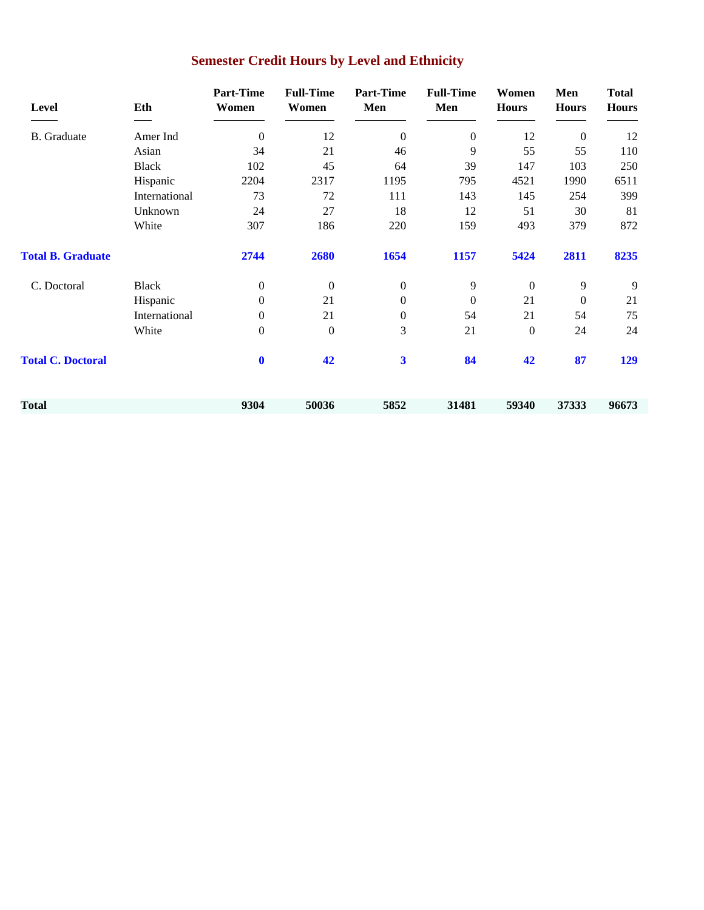| Level                    | Eth           | <b>Part-Time</b><br>Women | <b>Full-Time</b><br>Women | <b>Part-Time</b><br>Men | <b>Full-Time</b><br>Men | Women<br><b>Hours</b> | Men<br><b>Hours</b> | <b>Total</b><br><b>Hours</b> |
|--------------------------|---------------|---------------------------|---------------------------|-------------------------|-------------------------|-----------------------|---------------------|------------------------------|
| <b>B.</b> Graduate       | Amer Ind      | $\Omega$                  | 12                        | $\overline{0}$          | $\boldsymbol{0}$        | 12                    | $\overline{0}$      | 12                           |
|                          | Asian         | 34                        | 21                        | 46                      | 9                       | 55                    | 55                  | 110                          |
|                          | <b>Black</b>  | 102                       | 45                        | 64                      | 39                      | 147                   | 103                 | 250                          |
|                          | Hispanic      | 2204                      | 2317                      | 1195                    | 795                     | 4521                  | 1990                | 6511                         |
|                          | International | 73                        | 72                        | 111                     | 143                     | 145                   | 254                 | 399                          |
|                          | Unknown       | 24                        | 27                        | 18                      | 12                      | 51                    | 30                  | 81                           |
|                          | White         | 307                       | 186                       | 220                     | 159                     | 493                   | 379                 | 872                          |
| <b>Total B. Graduate</b> |               | 2744                      | 2680                      | 1654                    | 1157                    | 5424                  | 2811                | 8235                         |
| C. Doctoral              | <b>Black</b>  | $\mathbf{0}$              | $\mathbf{0}$              | $\boldsymbol{0}$        | 9                       | $\mathbf{0}$          | 9                   | 9                            |
|                          | Hispanic      | $\mathbf{0}$              | 21                        | $\boldsymbol{0}$        | $\boldsymbol{0}$        | 21                    | $\overline{0}$      | 21                           |
|                          | International | $\mathbf{0}$              | 21                        | $\boldsymbol{0}$        | 54                      | 21                    | 54                  | 75                           |
|                          | White         | $\mathbf{0}$              | $\boldsymbol{0}$          | 3                       | 21                      | $\boldsymbol{0}$      | 24                  | 24                           |
| <b>Total C. Doctoral</b> |               | $\mathbf 0$               | 42                        | 3                       | 84                      | 42                    | 87                  | 129                          |
| Total                    |               | 9304                      | 50036                     | 5852                    | 31481                   | 59340                 | 37333               | 96673                        |
|                          |               |                           |                           |                         |                         |                       |                     |                              |

# **Semester Credit Hours by Level and Ethnicity**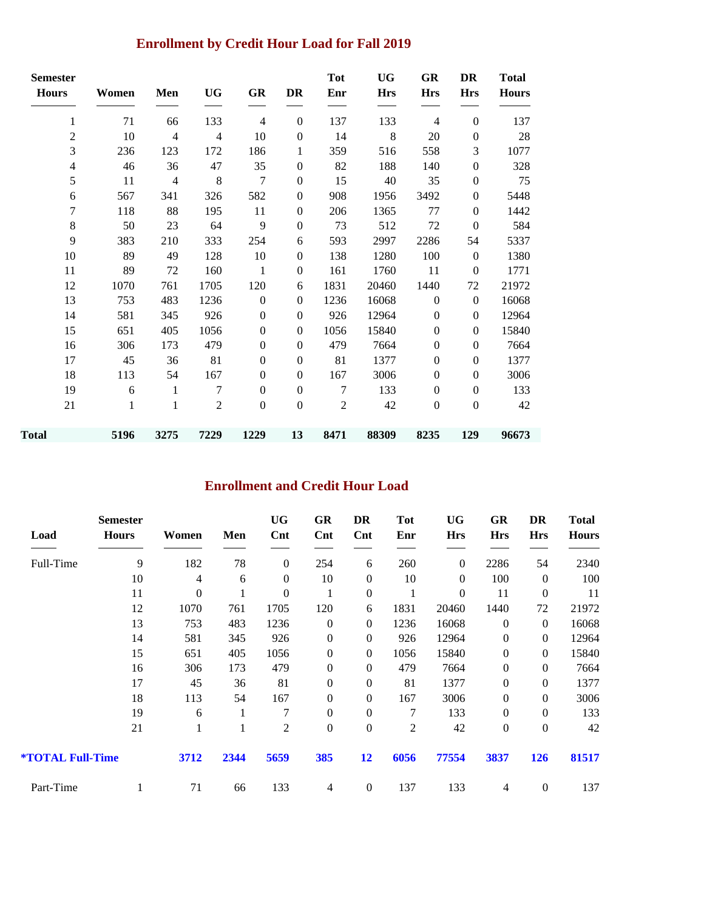### **Enrollment by Credit Hour Load for Fall 2019**

| <b>Semester</b> |       |                |                |                  |                  | <b>Tot</b>     | <b>UG</b>  | GR               | <b>DR</b>        | <b>Total</b> |
|-----------------|-------|----------------|----------------|------------------|------------------|----------------|------------|------------------|------------------|--------------|
| <b>Hours</b>    | Women | Men            | <b>UG</b>      | GR               | DR               | Enr            | <b>Hrs</b> | <b>Hrs</b>       | <b>Hrs</b>       | <b>Hours</b> |
| 1               | 71    | 66             | 133            | 4                | $\boldsymbol{0}$ | 137            | 133        | 4                | $\boldsymbol{0}$ | 137          |
| $\overline{c}$  | 10    | $\overline{4}$ | $\overline{4}$ | 10               | $\boldsymbol{0}$ | 14             | $\,8$      | $20\,$           | $\boldsymbol{0}$ | 28           |
| 3               | 236   | 123            | 172            | 186              | 1                | 359            | 516        | 558              | 3                | 1077         |
| $\overline{4}$  | 46    | 36             | 47             | 35               | $\boldsymbol{0}$ | 82             | 188        | 140              | $\boldsymbol{0}$ | 328          |
| 5               | 11    | $\overline{4}$ | 8              | 7                | $\boldsymbol{0}$ | 15             | 40         | 35               | $\boldsymbol{0}$ | 75           |
| 6               | 567   | 341            | 326            | 582              | $\boldsymbol{0}$ | 908            | 1956       | 3492             | $\boldsymbol{0}$ | 5448         |
| 7               | 118   | 88             | 195            | 11               | $\boldsymbol{0}$ | 206            | 1365       | 77               | $\boldsymbol{0}$ | 1442         |
| $\,8\,$         | 50    | 23             | 64             | 9                | $\boldsymbol{0}$ | 73             | 512        | $72\,$           | $\mathbf{0}$     | 584          |
| 9               | 383   | 210            | 333            | 254              | 6                | 593            | 2997       | 2286             | 54               | 5337         |
| 10              | 89    | 49             | 128            | 10               | $\boldsymbol{0}$ | 138            | 1280       | 100              | $\theta$         | 1380         |
| 11              | 89    | 72             | 160            | $\mathbf{1}$     | $\boldsymbol{0}$ | 161            | 1760       | 11               | $\overline{0}$   | 1771         |
| 12              | 1070  | 761            | 1705           | 120              | 6                | 1831           | 20460      | 1440             | 72               | 21972        |
| 13              | 753   | 483            | 1236           | $\boldsymbol{0}$ | $\boldsymbol{0}$ | 1236           | 16068      | $\boldsymbol{0}$ | $\boldsymbol{0}$ | 16068        |
| 14              | 581   | 345            | 926            | $\mathbf{0}$     | $\mathbf{0}$     | 926            | 12964      | $\boldsymbol{0}$ | $\boldsymbol{0}$ | 12964        |
| 15              | 651   | 405            | 1056           | $\overline{0}$   | $\boldsymbol{0}$ | 1056           | 15840      | $\boldsymbol{0}$ | $\boldsymbol{0}$ | 15840        |
| 16              | 306   | 173            | 479            | $\mathbf{0}$     | $\boldsymbol{0}$ | 479            | 7664       | $\boldsymbol{0}$ | $\boldsymbol{0}$ | 7664         |
| 17              | 45    | 36             | 81             | $\mathbf{0}$     | $\boldsymbol{0}$ | 81             | 1377       | $\boldsymbol{0}$ | $\boldsymbol{0}$ | 1377         |
| 18              | 113   | 54             | 167            | $\mathbf{0}$     | $\mathbf{0}$     | 167            | 3006       | $\boldsymbol{0}$ | $\boldsymbol{0}$ | 3006         |
| 19              | 6     | 1              | $\tau$         | $\overline{0}$   | $\boldsymbol{0}$ | $\overline{7}$ | 133        | $\boldsymbol{0}$ | $\boldsymbol{0}$ | 133          |
| 21              | 1     | 1              | 2              | $\mathbf{0}$     | $\mathbf{0}$     | 2              | 42         | $\boldsymbol{0}$ | $\overline{0}$   | 42           |
| Total           | 5196  | 3275           | 7229           | 1229             | 13               | 8471           | 88309      | 8235             | 129              | 96673        |

### **Enrollment and Credit Hour Load**

| Load                           | <b>Semester</b><br><b>Hours</b> | Women          | Men  | <b>UG</b><br>$\mathbf{Cnt}$ | GR<br>Cnt        | DR<br>$\mathbf{Cnt}$ | Tot<br>Enr     | UG<br><b>Hrs</b> | GR<br><b>Hrs</b> | DR<br><b>Hrs</b> | <b>Total</b><br><b>Hours</b> |
|--------------------------------|---------------------------------|----------------|------|-----------------------------|------------------|----------------------|----------------|------------------|------------------|------------------|------------------------------|
| Full-Time                      | 9                               | 182            | 78   | $\boldsymbol{0}$            | 254              | 6                    | 260            | $\boldsymbol{0}$ | 2286             | 54               | 2340                         |
|                                | 10                              | $\overline{4}$ | 6    | $\boldsymbol{0}$            | 10               | $\theta$             | 10             | $\Omega$         | 100              | $\mathbf{0}$     | 100                          |
|                                | 11                              | $\overline{0}$ |      | 0                           | 1                | $\overline{0}$       | 1              | $\Omega$         | 11               | $\boldsymbol{0}$ | 11                           |
|                                | 12                              | 1070           | 761  | 1705                        | 120              | 6                    | 1831           | 20460            | 1440             | 72               | 21972                        |
|                                | 13                              | 753            | 483  | 1236                        | $\boldsymbol{0}$ | $\theta$             | 1236           | 16068            | $\theta$         | $\mathbf{0}$     | 16068                        |
|                                | 14                              | 581            | 345  | 926                         | $\boldsymbol{0}$ | $\theta$             | 926            | 12964            | $\theta$         | $\theta$         | 12964                        |
|                                | 15                              | 651            | 405  | 1056                        | $\boldsymbol{0}$ | $\overline{0}$       | 1056           | 15840            | $\boldsymbol{0}$ | $\theta$         | 15840                        |
|                                | 16                              | 306            | 173  | 479                         | $\boldsymbol{0}$ | $\theta$             | 479            | 7664             | $\boldsymbol{0}$ | $\theta$         | 7664                         |
|                                | 17                              | 45             | 36   | 81                          | $\boldsymbol{0}$ | $\boldsymbol{0}$     | 81             | 1377             | $\boldsymbol{0}$ | $\boldsymbol{0}$ | 1377                         |
|                                | 18                              | 113            | 54   | 167                         | $\overline{0}$   | $\Omega$             | 167            | 3006             | $\theta$         | $\theta$         | 3006                         |
|                                | 19                              | 6              | 1    | 7                           | $\overline{0}$   | $\boldsymbol{0}$     | 7              | 133              | $\boldsymbol{0}$ | $\boldsymbol{0}$ | 133                          |
|                                | 21                              | 1              | 1    | $\overline{2}$              | $\boldsymbol{0}$ | $\boldsymbol{0}$     | $\overline{2}$ | 42               | $\boldsymbol{0}$ | $\boldsymbol{0}$ | 42                           |
| <i><b>*TOTAL Full-Time</b></i> |                                 | 3712           | 2344 | 5659                        | 385              | 12                   | 6056           | 77554            | 3837             | <b>126</b>       | 81517                        |
| Part-Time                      |                                 | 71             | 66   | 133                         | 4                | $\theta$             | 137            | 133              | 4                | $\boldsymbol{0}$ | 137                          |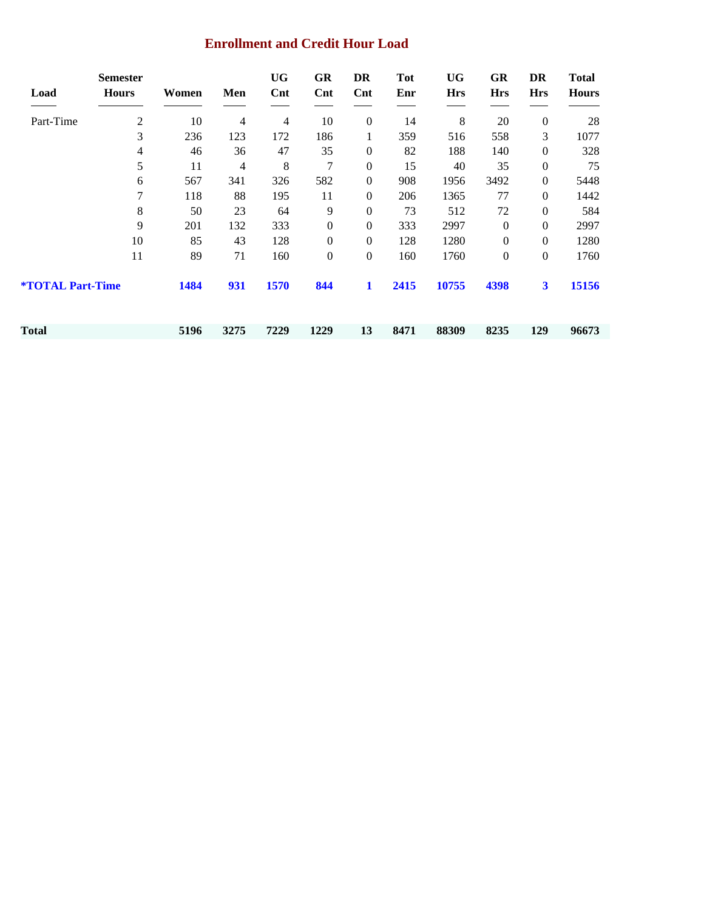#### **Enrollment and Credit Hour Load**

| Load                           | <b>Semester</b><br><b>Hours</b> | Women | Men  | <b>UG</b><br>Cnt | GR<br>Cnt        | DR<br>$\mathbf{Cnt}$ | Tot<br>Enr | UG<br><b>Hrs</b> | GR<br><b>Hrs</b> | DR<br><b>Hrs</b>        | <b>Total</b><br><b>Hours</b> |
|--------------------------------|---------------------------------|-------|------|------------------|------------------|----------------------|------------|------------------|------------------|-------------------------|------------------------------|
| Part-Time                      | 2                               | 10    | 4    | 4                | 10               | $\boldsymbol{0}$     | 14         | 8                | 20               | $\boldsymbol{0}$        | 28                           |
|                                | 3                               | 236   | 123  | 172              | 186              | 1                    | 359        | 516              | 558              | 3                       | 1077                         |
|                                | 4                               | 46    | 36   | 47               | 35               | $\overline{0}$       | 82         | 188              | 140              | $\theta$                | 328                          |
|                                | 5                               | 11    | 4    | 8                | 7                | $\boldsymbol{0}$     | 15         | 40               | 35               | $\mathbf{0}$            | 75                           |
|                                | 6                               | 567   | 341  | 326              | 582              | $\overline{0}$       | 908        | 1956             | 3492             | $\theta$                | 5448                         |
|                                | 7                               | 118   | 88   | 195              | 11               | $\overline{0}$       | 206        | 1365             | 77               | $\mathbf{0}$            | 1442                         |
|                                | 8                               | 50    | 23   | 64               | 9                | $\boldsymbol{0}$     | 73         | 512              | 72               | $\boldsymbol{0}$        | 584                          |
|                                | 9                               | 201   | 132  | 333              | $\boldsymbol{0}$ | $\overline{0}$       | 333        | 2997             | $\theta$         | $\mathbf{0}$            | 2997                         |
|                                | 10                              | 85    | 43   | 128              | $\boldsymbol{0}$ | $\overline{0}$       | 128        | 1280             | $\boldsymbol{0}$ | $\mathbf{0}$            | 1280                         |
|                                | 11                              | 89    | 71   | 160              | $\boldsymbol{0}$ | $\overline{0}$       | 160        | 1760             | $\boldsymbol{0}$ | $\mathbf{0}$            | 1760                         |
| <b><i>*TOTAL Part-Time</i></b> |                                 | 1484  | 931  | 1570             | 844              | $\mathbf{1}$         | 2415       | 10755            | 4398             | $\overline{\mathbf{3}}$ | 15156                        |
| Total                          |                                 | 5196  | 3275 | 7229             | 1229             | 13                   | 8471       | 88309            | 8235             | 129                     | 96673                        |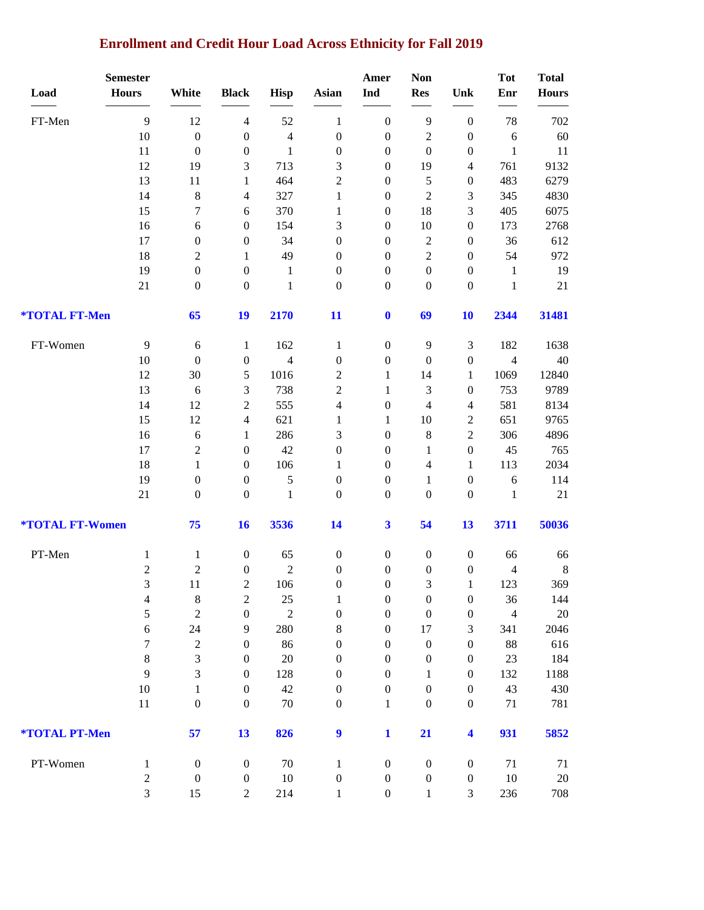# **Enrollment and Credit Hour Load Across Ethnicity for Fall 2019**

|                               | <b>Semester</b>     |                                      |                                      |                      |                                      | Amer                                 | <b>Non</b>                         |                                      | <b>Tot</b>                 | <b>Total</b>  |
|-------------------------------|---------------------|--------------------------------------|--------------------------------------|----------------------|--------------------------------------|--------------------------------------|------------------------------------|--------------------------------------|----------------------------|---------------|
| Load                          | <b>Hours</b>        | White                                | <b>Black</b>                         | <b>Hisp</b>          | Asian                                | Ind                                  | <b>Res</b>                         | Unk                                  | Enr                        | <b>Hours</b>  |
| FT-Men                        | 9                   | 12                                   | $\overline{4}$                       | 52                   | 1                                    | $\boldsymbol{0}$                     | $\overline{9}$                     | $\boldsymbol{0}$                     | 78                         | 702           |
|                               | 10                  | $\boldsymbol{0}$                     | $\boldsymbol{0}$                     | $\overline{4}$       | $\boldsymbol{0}$                     | $\boldsymbol{0}$                     | $\sqrt{2}$                         | $\boldsymbol{0}$                     | 6                          | 60            |
|                               | 11                  | $\boldsymbol{0}$                     | $\boldsymbol{0}$                     | $\mathbf{1}$         | $\boldsymbol{0}$                     | $\boldsymbol{0}$                     | $\boldsymbol{0}$                   | $\boldsymbol{0}$                     | $\mathbf{1}$               | 11            |
|                               | 12                  | 19                                   | 3                                    | 713                  | $\mathfrak{Z}$                       | $\boldsymbol{0}$                     | 19                                 | $\overline{4}$                       | 761                        | 9132          |
|                               | 13                  | 11                                   | $\mathbf{1}$                         | 464                  | $\overline{2}$                       | $\boldsymbol{0}$                     | 5                                  | $\boldsymbol{0}$                     | 483                        | 6279          |
|                               | 14                  | $\,8\,$                              | 4                                    | 327                  | $\mathbf{1}$                         | $\boldsymbol{0}$                     | $\sqrt{2}$                         | 3                                    | 345                        | 4830          |
|                               | 15                  | $\boldsymbol{7}$                     | 6                                    | 370                  | 1                                    | $\boldsymbol{0}$                     | 18                                 | 3                                    | 405                        | 6075          |
|                               | 16                  | 6                                    | $\boldsymbol{0}$                     | 154                  | 3                                    | $\boldsymbol{0}$                     | $10\,$                             | $\boldsymbol{0}$                     | 173                        | 2768          |
|                               | 17                  | $\boldsymbol{0}$                     | $\boldsymbol{0}$                     | 34                   | $\boldsymbol{0}$                     | $\boldsymbol{0}$                     | $\sqrt{2}$                         | $\boldsymbol{0}$                     | 36                         | 612           |
|                               | 18                  | $\boldsymbol{2}$                     | 1                                    | 49                   | $\boldsymbol{0}$                     | $\boldsymbol{0}$                     | $\sqrt{2}$                         | $\boldsymbol{0}$                     | 54                         | 972           |
|                               | 19                  | $\boldsymbol{0}$                     | $\boldsymbol{0}$                     | $\mathbf{1}$         | $\boldsymbol{0}$                     | $\boldsymbol{0}$                     | $\boldsymbol{0}$                   | $\boldsymbol{0}$                     | $\mathbf{1}$               | 19            |
|                               | 21                  | $\boldsymbol{0}$                     | $\boldsymbol{0}$                     | $\mathbf{1}$         | $\boldsymbol{0}$                     | $\boldsymbol{0}$                     | $\boldsymbol{0}$                   | $\boldsymbol{0}$                     | 1                          | 21            |
| *TOTAL FT-Men                 |                     | 65                                   | 19                                   | 2170                 | 11                                   | $\bf{0}$                             | 69                                 | 10                                   | 2344                       | 31481         |
| FT-Women                      | $\mathbf{9}$        | 6                                    | $\mathbf{1}$                         | 162                  | $\mathbf{1}$                         | $\boldsymbol{0}$                     | 9                                  | $\mathfrak{Z}$                       | 182                        | 1638          |
|                               | 10                  | $\boldsymbol{0}$                     | $\boldsymbol{0}$                     | $\overline{4}$       | $\boldsymbol{0}$                     | $\boldsymbol{0}$                     | $\boldsymbol{0}$                   | $\boldsymbol{0}$                     | $\overline{4}$             | 40            |
|                               | 12                  | 30                                   | $\sqrt{5}$                           | 1016                 | $\sqrt{2}$                           | $\mathbf{1}$                         | 14                                 | 1                                    | 1069                       | 12840         |
|                               | 13                  | 6                                    | 3                                    | 738                  | $\sqrt{2}$                           | $\mathbf{1}$                         | $\mathfrak{Z}$                     | $\boldsymbol{0}$                     | 753                        | 9789          |
|                               | 14                  | 12                                   | $\overline{c}$                       | 555                  | $\overline{4}$                       | $\boldsymbol{0}$                     | $\overline{4}$                     | $\overline{4}$                       | 581                        | 8134          |
|                               | 15                  | 12                                   | 4                                    | 621                  | 1                                    | $\mathbf{1}$                         | $10\,$                             | $\sqrt{2}$                           | 651                        | 9765          |
|                               | 16                  | 6                                    | 1                                    | 286                  | 3                                    | $\boldsymbol{0}$                     | $\,8\,$                            | $\overline{c}$                       | 306                        | 4896          |
|                               | 17                  | $\boldsymbol{2}$                     | $\boldsymbol{0}$                     | 42                   | $\boldsymbol{0}$                     | $\boldsymbol{0}$                     | $\mathbf{1}$                       | $\boldsymbol{0}$                     | 45                         | 765           |
|                               | 18                  | $\mathbf{1}$                         | $\boldsymbol{0}$                     | 106                  | 1                                    | $\boldsymbol{0}$                     | $\overline{4}$                     | 1                                    | 113                        | 2034          |
|                               | 19<br>21            | $\boldsymbol{0}$<br>$\boldsymbol{0}$ | $\boldsymbol{0}$<br>$\boldsymbol{0}$ | 5<br>$\,1\,$         | $\boldsymbol{0}$<br>$\boldsymbol{0}$ | $\boldsymbol{0}$<br>$\boldsymbol{0}$ | 1<br>$\boldsymbol{0}$              | $\boldsymbol{0}$<br>$\boldsymbol{0}$ | $\sqrt{6}$<br>$\mathbf{1}$ | 114<br>21     |
| <b><i>*TOTAL FT-Women</i></b> |                     | 75                                   | 16                                   | 3536                 | 14                                   | $\overline{\mathbf{3}}$              | 54                                 | 13                                   | 3711                       | 50036         |
|                               |                     |                                      |                                      |                      |                                      |                                      |                                    |                                      |                            |               |
| PT-Men                        | $\mathbf{1}$        | $\mathbf{1}$<br>$\sqrt{2}$           | $\boldsymbol{0}$                     | 65<br>$\overline{2}$ | $\boldsymbol{0}$<br>$\boldsymbol{0}$ | $\boldsymbol{0}$                     | $\boldsymbol{0}$                   | $\boldsymbol{0}$<br>$\boldsymbol{0}$ | 66                         | 66<br>$\,8\,$ |
|                               | $\overline{c}$<br>3 | 11                                   | $\boldsymbol{0}$<br>$\sqrt{2}$       | 106                  | $\boldsymbol{0}$                     | $\boldsymbol{0}$<br>$\boldsymbol{0}$ | $\boldsymbol{0}$<br>$\mathfrak{Z}$ | $\mathbf{1}$                         | $\overline{4}$<br>123      | 369           |
|                               | $\overline{4}$      | $\,8\,$                              | $\boldsymbol{2}$                     | $25\,$               | $\mathbf{1}$                         | $\boldsymbol{0}$                     | $\boldsymbol{0}$                   | $\boldsymbol{0}$                     | 36                         | 144           |
|                               | 5                   | $\overline{2}$                       | $\boldsymbol{0}$                     | $\overline{2}$       | $\boldsymbol{0}$                     | $\boldsymbol{0}$                     | $\boldsymbol{0}$                   | $\boldsymbol{0}$                     | $\overline{4}$             | $20\,$        |
|                               | $\sqrt{6}$          | 24                                   | 9                                    | 280                  | $\,$ 8 $\,$                          | $\boldsymbol{0}$                     | 17                                 | 3                                    | 341                        | 2046          |
|                               | 7                   | $\overline{2}$                       | $\boldsymbol{0}$                     | 86                   | $\boldsymbol{0}$                     | $\boldsymbol{0}$                     | $\boldsymbol{0}$                   | $\boldsymbol{0}$                     | 88                         | 616           |
|                               | $8\,$               | $\mathfrak{Z}$                       | $\boldsymbol{0}$                     | 20                   | $\boldsymbol{0}$                     | $\boldsymbol{0}$                     | $\boldsymbol{0}$                   | $\boldsymbol{0}$                     | 23                         | 184           |
|                               | 9                   | $\mathfrak{Z}$                       | $\boldsymbol{0}$                     | 128                  | $\boldsymbol{0}$                     | $\boldsymbol{0}$                     | $\mathbf{1}$                       | $\boldsymbol{0}$                     | 132                        | 1188          |
|                               | $10\,$              | $\mathbf{1}$                         | $\boldsymbol{0}$                     | 42                   | $\boldsymbol{0}$                     | $\boldsymbol{0}$                     | $\boldsymbol{0}$                   | $\boldsymbol{0}$                     | 43                         | 430           |
|                               | $11\,$              | $\boldsymbol{0}$                     | $\boldsymbol{0}$                     | $70\,$               | $\boldsymbol{0}$                     | $\mathbf{1}$                         | $\boldsymbol{0}$                   | $\boldsymbol{0}$                     | 71                         | 781           |
| *TOTAL PT-Men                 |                     | 57                                   | 13                                   | 826                  | $\boldsymbol{9}$                     | $\mathbf{1}$                         | 21                                 | 4                                    | 931                        | 5852          |
| PT-Women                      | $\mathbf{1}$        | $\boldsymbol{0}$                     | $\boldsymbol{0}$                     | 70                   | $\mathbf{1}$                         | $\boldsymbol{0}$                     | $\boldsymbol{0}$                   | $\boldsymbol{0}$                     | 71                         | 71            |
|                               | $\overline{c}$      | $\boldsymbol{0}$                     | $\boldsymbol{0}$                     | 10                   | $\boldsymbol{0}$                     | $\boldsymbol{0}$                     | $\boldsymbol{0}$                   | $\boldsymbol{0}$                     | 10                         | $20\,$        |
|                               | 3                   | 15                                   | $\boldsymbol{2}$                     | 214                  | $\mathbf{1}$                         | $\boldsymbol{0}$                     | $\mathbf{1}$                       | 3                                    | 236                        | 708           |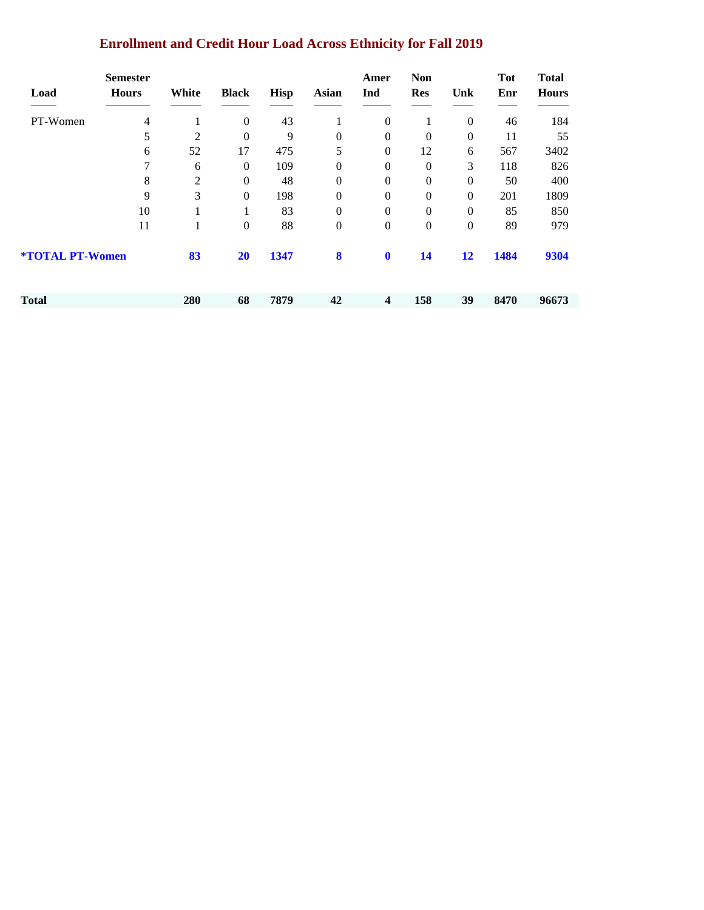# **Enrollment and Credit Hour Load Across Ethnicity for Fall 2019**

| Load                          | <b>Semester</b><br><b>Hours</b> | White | <b>Black</b>     | <b>Hisp</b> | <b>Asian</b>   | Amer<br>Ind             | <b>Non</b><br><b>Res</b> | Unk            | <b>Tot</b><br>Enr | <b>Total</b><br><b>Hours</b> |
|-------------------------------|---------------------------------|-------|------------------|-------------|----------------|-------------------------|--------------------------|----------------|-------------------|------------------------------|
| PT-Women                      | $\overline{4}$                  | 1     | $\boldsymbol{0}$ | 43          |                | $\overline{0}$          | 1                        | $\overline{0}$ | 46                | 184                          |
|                               | 5                               | 2     | $\boldsymbol{0}$ | 9           | $\theta$       | $\Omega$                | $\Omega$                 | $\Omega$       | 11                | 55                           |
|                               | 6                               | 52    | 17               | 475         | 5              | $\overline{0}$          | 12                       | 6              | 567               | 3402                         |
|                               | 7                               | 6     | $\boldsymbol{0}$ | 109         | 0              | $\overline{0}$          | $\mathbf{0}$             | 3              | 118               | 826                          |
|                               | 8                               | 2     | $\boldsymbol{0}$ | 48          | 0              | $\Omega$                | $\Omega$                 | $\Omega$       | 50                | 400                          |
|                               | 9                               | 3     | $\boldsymbol{0}$ | 198         | $\Omega$       | $\overline{0}$          | $\mathbf{0}$             | $\Omega$       | 201               | 1809                         |
|                               | 10                              | 1     | 1                | 83          | $\mathbf{0}$   | $\boldsymbol{0}$        | $\boldsymbol{0}$         | $\Omega$       | 85                | 850                          |
|                               | 11                              | 1     | $\boldsymbol{0}$ | 88          | $\overline{0}$ | $\overline{0}$          | $\boldsymbol{0}$         | $\Omega$       | 89                | 979                          |
| <b><i>*TOTAL PT-Women</i></b> |                                 | 83    | <b>20</b>        | 1347        | 8              | $\mathbf 0$             | 14                       | 12             | 1484              | 9304                         |
| Total                         |                                 | 280   |                  | 7879        | 42             | $\overline{\mathbf{4}}$ | 158                      | 39             | 8470              | 96673                        |
|                               |                                 |       | 68               |             |                |                         |                          |                |                   |                              |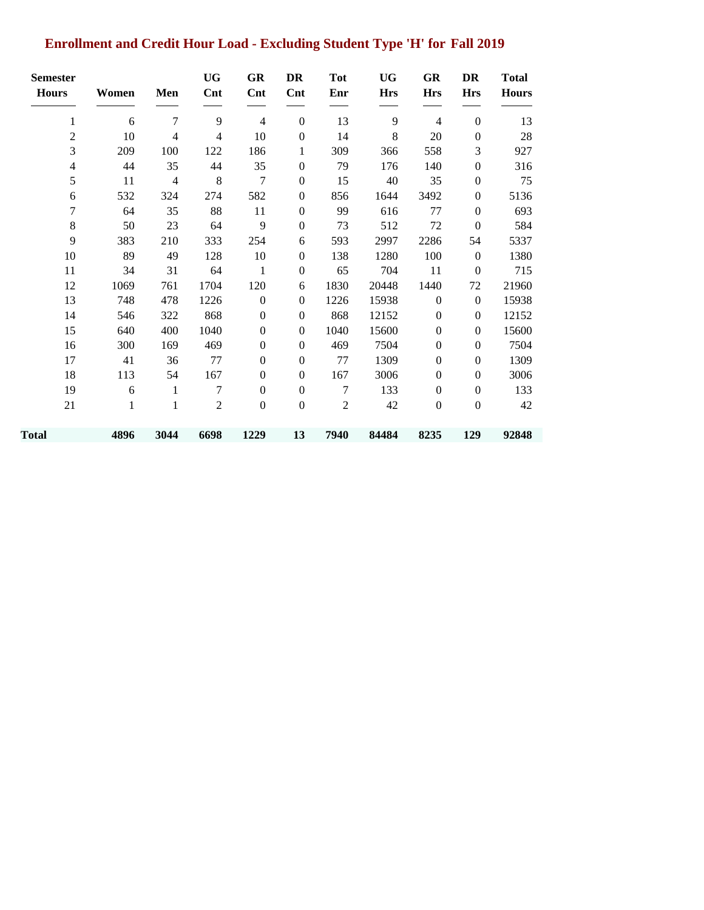# **Enrollment and Credit Hour Load - Excluding Student Type 'H' for Fall 2019**

| <b>Semester</b> |       |                | <b>UG</b>                | GR               | DR               | <b>Tot</b>   | <b>UG</b>  | GR               | <b>DR</b>        | <b>Total</b> |
|-----------------|-------|----------------|--------------------------|------------------|------------------|--------------|------------|------------------|------------------|--------------|
| <b>Hours</b>    | Women | Men            | Cnt                      | Cnt              | Cnt              | Enr          | <b>Hrs</b> | <b>Hrs</b>       | <b>Hrs</b>       | <b>Hours</b> |
| 1               | 6     | 7              | 9                        | 4                | $\boldsymbol{0}$ | 13           | 9          | 4                | $\boldsymbol{0}$ | 13           |
| $\overline{2}$  | 10    | $\overline{4}$ | $\overline{\mathcal{L}}$ | 10               | $\boldsymbol{0}$ | 14           | 8          | $20\,$           | $\boldsymbol{0}$ | 28           |
| 3               | 209   | 100            | 122                      | 186              | 1                | 309          | 366        | 558              | 3                | 927          |
| 4               | 44    | 35             | 44                       | 35               | $\boldsymbol{0}$ | 79           | 176        | 140              | $\boldsymbol{0}$ | 316          |
| 5               | 11    | $\overline{4}$ | 8                        | 7                | $\boldsymbol{0}$ | 15           | 40         | 35               | $\boldsymbol{0}$ | 75           |
| 6               | 532   | 324            | 274                      | 582              | $\boldsymbol{0}$ | 856          | 1644       | 3492             | $\boldsymbol{0}$ | 5136         |
| 7               | 64    | 35             | 88                       | 11               | $\boldsymbol{0}$ | 99           | 616        | 77               | $\boldsymbol{0}$ | 693          |
| $\,8\,$         | 50    | 23             | 64                       | 9                | $\boldsymbol{0}$ | 73           | 512        | 72               | $\boldsymbol{0}$ | 584          |
| 9               | 383   | 210            | 333                      | 254              | 6                | 593          | 2997       | 2286             | 54               | 5337         |
| 10              | 89    | 49             | 128                      | 10               | $\boldsymbol{0}$ | 138          | 1280       | 100              | $\boldsymbol{0}$ | 1380         |
| 11              | 34    | 31             | 64                       | $\mathbf{1}$     | $\boldsymbol{0}$ | 65           | 704        | 11               | $\boldsymbol{0}$ | 715          |
| 12              | 1069  | 761            | 1704                     | 120              | 6                | 1830         | 20448      | 1440             | 72               | 21960        |
| 13              | 748   | 478            | 1226                     | $\boldsymbol{0}$ | $\boldsymbol{0}$ | 1226         | 15938      | $\boldsymbol{0}$ | $\boldsymbol{0}$ | 15938        |
| 14              | 546   | 322            | 868                      | $\overline{0}$   | $\boldsymbol{0}$ | 868          | 12152      | $\boldsymbol{0}$ | $\boldsymbol{0}$ | 12152        |
| 15              | 640   | 400            | 1040                     | $\Omega$         | $\mathbf{0}$     | 1040         | 15600      | $\boldsymbol{0}$ | $\boldsymbol{0}$ | 15600        |
| 16              | 300   | 169            | 469                      | $\overline{0}$   | $\boldsymbol{0}$ | 469          | 7504       | $\boldsymbol{0}$ | $\boldsymbol{0}$ | 7504         |
| 17              | 41    | 36             | 77                       | $\Omega$         | $\overline{0}$   | 77           | 1309       | $\boldsymbol{0}$ | $\mathbf{0}$     | 1309         |
| 18              | 113   | 54             | 167                      | $\overline{0}$   | $\boldsymbol{0}$ | 167          | 3006       | $\boldsymbol{0}$ | $\boldsymbol{0}$ | 3006         |
| 19              | 6     | 1              | 7                        | $\Omega$         | $\boldsymbol{0}$ | 7            | 133        | $\boldsymbol{0}$ | $\theta$         | 133          |
| 21              | 1     | $\mathbf{1}$   | $\mathfrak{2}$           | $\overline{0}$   | $\boldsymbol{0}$ | $\mathbf{2}$ | 42         | $\boldsymbol{0}$ | $\boldsymbol{0}$ | 42           |
| Total           | 4896  | 3044           | 6698                     | 1229             | 13               | 7940         | 84484      | 8235             | 129              | 92848        |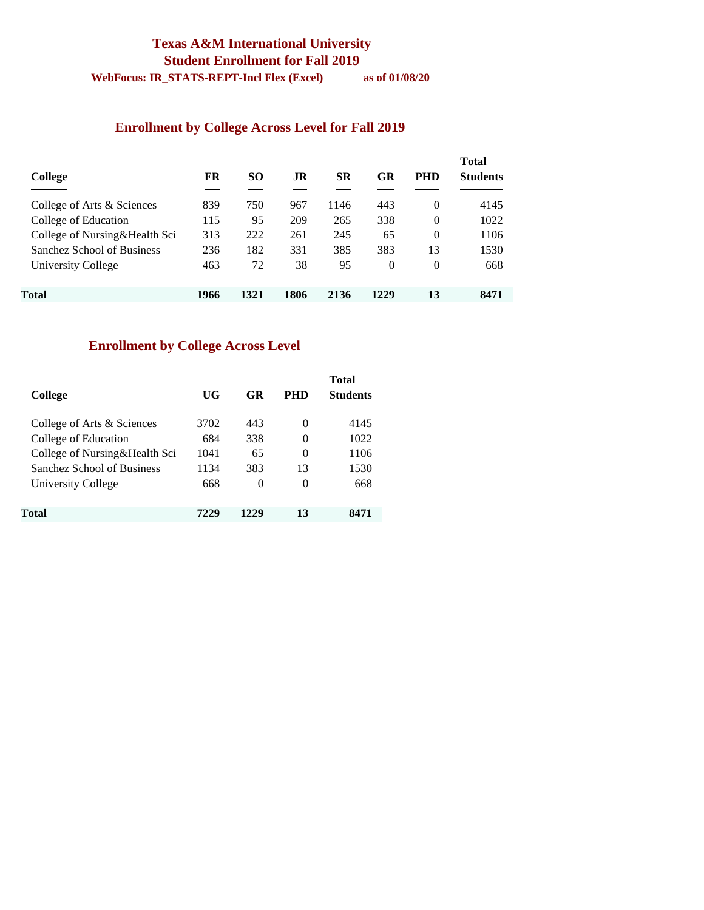### **Texas A&M International University Student Enrollment for Fall 2019**

**WebFocus: IR\_STATS-REPT-Incl Flex (Excel) as of 01/08/20** 

#### **Enrollment by College Across Level for Fall 2019**

| College                       | FR   | <b>SO</b> | .IR  | <b>SR</b> | GR       | <b>PHD</b> | <b>Total</b><br><b>Students</b> |
|-------------------------------|------|-----------|------|-----------|----------|------------|---------------------------------|
| College of Arts & Sciences    | 839  | 750       | 967  | 1146      | 443      | 0          | 4145                            |
| College of Education          | 115  | 95        | 209  | 265       | 338      | $\theta$   | 1022                            |
| College of Nursing&Health Sci | 313  | 222       | 261  | 245       | 65       | $\theta$   | 1106                            |
| Sanchez School of Business    | 236  | 182       | 331  | 385       | 383      | 13         | 1530                            |
| University College            | 463  | 72        | 38   | 95        | $\theta$ | 0          | 668                             |
| Total                         | 1966 | 1321      | 1806 | 2136      | 1229     | 13         | 8471                            |

#### **Enrollment by College Across Level**

| College                       | UG   | GR       | PHD      | <b>Total</b><br><b>Students</b> |
|-------------------------------|------|----------|----------|---------------------------------|
| College of Arts & Sciences    | 3702 | 443      | $\Omega$ | 4145                            |
| College of Education          | 684  | 338      | 0        | 1022                            |
| College of Nursing&Health Sci | 1041 | 65       | 0        | 1106                            |
| Sanchez School of Business    | 1134 | 383      | 13       | 1530                            |
| University College            | 668  | $\Omega$ | 0        | 668                             |
| Total                         | 7229 | 1229     | 13       | 8471                            |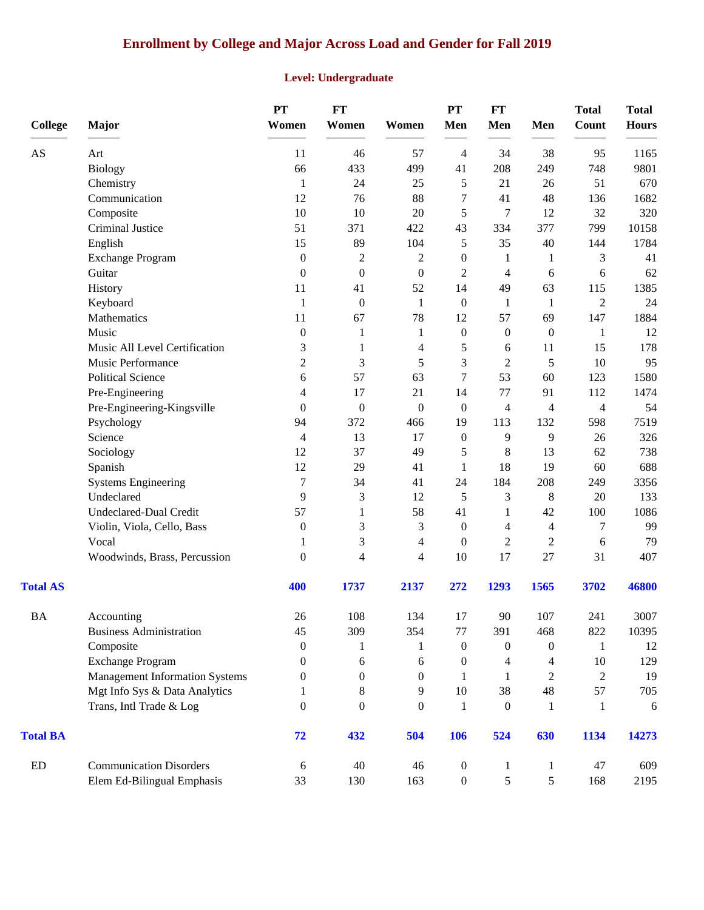# **Enrollment by College and Major Across Load and Gender for Fall 2019**

### **Level: Undergraduate**

| <b>College</b>             | Major                                 | PT<br>Women      | <b>FT</b><br>Women | Women            | PT<br>Men                    | FT<br>Men           | Men                                                                    | <b>Total</b><br>Count                                      | <b>Total</b><br><b>Hours</b> |
|----------------------------|---------------------------------------|------------------|--------------------|------------------|------------------------------|---------------------|------------------------------------------------------------------------|------------------------------------------------------------|------------------------------|
| AS                         | Art                                   | 11               | 46                 | 57               | $\overline{4}$               | 34                  | 38                                                                     | 95                                                         | 1165                         |
|                            | Biology                               | 66               | 433                | 499              | 41                           | 208                 | 249                                                                    | 748                                                        | 9801                         |
|                            | Chemistry                             | $\mathbf{1}$     | 24                 | 25               | 5                            | 21                  | 26                                                                     | 51                                                         | 670                          |
|                            | Communication                         | 12               | 76                 | 88               | 7                            | 41                  | 48                                                                     | 136                                                        | 1682                         |
|                            | Composite                             | 10               | $10\,$             | $20\,$           | 5                            | $\tau$              | 12                                                                     | 32                                                         | 320                          |
|                            | Criminal Justice                      | 51               | 371                | 422              | 43                           | 334                 | 377                                                                    | 799                                                        | 10158                        |
|                            | English                               | 15               | 89                 | 104              | 5                            | 35                  | 40                                                                     | 144                                                        | 1784                         |
|                            | <b>Exchange Program</b>               | $\boldsymbol{0}$ | $\overline{c}$     | $\overline{c}$   | $\boldsymbol{0}$             | 1                   | 1                                                                      | 3                                                          | 41                           |
|                            | Guitar                                | $\mathbf{0}$     | $\boldsymbol{0}$   | $\boldsymbol{0}$ | $\overline{2}$               | $\overline{4}$      | 6                                                                      | 6                                                          | 62                           |
|                            | History                               | 11               | 41                 | 52               | 14                           | 49                  | 63                                                                     | 115                                                        | 1385                         |
|                            | Keyboard                              | 1                | $\boldsymbol{0}$   | $\mathbf{1}$     | $\overline{0}$               | 1                   | $\mathbf{1}$                                                           | $\overline{2}$                                             | 24                           |
|                            | Mathematics                           | 11               | 67                 | 78               | 12                           | 57                  | 69                                                                     | 147                                                        | 1884                         |
|                            | Music                                 | $\boldsymbol{0}$ | 1                  | 1                | $\boldsymbol{0}$             | $\boldsymbol{0}$    | $\boldsymbol{0}$                                                       | 1                                                          | 12                           |
|                            | Music All Level Certification         | 3                | 1                  | 4                | 5                            | 6                   | 11                                                                     | 15                                                         | 178                          |
|                            | Music Performance                     | $\overline{c}$   | 3                  | 5                | 3                            | $\overline{c}$      | 5                                                                      | $10\,$                                                     | 95                           |
|                            | <b>Political Science</b>              | 6                | 57                 | 63               | 7                            | 53                  | 60                                                                     | 123                                                        | 1580                         |
|                            | Pre-Engineering                       | 4                | 17                 | 21               | 14<br>$\boldsymbol{0}$<br>19 | 77<br>4<br>113      | 91<br>4<br>132<br>9<br>13<br>19<br>208<br>8<br>42<br>4<br>$\mathbf{2}$ | 112<br>4<br>598<br>26<br>62<br>60<br>249<br>20<br>100<br>7 | 1474<br>54<br>7519<br>326    |
|                            | Pre-Engineering-Kingsville            | $\overline{0}$   | $\boldsymbol{0}$   | $\boldsymbol{0}$ |                              |                     |                                                                        |                                                            |                              |
|                            | Psychology                            | 94               | 372                | 466              |                              |                     |                                                                        |                                                            |                              |
|                            | Science                               | 4                | 13                 | 17               | $\boldsymbol{0}$             | 9                   |                                                                        |                                                            |                              |
|                            | Sociology                             | 12               | 37                 | 49               | 5                            | $\,8\,$             |                                                                        |                                                            | 738                          |
|                            | Spanish                               | 12               | 29                 | 41               | 1                            | 18                  |                                                                        |                                                            | 688                          |
|                            | <b>Systems Engineering</b>            | 7                | 34                 | 41               | 24                           | 184                 |                                                                        |                                                            | 3356                         |
|                            | Undeclared                            | 9                | 3                  | 12               | 5                            | 3                   |                                                                        |                                                            | 133                          |
|                            | Undeclared-Dual Credit                | 57               | 1                  | 58               | 41                           | 1                   |                                                                        |                                                            | 1086<br>99                   |
|                            | Violin, Viola, Cello, Bass            | $\boldsymbol{0}$ | 3                  | 3                | $\boldsymbol{0}$             | 4<br>$\overline{c}$ |                                                                        |                                                            |                              |
|                            | Vocal                                 | 1                | 3                  | 4                | $\boldsymbol{0}$             |                     |                                                                        | 6                                                          | 79                           |
|                            | Woodwinds, Brass, Percussion          | $\boldsymbol{0}$ | 4                  | $\overline{4}$   | 10                           | 17                  | 27                                                                     | 31                                                         | 407                          |
| <b>Total AS</b>            |                                       | 400              | 1737               | 2137             | 272                          | 1293                | 1565                                                                   | 3702                                                       | 46800                        |
| $\mathbf{BA}$              | Accounting                            | $26\,$           | 108                | 134              | 17                           | 90                  | 107                                                                    | 241                                                        | 3007                         |
|                            | <b>Business Administration</b>        | 45               | 309                | 354              | 77                           | 391                 | 468                                                                    | 822                                                        | 10395                        |
|                            | Composite                             | $\mathbf{0}$     | 1                  | 1                | $\boldsymbol{0}$             | $\boldsymbol{0}$    | $\boldsymbol{0}$                                                       | 1                                                          | 12                           |
|                            | <b>Exchange Program</b>               | 0                | 6                  | 6                | $\theta$                     | $\overline{4}$      | 4                                                                      | 10                                                         | 129                          |
|                            | <b>Management Information Systems</b> | 0                | $\boldsymbol{0}$   | $\Omega$         | 1                            | 1                   | $\overline{2}$                                                         | $\overline{2}$                                             | 19                           |
|                            | Mgt Info Sys & Data Analytics         |                  | $\,8\,$            | 9                | $10\,$                       | 38                  | 48                                                                     | 57                                                         | 705                          |
|                            | Trans, Intl Trade & Log               | $\overline{0}$   | $\theta$           | $\overline{0}$   | 1                            | $\boldsymbol{0}$    | 1                                                                      | 1                                                          | 6                            |
| <b>Total BA</b>            |                                       | 72               | 432                | 504              | 106                          | 524                 | 630                                                                    | 1134                                                       | 14273                        |
| $\mathop{\rm ED}\nolimits$ | <b>Communication Disorders</b>        | 6                | 40                 | 46               | $\boldsymbol{0}$             | 1                   | 1                                                                      | 47                                                         | 609                          |
|                            | Elem Ed-Bilingual Emphasis            | 33               | 130                | 163              | $\boldsymbol{0}$             | 5                   | $\mathfrak{S}$                                                         | 168                                                        | 2195                         |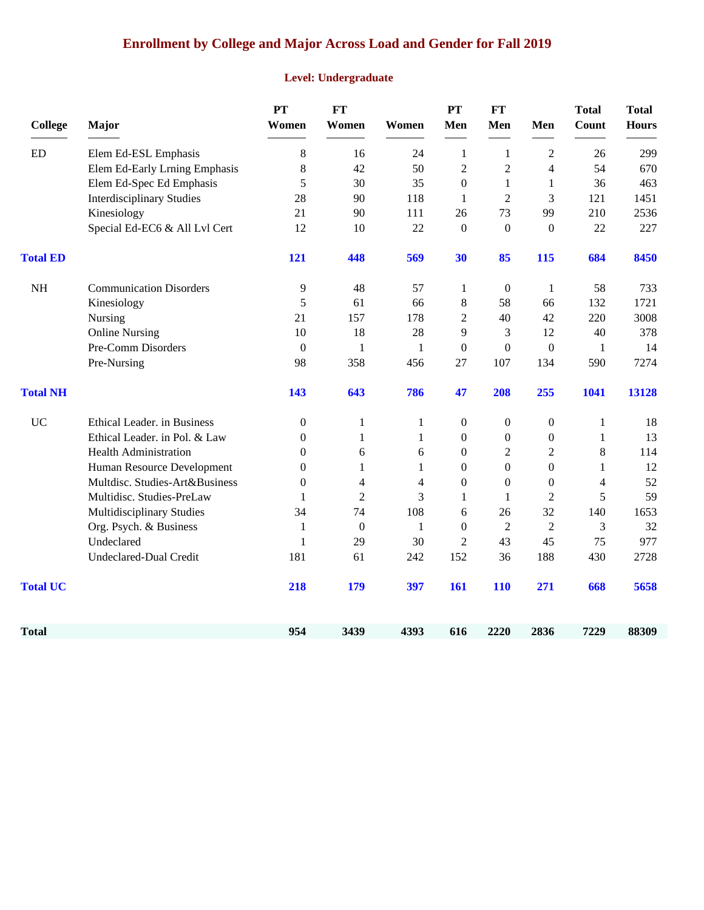# **Enrollment by College and Major Across Load and Gender for Fall 2019**

### **Level: Undergraduate**

| <b>College</b>  | Major                            | PT<br>Women      | <b>FT</b><br>Women | Women        | PT<br>Men        | FT<br>Men        | Men              | <b>Total</b><br>Count | <b>Total</b><br><b>Hours</b> |
|-----------------|----------------------------------|------------------|--------------------|--------------|------------------|------------------|------------------|-----------------------|------------------------------|
| <b>ED</b>       | Elem Ed-ESL Emphasis             | 8                | 16                 | 24           | $\mathbf{1}$     | 1                | $\overline{c}$   | 26                    | 299                          |
|                 | Elem Ed-Early Lrning Emphasis    | 8                | 42                 | 50           | $\mathbf{2}$     | $\overline{c}$   | $\overline{4}$   | 54                    | 670                          |
|                 | Elem Ed-Spec Ed Emphasis         | 5                | 30                 | 35           | $\boldsymbol{0}$ | $\mathbf{1}$     | 1                | 36                    | 463                          |
|                 | <b>Interdisciplinary Studies</b> | 28               | 90                 | 118          | 1                | $\mathbf{2}$     | 3                | 121                   | 1451                         |
|                 | Kinesiology                      | 21               | 90                 | 111          | 26               | 73               | 99               | 210                   | 2536                         |
|                 | Special Ed-EC6 & All Lvl Cert    | 12               | 10                 | 22           | $\overline{0}$   | $\boldsymbol{0}$ | $\boldsymbol{0}$ | 22                    | 227                          |
| <b>Total ED</b> |                                  | 121              | 448                | 569          | 30               | 85               | 115              | 684                   | 8450                         |
| <b>NH</b>       | <b>Communication Disorders</b>   | 9                | 48                 | 57           | 1                | $\boldsymbol{0}$ | 1                | 58                    | 733                          |
|                 | Kinesiology                      | 5                | 61                 | 66           | $\,8\,$          | 58               | 66               | 132                   | 1721                         |
|                 | Nursing                          | 21               | 157                | 178          | 2                | 40               | 42               | 220                   | 3008                         |
|                 | <b>Online Nursing</b>            | 10               | 18                 | 28           | 9                | 3                | 12               | 40                    | 378                          |
|                 | Pre-Comm Disorders               | $\boldsymbol{0}$ | $\mathbf{1}$       | 1            | $\boldsymbol{0}$ | $\boldsymbol{0}$ | $\boldsymbol{0}$ | $\mathbf{1}$          | 14                           |
|                 | Pre-Nursing                      | 98               | 358                | 456          | 27               | 107              | 134              | 590                   | 7274                         |
| <b>Total NH</b> |                                  | 143              | 643                | 786          | 47               | 208              | 255              | 1041                  | 13128                        |
| <b>UC</b>       | Ethical Leader. in Business      | $\boldsymbol{0}$ | $\mathbf{1}$       | $\mathbf{1}$ | $\boldsymbol{0}$ | $\boldsymbol{0}$ | $\boldsymbol{0}$ | $\mathbf{1}$          | 18                           |
|                 | Ethical Leader. in Pol. & Law    | $\Omega$         | 1                  | 1            | $\Omega$         | $\boldsymbol{0}$ | $\boldsymbol{0}$ | 1                     | 13                           |
|                 | <b>Health Administration</b>     | $\mathbf{0}$     | 6                  | 6            | $\mathbf{0}$     | $\overline{c}$   | $\sqrt{2}$       | 8                     | 114                          |
|                 | Human Resource Development       | $\mathbf{0}$     | 1                  | 1            | $\mathbf{0}$     | $\boldsymbol{0}$ | $\boldsymbol{0}$ | 1                     | 12                           |
|                 | Multdisc. Studies-Art&Business   | $\overline{0}$   | 4                  | 4            | $\mathbf{0}$     | $\mathbf{0}$     | $\mathbf{0}$     | 4                     | 52                           |
|                 | Multidisc. Studies-PreLaw        | $\mathbf{1}$     | $\overline{2}$     | 3            | $\mathbf{1}$     | $\mathbf{1}$     | $\overline{2}$   | 5                     | 59                           |
|                 | Multidisciplinary Studies        | 34               | 74                 | 108          | 6                | 26               | 32               | 140                   | 1653                         |
|                 | Org. Psych. & Business           | 1                | $\boldsymbol{0}$   | 1            | $\Omega$         | $\overline{2}$   | 2                | 3                     | 32                           |
|                 | Undeclared                       | 1                | 29                 | 30           | 2                | 43               | 45               | 75                    | 977                          |
|                 | Undeclared-Dual Credit           | 181              | 61                 | 242          | 152              | 36               | 188              | 430                   | 2728                         |
| <b>Total UC</b> |                                  | 218              | 179                | 397          | 161              | <b>110</b>       | 271              | 668                   | 5658                         |
| <b>Total</b>    |                                  | 954              | 3439               | 4393         | 616              | 2220             | 2836             | 7229                  | 88309                        |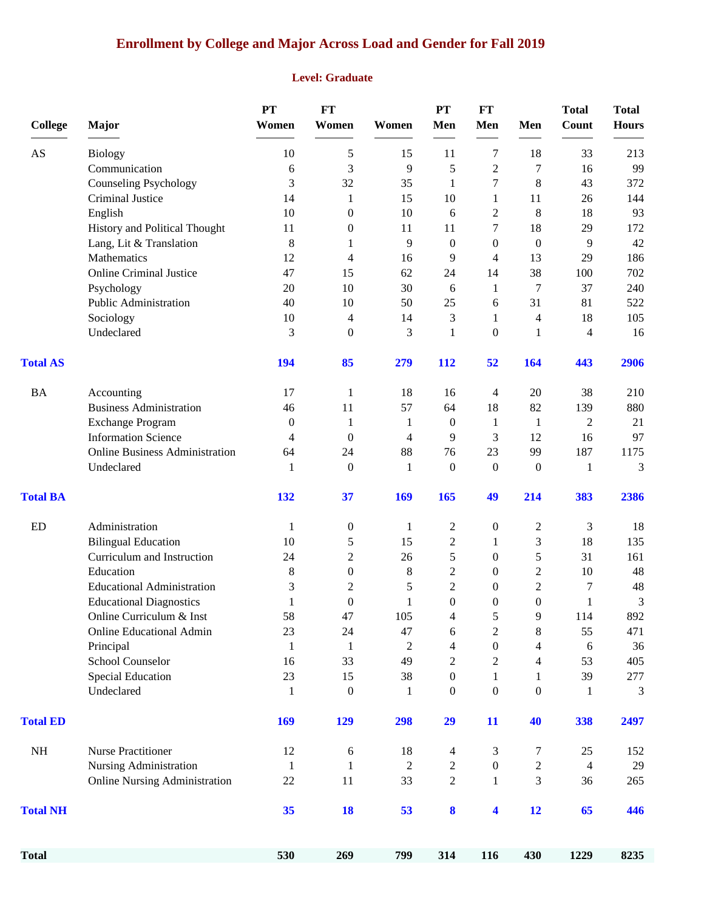### **Enrollment by College and Major Across Load and Gender for Fall 2019**

#### **Level: Graduate**

|                                                                                             |                                        | <b>PT</b>          | <b>FT</b>                |                    | PT                       | FT                    |                       | <b>Total</b>       | <b>Total</b> |
|---------------------------------------------------------------------------------------------|----------------------------------------|--------------------|--------------------------|--------------------|--------------------------|-----------------------|-----------------------|--------------------|--------------|
| <b>College</b>                                                                              | Major                                  | Women              | Women                    | Women              | Men                      | Men                   | Men                   | Count              | <b>Hours</b> |
| AS                                                                                          | <b>Biology</b>                         | 10                 | 5                        | 15                 | 11                       | 7                     | 18                    | 33                 | 213          |
|                                                                                             | Communication                          | 6                  | 3                        | 9                  | 5                        | $\overline{2}$        | 7                     | 16                 | 99           |
|                                                                                             | <b>Counseling Psychology</b>           | 3                  | 32                       | 35                 | 1                        | 7                     | 8                     | 43                 | 372          |
|                                                                                             | Criminal Justice                       | 14                 | 1                        | 15                 | 10                       | 1                     | 11                    | 26                 | 144          |
|                                                                                             | English                                | 10                 | $\boldsymbol{0}$         | 10                 | 6                        | 2                     | 8                     | 18                 | 93           |
| <b>Total AS</b><br><b>BA</b><br><b>Total BA</b><br><b>ED</b><br><b>Total ED</b><br>$\rm NH$ | History and Political Thought          | 11                 | $\boldsymbol{0}$         | 11                 | 11                       | 7                     | 18                    | 29                 | 172          |
|                                                                                             | Lang, Lit & Translation                | 8                  | 1                        | 9                  | $\mathbf{0}$             | $\boldsymbol{0}$      | $\boldsymbol{0}$      | 9                  | 42           |
|                                                                                             | Mathematics                            | 12                 | $\overline{\mathcal{A}}$ | 16                 | 9                        | 4                     | 13                    | 29                 | 186          |
|                                                                                             | <b>Online Criminal Justice</b>         | 47                 | 15                       | 62                 | 24                       | 14                    | 38                    | 100                | 702          |
|                                                                                             | Psychology                             | 20                 | 10                       | 30                 | 6                        | $\mathbf{1}$          | 7                     | 37                 | 240          |
|                                                                                             | Public Administration                  | 40                 | 10                       | 50                 | 25                       | 6                     | 31                    | 81                 | 522          |
|                                                                                             | Sociology                              | 10                 | $\overline{\mathcal{A}}$ | 14                 | 3                        | 1                     | 4                     | 18                 | 105          |
|                                                                                             | Undeclared                             | 3                  | $\boldsymbol{0}$         | 3                  | 1                        | $\theta$              | 1                     | $\overline{4}$     | 16           |
|                                                                                             |                                        | 194                | 85                       | 279                | 112                      | 52                    | 164                   | 443                | 2906         |
|                                                                                             | Accounting                             | 17                 | $\mathbf{1}$             | 18                 | 16                       | 4                     | $20\,$                | 38                 | 210          |
|                                                                                             | <b>Business Administration</b>         | 46                 | 11                       | 57                 | 64                       | 18                    | 82                    | 139                | 880          |
|                                                                                             | <b>Exchange Program</b>                | $\boldsymbol{0}$   | $\mathbf{1}$             | 1                  | $\overline{0}$           | 1                     | $\mathbf{1}$          | $\overline{2}$     | 21           |
|                                                                                             | <b>Information Science</b>             | 4                  | $\mathbf{0}$             | 4                  | 9                        | 3                     | 12                    | 16                 | 97           |
|                                                                                             | <b>Online Business Administration</b>  | 64                 | 24                       | 88                 | 76                       | 23                    | 99                    | 187                | 1175         |
|                                                                                             | Undeclared                             | 1                  | $\boldsymbol{0}$         | 1                  | $\boldsymbol{0}$         | $\boldsymbol{0}$      | $\boldsymbol{0}$      | 1                  | 3            |
|                                                                                             |                                        | 132                | 37                       | 169                | 165                      | 49                    | 214                   | 383                | 2386         |
| <b>Total NH</b><br><b>Total</b>                                                             | Administration                         | 1                  | $\boldsymbol{0}$         | 1                  | 2                        | $\boldsymbol{0}$      | $\overline{c}$        | 3                  | 18           |
|                                                                                             | <b>Bilingual Education</b>             | 10                 | $\sqrt{5}$               | 15                 | $\overline{c}$           | 1                     | 3                     | 18                 | 135          |
|                                                                                             | Curriculum and Instruction             | 24                 | $\overline{2}$           | 26                 | 5                        | $\boldsymbol{0}$      | 5                     | 31                 | 161          |
|                                                                                             | Education                              | $8\phantom{1}$     | $\boldsymbol{0}$         | 8                  | $\overline{c}$           | $\boldsymbol{0}$      | $\overline{2}$        | 10                 | 48           |
|                                                                                             | <b>Educational Administration</b>      | 3                  | $\mathfrak 2$            | 5                  | $\overline{c}$           | $\theta$              | $\overline{2}$        | 7                  | 48           |
|                                                                                             | <b>Educational Diagnostics</b>         | 1                  | $\boldsymbol{0}$         | 1                  | $\boldsymbol{0}$         | $\theta$              | $\boldsymbol{0}$      | 1                  | 3            |
|                                                                                             | Online Curriculum & Inst               | 58                 | 47                       | 105                | 4                        | 5                     | 9                     | 114                | 892          |
|                                                                                             | <b>Online Educational Admin</b>        | 23                 | 24                       | 47                 | 6                        | $\overline{c}$        | 8                     | 55                 | 471          |
|                                                                                             | Principal                              | $\mathbf{1}$       | $\mathbf{1}$             | $\sqrt{2}$         | 4                        | $\boldsymbol{0}$      | $\overline{4}$        | 6                  | 36           |
|                                                                                             | <b>School Counselor</b>                | 16                 | 33                       | 49                 | $\overline{c}$           | 2                     | 4                     | 53                 | 405          |
|                                                                                             | <b>Special Education</b><br>Undeclared | 23<br>$\mathbf{1}$ | 15<br>$\boldsymbol{0}$   | 38<br>$\mathbf{1}$ | $\theta$<br>$\mathbf{0}$ | 1<br>$\boldsymbol{0}$ | 1<br>$\boldsymbol{0}$ | 39<br>$\mathbf{1}$ | 277<br>3     |
|                                                                                             |                                        | 169                | 129                      | 298                | 29                       | 11                    | 40                    | 338                | 2497         |
|                                                                                             | <b>Nurse Practitioner</b>              | 12                 | 6                        | 18                 | 4                        | 3                     | 7                     | 25                 | 152          |
|                                                                                             | <b>Nursing Administration</b>          | $\mathbf{1}$       | 1                        | $\sqrt{2}$         | $\overline{c}$           | $\boldsymbol{0}$      | 2                     | $\overline{4}$     | 29           |
|                                                                                             | <b>Online Nursing Administration</b>   | $22\,$             | 11                       | 33                 | $\overline{c}$           | 1                     | 3                     | 36                 | 265          |
|                                                                                             |                                        | 35                 | <b>18</b>                | 53                 | 8                        | 4                     | 12                    | 65                 | 446          |
|                                                                                             |                                        | 530                | 269                      | 799                | 314                      | 116                   | 430                   | 1229               | 8235         |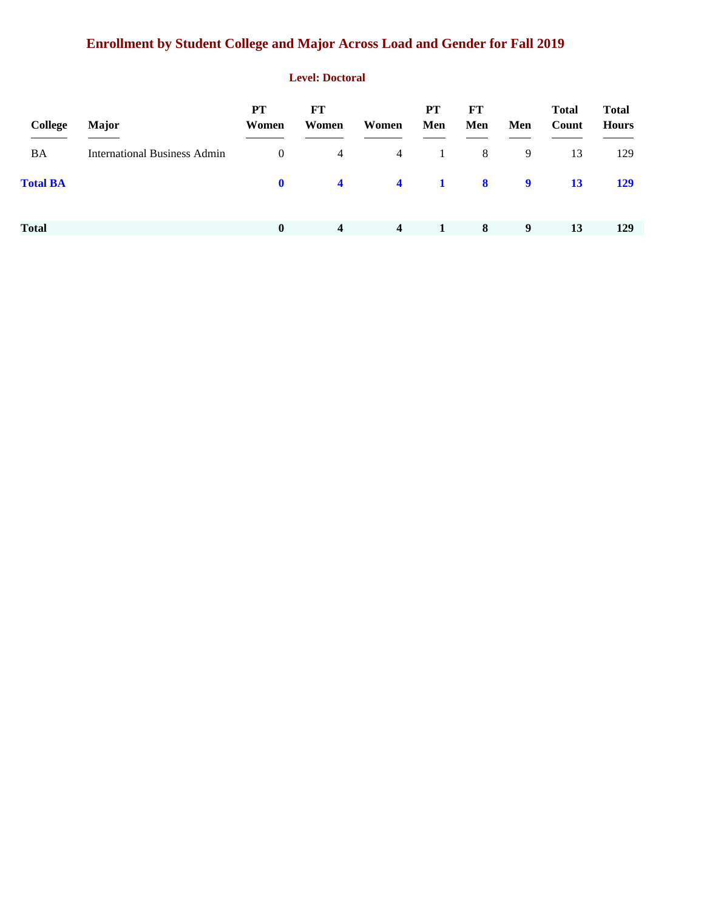# **Enrollment by Student College and Major Across Load and Gender for Fall 2019**

#### **Level: Doctoral**

| <b>College</b>  | <b>Major</b>                        | PT<br>Women    | FT<br>Women             | Women                   | <b>PT</b><br>Men | FT<br>Men               | Men | <b>Total</b><br>Count | <b>Total</b><br><b>Hours</b> |
|-----------------|-------------------------------------|----------------|-------------------------|-------------------------|------------------|-------------------------|-----|-----------------------|------------------------------|
| BA              | <b>International Business Admin</b> | $\overline{0}$ | 4                       | $\overline{4}$          | 1                | 8                       | 9   | 13                    | 129                          |
| <b>Total BA</b> |                                     | $\mathbf{0}$   | $\overline{\mathbf{4}}$ | $\overline{\mathbf{4}}$ | $\blacksquare$   | $\overline{\mathbf{8}}$ | 9   | <b>13</b>             | <b>129</b>                   |
| <b>Total</b>    |                                     | $\bf{0}$       | 4                       | $\overline{4}$          | 1                | 8                       | 9   | 13                    | 129                          |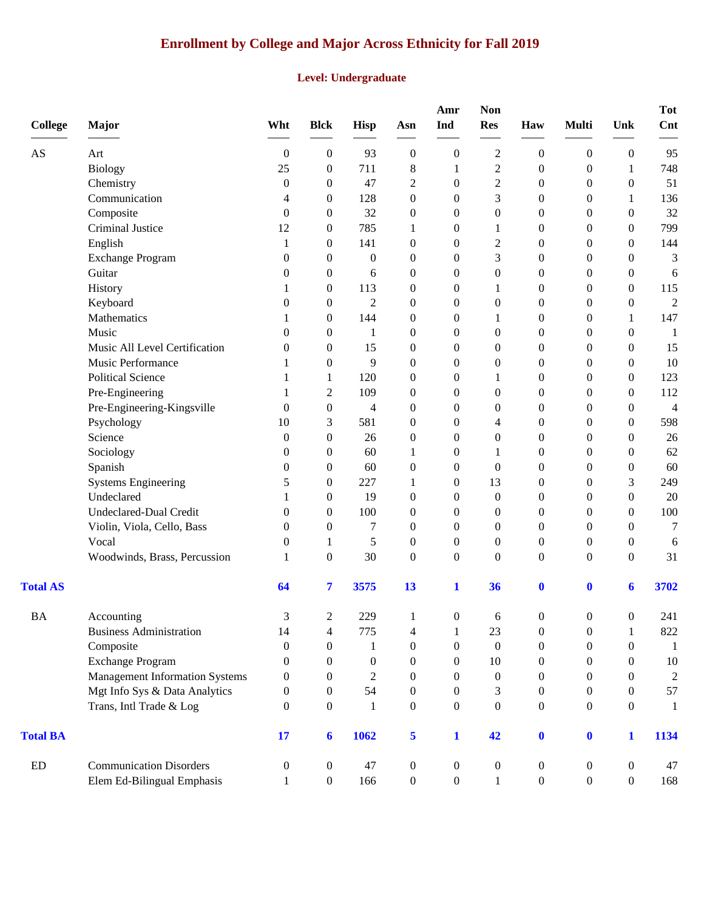# **Enrollment by College and Major Across Ethnicity for Fall 2019**

#### **Level: Undergraduate**

| <b>College</b>         | Major                                 | Wht              | <b>Blck</b>      | <b>Hisp</b>      | Asn              | Amr<br>Ind       | <b>Non</b><br><b>Res</b> | Haw              | <b>Multi</b>     | Unk              | <b>Tot</b><br>Cnt |
|------------------------|---------------------------------------|------------------|------------------|------------------|------------------|------------------|--------------------------|------------------|------------------|------------------|-------------------|
| $\mathbf{A}\mathbf{S}$ | Art                                   | $\boldsymbol{0}$ | $\boldsymbol{0}$ | 93               | $\boldsymbol{0}$ | $\boldsymbol{0}$ | $\overline{c}$           | $\boldsymbol{0}$ | $\boldsymbol{0}$ | $\boldsymbol{0}$ | 95                |
|                        | <b>Biology</b>                        | 25               | $\boldsymbol{0}$ | 711              | 8                | 1                | $\mathfrak{2}$           | $\boldsymbol{0}$ | $\boldsymbol{0}$ | $\mathbf{1}$     | 748               |
|                        | Chemistry                             | $\boldsymbol{0}$ | $\boldsymbol{0}$ | 47               | $\overline{c}$   | $\boldsymbol{0}$ | $\overline{c}$           | $\boldsymbol{0}$ | $\boldsymbol{0}$ | $\boldsymbol{0}$ | 51                |
|                        | Communication                         | 4                | $\boldsymbol{0}$ | 128              | $\boldsymbol{0}$ | $\boldsymbol{0}$ | 3                        | $\boldsymbol{0}$ | $\boldsymbol{0}$ | 1                | 136               |
|                        | Composite                             | $\overline{0}$   | $\boldsymbol{0}$ | 32               | $\boldsymbol{0}$ | $\theta$         | $\boldsymbol{0}$         | $\mathbf{0}$     | $\boldsymbol{0}$ | $\theta$         | 32                |
|                        | Criminal Justice                      | 12               | $\boldsymbol{0}$ | 785              | 1                | $\boldsymbol{0}$ | $\mathbf{1}$             | $\mathbf{0}$     | $\boldsymbol{0}$ | $\mathbf{0}$     | 799               |
|                        | English                               | 1                | $\boldsymbol{0}$ | 141              | $\boldsymbol{0}$ | $\boldsymbol{0}$ | $\overline{c}$           | $\boldsymbol{0}$ | $\boldsymbol{0}$ | $\theta$         | 144               |
|                        | <b>Exchange Program</b>               | $\overline{0}$   | $\boldsymbol{0}$ | $\theta$         | $\boldsymbol{0}$ | $\boldsymbol{0}$ | 3                        | $\boldsymbol{0}$ | $\boldsymbol{0}$ | $\mathbf{0}$     | 3                 |
|                        | Guitar                                | $\boldsymbol{0}$ | $\boldsymbol{0}$ | 6                | $\boldsymbol{0}$ | $\boldsymbol{0}$ | $\boldsymbol{0}$         | $\boldsymbol{0}$ | $\boldsymbol{0}$ | $\overline{0}$   | 6                 |
|                        | History                               | 1                | $\boldsymbol{0}$ | 113              | $\boldsymbol{0}$ | $\boldsymbol{0}$ | 1                        | $\boldsymbol{0}$ | $\boldsymbol{0}$ | $\overline{0}$   | 115               |
|                        | Keyboard                              | $\overline{0}$   | $\boldsymbol{0}$ | $\overline{2}$   | $\boldsymbol{0}$ | $\theta$         | $\boldsymbol{0}$         | $\mathbf{0}$     | $\theta$         | $\theta$         | $\mathbf{2}$      |
|                        | Mathematics                           | 1                | $\boldsymbol{0}$ | 144              | $\boldsymbol{0}$ | $\theta$         | 1                        | $\boldsymbol{0}$ | $\boldsymbol{0}$ | 1                | 147               |
|                        | Music                                 | $\boldsymbol{0}$ | $\overline{0}$   | 1                | $\boldsymbol{0}$ | $\overline{0}$   | $\boldsymbol{0}$         | $\mathbf{0}$     | $\boldsymbol{0}$ | $\mathbf{0}$     | 1                 |
|                        | Music All Level Certification         | $\theta$         | $\boldsymbol{0}$ | 15               | $\boldsymbol{0}$ | $\mathbf{0}$     | $\boldsymbol{0}$         | $\mathbf{0}$     | $\boldsymbol{0}$ | $\theta$         | 15                |
|                        | Music Performance                     | 1                | $\boldsymbol{0}$ | 9                | $\boldsymbol{0}$ | $\boldsymbol{0}$ | $\boldsymbol{0}$         | $\boldsymbol{0}$ | $\boldsymbol{0}$ | $\mathbf{0}$     | 10                |
|                        | <b>Political Science</b>              | 1                | 1                | 120              | $\boldsymbol{0}$ | $\boldsymbol{0}$ | 1                        | $\boldsymbol{0}$ | $\boldsymbol{0}$ | $\mathbf{0}$     | 123               |
|                        | Pre-Engineering                       | 1                | $\overline{c}$   | 109              | $\boldsymbol{0}$ | $\theta$         | $\boldsymbol{0}$         | $\mathbf{0}$     | $\boldsymbol{0}$ | $\theta$         | 112               |
|                        | Pre-Engineering-Kingsville            | $\mathbf{0}$     | $\boldsymbol{0}$ | $\overline{4}$   | $\boldsymbol{0}$ | $\theta$         | $\boldsymbol{0}$         | $\boldsymbol{0}$ | $\boldsymbol{0}$ | $\mathbf{0}$     | 4                 |
|                        | Psychology                            | 10               | 3                | 581              | $\boldsymbol{0}$ | $\theta$         | 4                        | $\mathbf{0}$     | $\boldsymbol{0}$ | $\mathbf{0}$     | 598               |
|                        | Science                               | $\theta$         | $\boldsymbol{0}$ | 26               | $\boldsymbol{0}$ | $\boldsymbol{0}$ | $\boldsymbol{0}$         | $\boldsymbol{0}$ | $\boldsymbol{0}$ | $\theta$         | 26                |
|                        | Sociology                             | $\boldsymbol{0}$ | $\boldsymbol{0}$ | 60               | 1                | $\boldsymbol{0}$ | 1                        | $\boldsymbol{0}$ | $\boldsymbol{0}$ | $\overline{0}$   | 62                |
|                        | Spanish                               | $\boldsymbol{0}$ | $\boldsymbol{0}$ | 60               | $\boldsymbol{0}$ | $\theta$         | $\boldsymbol{0}$         | $\boldsymbol{0}$ | $\boldsymbol{0}$ | $\overline{0}$   | 60                |
|                        | <b>Systems Engineering</b>            | 5                | $\mathbf{0}$     | 227              | 1                | $\theta$         | 13                       | $\mathbf{0}$     | $\theta$         | 3                | 249               |
|                        | Undeclared                            | 1                | $\boldsymbol{0}$ | 19               | $\boldsymbol{0}$ | $\theta$         | $\boldsymbol{0}$         | $\mathbf{0}$     | $\boldsymbol{0}$ | $\mathbf{0}$     | 20                |
|                        | <b>Undeclared-Dual Credit</b>         | $\boldsymbol{0}$ | $\boldsymbol{0}$ | 100              | $\boldsymbol{0}$ | $\theta$         | 0                        | $\boldsymbol{0}$ | $\boldsymbol{0}$ | $\mathbf{0}$     | 100               |
|                        | Violin, Viola, Cello, Bass            | $\boldsymbol{0}$ | $\boldsymbol{0}$ | 7                | $\boldsymbol{0}$ | $\mathbf{0}$     | $\boldsymbol{0}$         | $\mathbf{0}$     | $\boldsymbol{0}$ | $\theta$         | $\tau$            |
|                        | Vocal                                 | $\boldsymbol{0}$ | 1                | 5                | $\boldsymbol{0}$ | $\boldsymbol{0}$ | $\boldsymbol{0}$         | $\boldsymbol{0}$ | $\boldsymbol{0}$ | $\boldsymbol{0}$ | 6                 |
|                        | Woodwinds, Brass, Percussion          | 1                | $\boldsymbol{0}$ | 30               | $\boldsymbol{0}$ | $\boldsymbol{0}$ | $\boldsymbol{0}$         | $\mathbf{0}$     | $\boldsymbol{0}$ | $\overline{0}$   | 31                |
| <b>Total AS</b>        |                                       | 64               | 7                | 3575             | 13               | $\mathbf{1}$     | 36                       | $\mathbf 0$      | $\mathbf 0$      | 6                | 3702              |
| <b>BA</b>              | Accounting                            | 3                | 2                | 229              | $\mathbf{1}$     | $\boldsymbol{0}$ | 6                        | $\boldsymbol{0}$ | 0                | 0                | 241               |
|                        | <b>Business Administration</b>        | 14               | $\overline{4}$   | 775              | $\overline{4}$   | $\mathbf{1}$     | 23                       | $\boldsymbol{0}$ | $\boldsymbol{0}$ | 1                | 822               |
|                        | Composite                             | $\boldsymbol{0}$ | $\boldsymbol{0}$ | 1                | $\boldsymbol{0}$ | $\boldsymbol{0}$ | $\boldsymbol{0}$         | $\boldsymbol{0}$ | $\boldsymbol{0}$ | $\overline{0}$   | -1                |
|                        | <b>Exchange Program</b>               | $\theta$         | $\theta$         | $\boldsymbol{0}$ | $\boldsymbol{0}$ | $\overline{0}$   | 10                       | $\overline{0}$   | $\theta$         | $\overline{0}$   | 10                |
|                        | <b>Management Information Systems</b> | $\theta$         | 0                | $\overline{2}$   | $\boldsymbol{0}$ | $\overline{0}$   | $\boldsymbol{0}$         | $\mathbf{0}$     | $\mathbf{0}$     | $\theta$         | $\overline{c}$    |
|                        | Mgt Info Sys & Data Analytics         | $\boldsymbol{0}$ | $\boldsymbol{0}$ | 54               | $\boldsymbol{0}$ | $\overline{0}$   | 3                        | $\mathbf{0}$     | $\boldsymbol{0}$ | $\overline{0}$   | 57                |
|                        | Trans, Intl Trade & Log               | $\overline{0}$   | $\boldsymbol{0}$ | 1                | $\boldsymbol{0}$ | $\boldsymbol{0}$ | $\overline{0}$           | $\boldsymbol{0}$ | $\boldsymbol{0}$ | $\overline{0}$   | 1                 |
| <b>Total BA</b>        |                                       | 17               | 6                | 1062             | 5                | $\mathbf{1}$     | 42                       | $\bf{0}$         | $\mathbf{0}$     | 1                | 1134              |
| ${\rm ED}$             | <b>Communication Disorders</b>        | $\boldsymbol{0}$ | $\boldsymbol{0}$ | 47               | $\boldsymbol{0}$ | $\boldsymbol{0}$ | $\boldsymbol{0}$         | $\boldsymbol{0}$ | $\boldsymbol{0}$ | $\boldsymbol{0}$ | 47                |
|                        | Elem Ed-Bilingual Emphasis            | $\mathbf{1}$     | $\boldsymbol{0}$ | 166              | $\boldsymbol{0}$ | $\boldsymbol{0}$ | 1                        | $\boldsymbol{0}$ | $\boldsymbol{0}$ | $\overline{0}$   | 168               |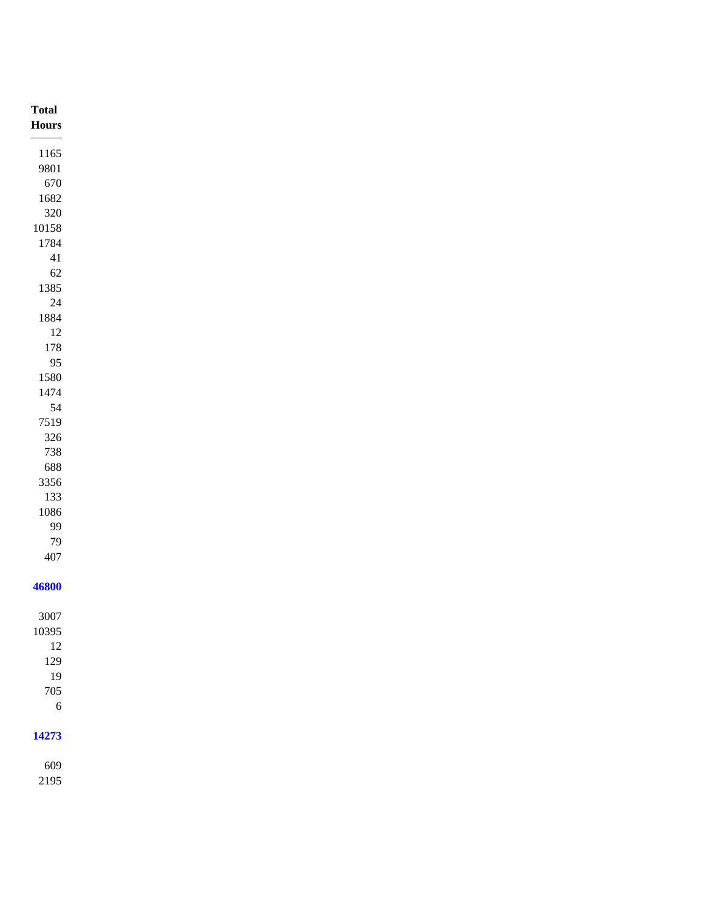| <b>Total</b><br>${\bf Hours}$ |
|-------------------------------|
|                               |
| 1165                          |
| 9801                          |
| 670                           |
| 1682                          |
| 320                           |
| $10158\,$                     |
| 1784                          |
| $41\,$                        |
| 62                            |
| 1385                          |
| $24\,$                        |
| 1884                          |
| 12                            |
| $178\,$                       |
| 95                            |
| $1580\,$                      |
| 1474                          |
| 54                            |
| 7519                          |
| 326                           |
| 738                           |
| 688                           |
| 3356                          |
| 133                           |
| 1086                          |
| 99                            |
| 79                            |
| 407                           |
|                               |
| 46800                         |
|                               |
| 3007                          |
| 10395                         |
| 12                            |
| 129                           |
| 19                            |
| 705                           |
| $\sqrt{6}$                    |
|                               |
| 14273                         |
|                               |
| 609<br>0.107                  |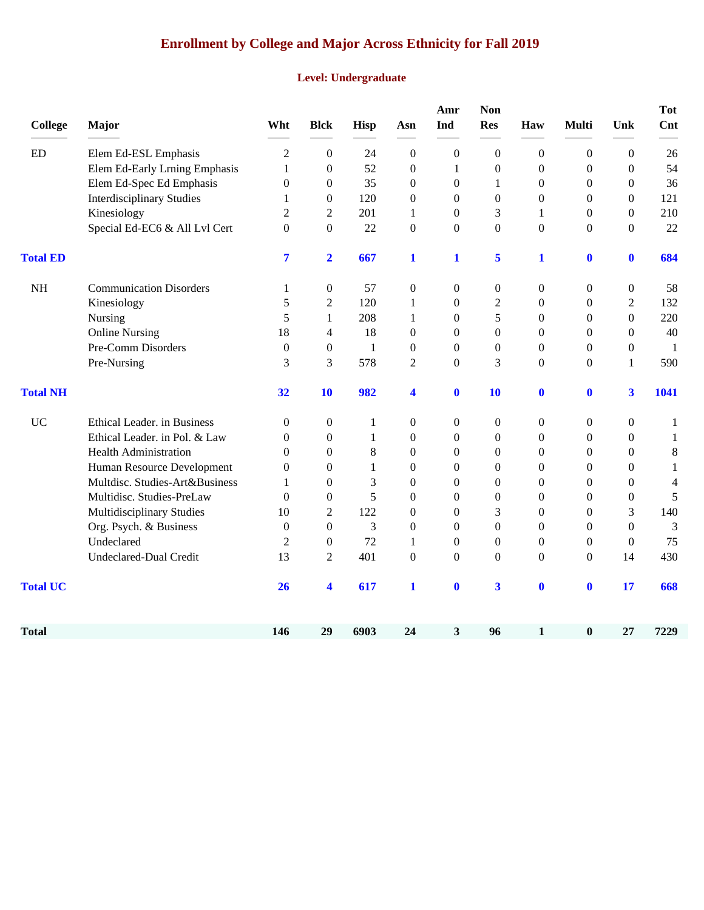# **Enrollment by College and Major Across Ethnicity for Fall 2019**

#### **Level: Undergraduate**

| <b>College</b>  | Major                            | Wht              | <b>Blck</b>      | <b>Hisp</b>  | Asn              | Amr<br>Ind       | <b>Non</b><br><b>Res</b> | Haw              | <b>Multi</b>     | Unk                     | <b>Tot</b><br>Cnt |
|-----------------|----------------------------------|------------------|------------------|--------------|------------------|------------------|--------------------------|------------------|------------------|-------------------------|-------------------|
| <b>ED</b>       | Elem Ed-ESL Emphasis             | $\overline{2}$   | $\boldsymbol{0}$ | 24           | $\boldsymbol{0}$ | $\boldsymbol{0}$ | $\boldsymbol{0}$         | $\boldsymbol{0}$ | $\boldsymbol{0}$ | $\overline{0}$          | $26\,$            |
|                 | Elem Ed-Early Lrning Emphasis    | $\mathbf{1}$     | $\boldsymbol{0}$ | 52           | $\boldsymbol{0}$ | $\mathbf{1}$     | $\boldsymbol{0}$         | $\boldsymbol{0}$ | $\mathbf{0}$     | $\overline{0}$          | 54                |
|                 | Elem Ed-Spec Ed Emphasis         | $\boldsymbol{0}$ | $\boldsymbol{0}$ | 35           | $\boldsymbol{0}$ | $\boldsymbol{0}$ | 1                        | $\boldsymbol{0}$ | $\boldsymbol{0}$ | $\overline{0}$          | 36                |
|                 | <b>Interdisciplinary Studies</b> | 1                | $\theta$         | 120          | $\boldsymbol{0}$ | $\overline{0}$   | $\boldsymbol{0}$         | $\boldsymbol{0}$ | $\mathbf{0}$     | $\Omega$                | 121               |
|                 | Kinesiology                      | $\overline{2}$   | 2                | 201          | 1                | $\theta$         | 3                        | 1                | $\boldsymbol{0}$ | $\Omega$                | 210               |
|                 | Special Ed-EC6 & All Lvl Cert    | $\theta$         | $\boldsymbol{0}$ | 22           | $\boldsymbol{0}$ | $\overline{0}$   | $\boldsymbol{0}$         | $\mathbf{0}$     | $\mathbf{0}$     | $\Omega$                | 22                |
| <b>Total ED</b> |                                  | 7                | $\overline{2}$   | 667          | $\mathbf{1}$     | $\mathbf{1}$     | 5                        | $\mathbf{1}$     | $\mathbf{0}$     | $\bf{0}$                | 684               |
| <b>NH</b>       | <b>Communication Disorders</b>   | 1                | $\boldsymbol{0}$ | 57           | $\boldsymbol{0}$ | $\overline{0}$   | $\boldsymbol{0}$         | $\boldsymbol{0}$ | $\boldsymbol{0}$ | $\overline{0}$          | 58                |
|                 | Kinesiology                      | 5                | $\overline{c}$   | 120          | $\mathbf{1}$     | $\Omega$         | $\overline{c}$           | $\boldsymbol{0}$ | $\boldsymbol{0}$ | $\overline{2}$          | 132               |
|                 | Nursing                          | 5                | $\mathbf{1}$     | 208          | 1                | $\Omega$         | 5                        | $\boldsymbol{0}$ | $\overline{0}$   | $\theta$                | 220               |
|                 | <b>Online Nursing</b>            | 18               | $\overline{4}$   | 18           | $\mathbf{0}$     | $\Omega$         | $\overline{0}$           | $\mathbf{0}$     | $\Omega$         | $\theta$                | 40                |
|                 | Pre-Comm Disorders               | $\boldsymbol{0}$ | $\boldsymbol{0}$ | $\mathbf{1}$ | $\boldsymbol{0}$ | $\boldsymbol{0}$ | $\boldsymbol{0}$         | $\mathbf{0}$     | $\mathbf{0}$     | $\mathbf{0}$            | $\mathbf{1}$      |
|                 | Pre-Nursing                      | 3                | 3                | 578          | $\overline{2}$   | $\overline{0}$   | 3                        | $\mathbf{0}$     | $\overline{0}$   | $\mathbf{1}$            | 590               |
| <b>Total NH</b> |                                  | 32               | 10               | 982          | 4                | $\bf{0}$         | 10                       | $\mathbf{0}$     | $\bf{0}$         | $\overline{\mathbf{3}}$ | 1041              |
| <b>UC</b>       | Ethical Leader. in Business      | $\mathbf{0}$     | $\boldsymbol{0}$ | 1            | $\boldsymbol{0}$ | $\boldsymbol{0}$ | $\boldsymbol{0}$         | $\boldsymbol{0}$ | $\boldsymbol{0}$ | $\overline{0}$          | $\mathbf{1}$      |
|                 | Ethical Leader. in Pol. & Law    | $\theta$         | $\boldsymbol{0}$ | 1            | $\boldsymbol{0}$ | $\theta$         | $\overline{0}$           | $\mathbf{0}$     | $\overline{0}$   | $\overline{0}$          | $\mathbf{1}$      |
|                 | <b>Health Administration</b>     | $\theta$         | $\boldsymbol{0}$ | 8            | $\boldsymbol{0}$ | $\Omega$         | $\overline{0}$           | $\boldsymbol{0}$ | $\mathbf{0}$     | $\Omega$                | $\,8$             |
|                 | Human Resource Development       | $\theta$         | $\mathbf{0}$     | 1            | $\mathbf{0}$     | $\theta$         | 0                        | $\mathbf{0}$     | $\theta$         | $\mathbf{0}$            | $\,1$             |
|                 | Multdisc. Studies-Art&Business   | 1                | $\boldsymbol{0}$ | 3            | $\boldsymbol{0}$ | $\Omega$         | $\theta$                 | $\boldsymbol{0}$ | $\mathbf{0}$     | $\Omega$                | 4                 |
|                 | Multidisc. Studies-PreLaw        | $\mathbf{0}$     | $\boldsymbol{0}$ | 5            | $\boldsymbol{0}$ | $\theta$         | 0                        | $\boldsymbol{0}$ | $\theta$         | $\mathbf{0}$            | 5                 |
|                 | Multidisciplinary Studies        | 10               | $\overline{2}$   | 122          | $\boldsymbol{0}$ | $\Omega$         | 3                        | $\mathbf{0}$     | $\mathbf{0}$     | 3                       | 140               |
|                 | Org. Psych. & Business           | $\Omega$         | $\boldsymbol{0}$ | 3            | $\boldsymbol{0}$ | $\Omega$         | $\theta$                 | $\boldsymbol{0}$ | $\Omega$         | $\theta$                | 3                 |
|                 | Undeclared                       | $\overline{2}$   | $\boldsymbol{0}$ | 72           | $\mathbf{1}$     | $\boldsymbol{0}$ | $\boldsymbol{0}$         | $\boldsymbol{0}$ | $\boldsymbol{0}$ | $\mathbf{0}$            | 75                |
|                 | Undeclared-Dual Credit           | 13               | 2                | 401          | $\mathbf{0}$     | $\Omega$         | $\theta$                 | $\Omega$         | $\overline{0}$   | 14                      | 430               |
| <b>Total UC</b> |                                  | 26               | 4                | 617          | 1                | $\bf{0}$         | $\overline{\mathbf{3}}$  | $\mathbf{0}$     | $\mathbf 0$      | 17                      | 668               |
| <b>Total</b>    |                                  | 146              | 29               | 6903         | 24               | 3                | 96                       | 1                | $\bf{0}$         | 27                      | 7229              |
|                 |                                  |                  |                  |              |                  |                  |                          |                  |                  |                         |                   |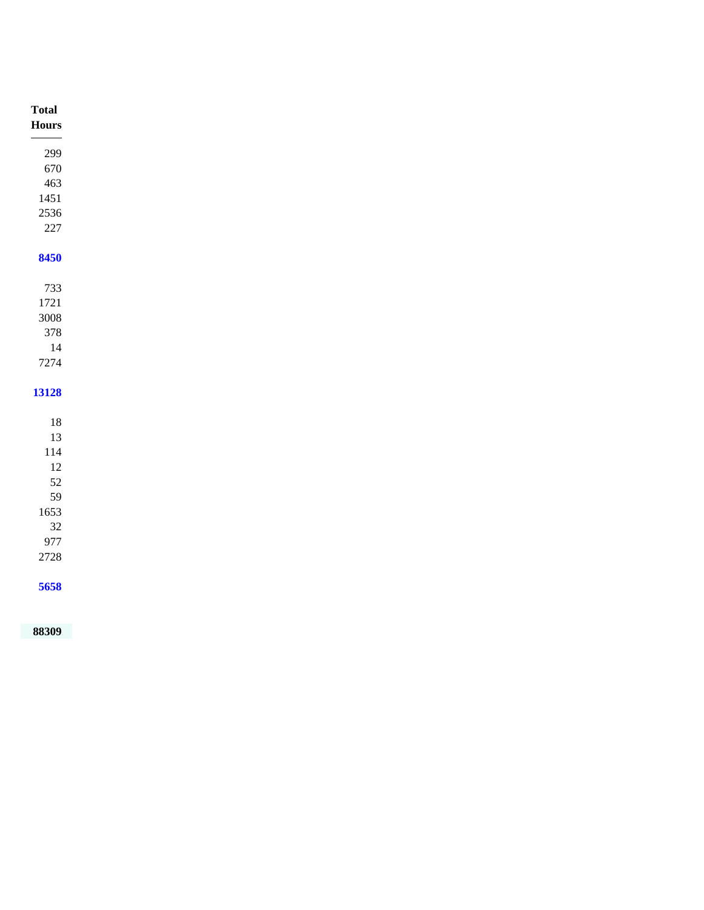| <b>Total</b>  |
|---------------|
| ${\bf Hours}$ |
|               |
| 299           |
| 670           |
| 463           |
| $1451\,$      |
| 2536          |
| $227\,$       |
| 8450          |
|               |
| 733           |
| 1721          |
| $3008\,$      |
| 378           |
| 14            |
| 7274          |
|               |
| 13128         |
| $18\,$        |
| 13            |
| $114\,$       |
| $12\,$        |
| 52            |
| 59            |
| 1653          |
| $32\,$        |
| 977           |
| $2728\,$      |
|               |
| 5658          |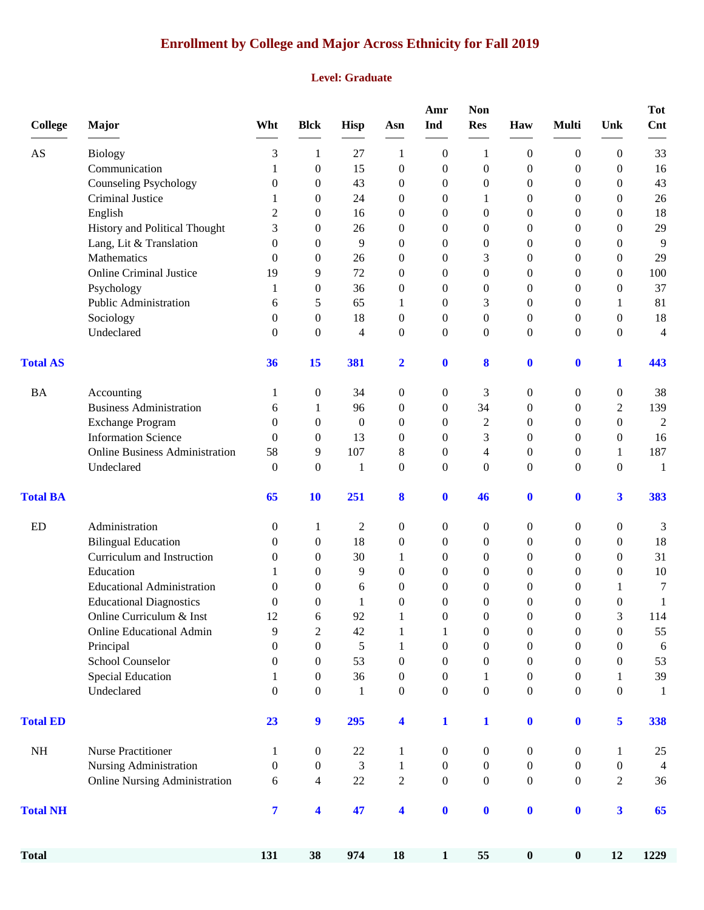# **Enrollment by College and Major Across Ethnicity for Fall 2019**

#### **Level: Graduate**

| <b>College</b>         | <b>Major</b>                                 | Wht                   | <b>Blck</b>         | Hisp             | Asn                          | Amr<br>Ind                       | Non<br><b>Res</b>                    | Haw                                  | Multi                                | Unk                                | <b>Tot</b><br>Cnt |
|------------------------|----------------------------------------------|-----------------------|---------------------|------------------|------------------------------|----------------------------------|--------------------------------------|--------------------------------------|--------------------------------------|------------------------------------|-------------------|
| $\mathbf{A}\mathbf{S}$ | <b>Biology</b>                               | 3                     | 1                   | 27               | 1                            | $\boldsymbol{0}$                 | 1                                    | $\boldsymbol{0}$                     | 0                                    | 0                                  | 33                |
|                        | Communication                                | 1                     | 0                   | 15               | $\boldsymbol{0}$             | $\boldsymbol{0}$                 | $\theta$                             | $\boldsymbol{0}$                     | 0                                    | $\theta$                           | 16                |
|                        | <b>Counseling Psychology</b>                 | 0                     | 0                   | 43               | $\theta$                     | $\boldsymbol{0}$                 | $\overline{0}$                       | 0                                    | 0                                    | $\overline{0}$                     | 43                |
|                        | Criminal Justice                             | 1                     | 0                   | 24               | $\theta$                     | 0                                | 1                                    | 0                                    | 0                                    | 0                                  | 26                |
|                        | English                                      | $\overline{2}$        | 0                   | 16               | $\mathbf{0}$                 | $\boldsymbol{0}$                 | $\theta$                             | 0                                    | 0                                    | 0                                  | 18                |
|                        | History and Political Thought                | 3                     | 0                   | 26               | $\mathbf{0}$                 | $\theta$                         | $\Omega$                             | $\mathbf{0}$                         | 0                                    | 0                                  | 29                |
|                        | Lang, Lit & Translation                      | $\theta$              | 0                   | 9                | $\mathbf{0}$                 | $\theta$                         | $\theta$                             | $\theta$                             | 0                                    | 0                                  | 9                 |
|                        | Mathematics                                  | $\theta$              | 0                   | 26               | $\mathbf{0}$                 | $\theta$                         | 3                                    | 0                                    | 0                                    | 0                                  | 29                |
|                        | <b>Online Criminal Justice</b>               | 19                    | 9                   | 72               | $\theta$                     | $\theta$                         | $\overline{0}$                       | $\boldsymbol{0}$                     | $\overline{0}$                       | $\overline{0}$                     | 100               |
|                        | Psychology                                   | 1                     | $\boldsymbol{0}$    | 36               | $\mathbf{0}$                 | 0                                | $\overline{0}$                       | 0                                    | 0                                    | $\overline{0}$                     | 37                |
|                        | Public Administration                        | 6                     | 5                   | 65               | 1                            | $\boldsymbol{0}$                 | 3                                    | $\overline{0}$                       | 0                                    | 1                                  | 81                |
|                        | Sociology                                    | $\theta$              | 0                   | 18               | $\mathbf{0}$                 | $\overline{0}$                   | $\overline{0}$                       | $\mathbf{0}$                         | 0                                    | $\overline{0}$                     | 18                |
|                        | Undeclared                                   | $\theta$              | 0                   | 4                | $\mathbf{0}$                 | $\overline{0}$                   | $\theta$                             | $\mathbf{0}$                         | 0                                    | $\overline{0}$                     | 4                 |
| <b>Total AS</b>        |                                              | 36                    | 15                  | 381              | $\overline{\mathbf{2}}$      | $\bf{0}$                         | 8                                    | $\boldsymbol{0}$                     | $\boldsymbol{0}$                     | 1                                  | 443               |
| <b>BA</b>              | Accounting                                   | 1                     | 0                   | 34               | $\boldsymbol{0}$             | $\boldsymbol{0}$                 | 3                                    | $\boldsymbol{0}$                     | 0                                    | 0                                  | 38                |
|                        | <b>Business Administration</b>               | 6                     | 1                   | 96               | $\theta$                     | $\theta$                         | 34                                   | $\mathbf{0}$                         | 0                                    | 2                                  | 139               |
|                        | <b>Exchange Program</b>                      | $\theta$              | 0                   | $\overline{0}$   | $\mathbf{0}$                 | $\theta$                         | $\overline{c}$                       | $\mathbf{0}$                         | 0                                    | $\overline{0}$                     | $\overline{c}$    |
|                        | <b>Information Science</b>                   | $\theta$              | 0                   | 13               | $\mathbf{0}$                 | $\theta$                         | 3                                    | 0                                    | 0                                    | 0                                  | 16                |
|                        | <b>Online Business Administration</b>        | 58                    | 9                   | 107              | 8                            | $\boldsymbol{0}$                 | 4                                    | $\boldsymbol{0}$                     | 0                                    | 1                                  | 187               |
|                        | Undeclared                                   | $\theta$              | $\boldsymbol{0}$    | 1                | $\mathbf{0}$                 | $\overline{0}$                   | $\overline{0}$                       | $\boldsymbol{0}$                     | $\overline{0}$                       | $\overline{0}$                     | 1                 |
| <b>Total BA</b>        |                                              | 65                    | 10                  | 251              | 8                            | $\mathbf 0$                      | 46                                   | $\mathbf 0$                          | $\bf{0}$                             | 3                                  | 383               |
| ED                     | Administration                               | $\boldsymbol{0}$      | 1                   | $\overline{c}$   | $\boldsymbol{0}$             | $\boldsymbol{0}$                 | $\boldsymbol{0}$                     | $\boldsymbol{0}$                     | 0                                    | 0                                  | 3                 |
|                        | <b>Bilingual Education</b>                   | 0                     | 0                   | 18               | $\boldsymbol{0}$             | $\boldsymbol{0}$                 | $\theta$                             | $\boldsymbol{0}$                     | 0                                    | $\overline{0}$                     | 18                |
|                        | Curriculum and Instruction                   | 0                     | 0                   | 30               | 1                            | $\boldsymbol{0}$                 | $\overline{0}$                       | 0                                    | 0                                    | $\overline{0}$                     | 31                |
|                        | Education                                    |                       | 0                   | 9                | $\mathbf{0}$                 | $\boldsymbol{0}$                 | $\theta$                             | 0                                    | 0                                    | 0                                  | 10                |
|                        | <b>Educational Administration</b>            | 0                     | 0                   | 6                | $\Omega$                     | $\Omega$                         | $\Omega$                             | 0                                    | 0                                    | 1                                  | 7                 |
|                        | <b>Educational Diagnostics</b>               | 0                     | 0                   | 1                | $\theta$                     | $\theta$                         | $\theta$                             | 0                                    | 0                                    | 0                                  | 1                 |
|                        | Online Curriculum & Inst                     | 12                    | 6                   | 92               | 1                            | $\overline{0}$                   | $\boldsymbol{0}$                     | $\boldsymbol{0}$                     | 0                                    | 3                                  | 114               |
|                        | <b>Online Educational Admin</b><br>Principal | 9<br>$\boldsymbol{0}$ | $\overline{c}$<br>0 | 42<br>$\sqrt{5}$ | $\mathbf{1}$<br>$\mathbf{1}$ | $\mathbf{1}$<br>$\boldsymbol{0}$ | $\boldsymbol{0}$<br>$\boldsymbol{0}$ | $\boldsymbol{0}$<br>$\boldsymbol{0}$ | $\boldsymbol{0}$<br>$\boldsymbol{0}$ | $\boldsymbol{0}$<br>$\overline{0}$ | 55<br>$\sqrt{6}$  |
|                        | School Counselor                             | 0                     | 0                   | 53               | $\boldsymbol{0}$             | $\boldsymbol{0}$                 | $\theta$                             | $\boldsymbol{0}$                     | 0                                    | 0                                  | 53                |
|                        | <b>Special Education</b>                     | 1                     | 0                   | 36               | $\mathbf{0}$                 | $\theta$                         |                                      | $\mathbf{0}$                         | 0                                    | 1                                  | 39                |
|                        | Undeclared                                   | $\theta$              | 0                   | $\mathbf{1}$     | $\boldsymbol{0}$             | $\boldsymbol{0}$                 | $\boldsymbol{0}$                     | $\boldsymbol{0}$                     | 0                                    | $\boldsymbol{0}$                   | $\mathbf{1}$      |
| <b>Total ED</b>        |                                              | 23                    | $\boldsymbol{9}$    | 295              | $\overline{\mathbf{4}}$      | $\mathbf{1}$                     | $\mathbf{1}$                         | $\mathbf 0$                          | $\bf{0}$                             | 5                                  | 338               |
| $\rm NH$               | <b>Nurse Practitioner</b>                    | 1                     | 0                   | $22\,$           | 1                            | $\boldsymbol{0}$                 | $\bf{0}$                             | $\boldsymbol{0}$                     | 0                                    | 1                                  | 25                |
|                        | Nursing Administration                       | $\mathbf{0}$          | 0                   | 3                | 1                            | $\boldsymbol{0}$                 | $\mathbf{0}$                         | $\boldsymbol{0}$                     | 0                                    | $\mathbf{0}$                       | 4                 |
|                        | <b>Online Nursing Administration</b>         | 6                     | 4                   | 22               | $\sqrt{2}$                   | $\boldsymbol{0}$                 | $\boldsymbol{0}$                     | $\boldsymbol{0}$                     | $\boldsymbol{0}$                     | $\overline{2}$                     | 36                |
| <b>Total NH</b>        |                                              | 7                     | 4                   | 47               | $\overline{\mathbf{4}}$      | $\mathbf 0$                      | $\bf{0}$                             | $\mathbf 0$                          | $\bf{0}$                             | $\overline{\mathbf{3}}$            | 65                |
| <b>Total</b>           |                                              | 131                   | 38                  | 974              | 18                           | $\mathbf{1}$                     | 55                                   | $\pmb{0}$                            | $\boldsymbol{0}$                     | 12                                 | 1229              |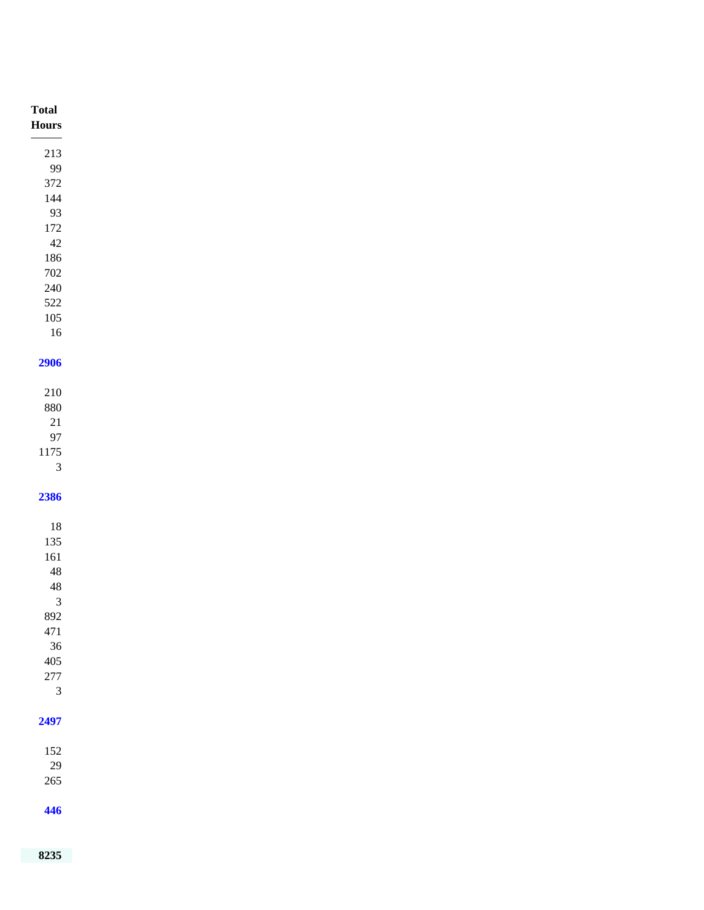| <b>Total</b>                                |
|---------------------------------------------|
| $\bold{Flours}$<br><b>Contract Contract</b> |
| $213\,$                                     |
| 99                                          |
| $372\,$<br>$144\,$                          |
| 93                                          |
| $172\,$                                     |
| $42\,$                                      |
| $186\,$                                     |
| $702\,$                                     |
| $240\,$                                     |
| $522\,$                                     |
| $105\,$                                     |
| $16\,$                                      |
| 2906                                        |
|                                             |
| $210\,$                                     |
| $880\,$                                     |
| $21\,$                                      |
| $\ensuremath{97}$                           |
| 1175<br>$\ensuremath{\mathfrak{Z}}$         |
|                                             |
| 2386                                        |
|                                             |
| $18\,$                                      |
| $135\,$                                     |
| $161\,$                                     |
| $\sqrt{48}$<br>$\sqrt{48}$                  |
| $\overline{\mathbf{3}}$                     |
| 892                                         |
| 471                                         |
| 36                                          |
| 405                                         |
| $277\,$                                     |
| $\mathfrak{Z}$                              |
| 2497                                        |
|                                             |
| $152\,$                                     |
| 29                                          |
| 265                                         |
|                                             |
| 446                                         |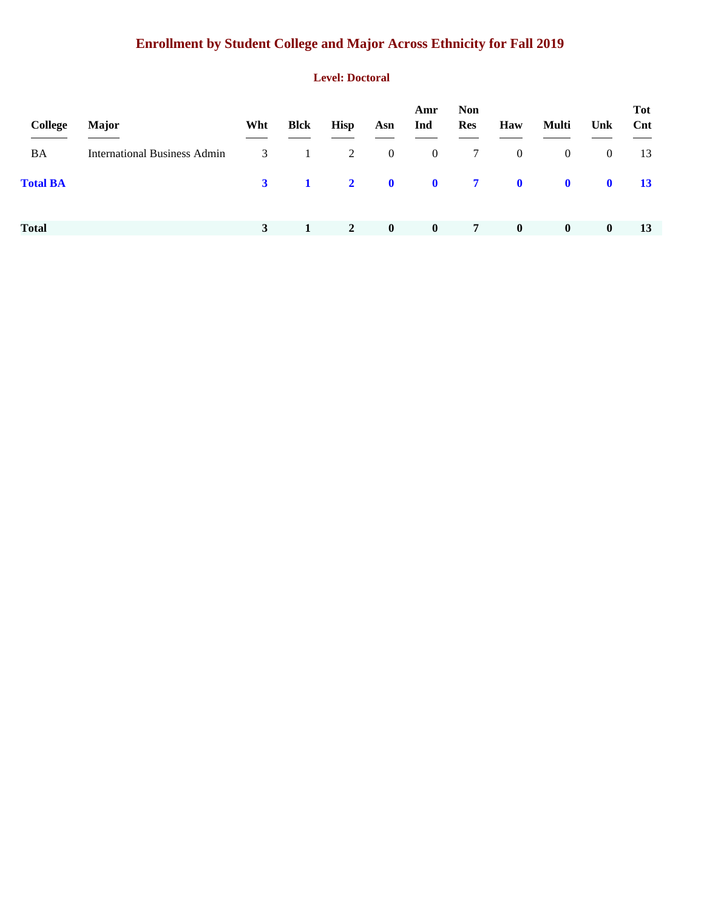# **Enrollment by Student College and Major Across Ethnicity for Fall 2019**

#### **Level: Doctoral**

| College         | <b>Major</b>                        | Wht          | <b>Blck</b>    | <b>Hisp</b> | Asn                       | Amr<br>Ind              | <b>Non</b><br><b>Res</b> | Haw            | Multi          | Unk            | <b>Tot</b><br>Cnt |
|-----------------|-------------------------------------|--------------|----------------|-------------|---------------------------|-------------------------|--------------------------|----------------|----------------|----------------|-------------------|
| BA              | <b>International Business Admin</b> | $\mathbf{3}$ | $\mathbf{1}$   | 2           | $\overline{0}$            | $\overline{0}$          | 7                        | $\overline{0}$ | $\overline{0}$ | $\overline{0}$ | 13                |
| <b>Total BA</b> |                                     | $\mathbf{3}$ | $\blacksquare$ |             | $\overline{\mathbf{2}}$ 0 | $\overline{\mathbf{0}}$ | $\overline{7}$           | $\bullet$      | $\mathbf 0$    | $\mathbf 0$    | <b>13</b>         |
| <b>Total</b>    |                                     | 3            |                | $\sqrt{2}$  | $\mathbf{0}$              | $\bf{0}$                | $\overline{7}$           | $\mathbf{0}$   | $\mathbf{0}$   | $\bf{0}$       | 13                |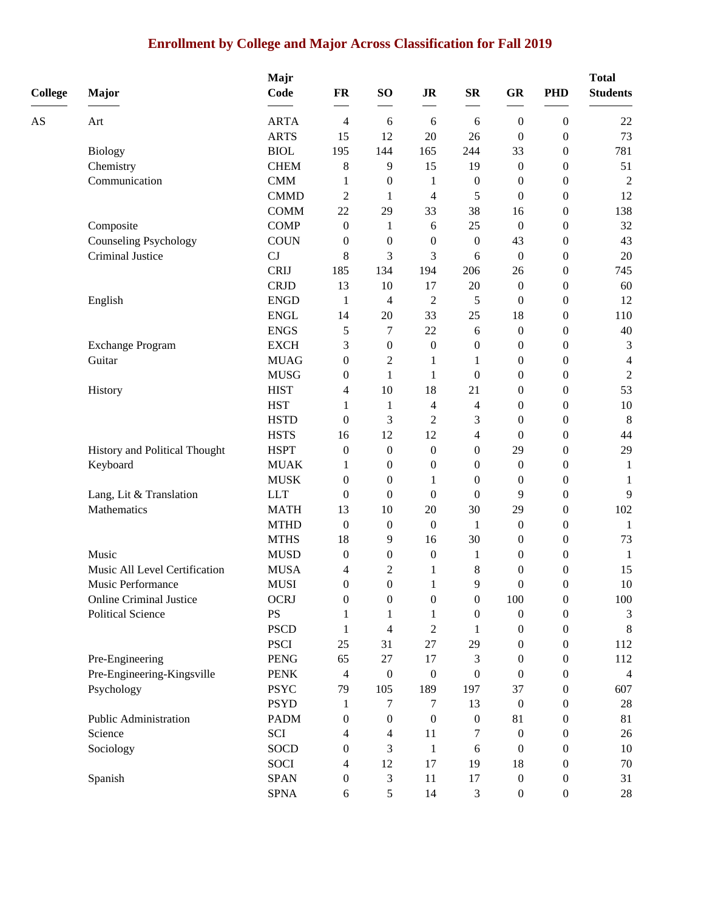### **Enrollment by College and Major Across Classification for Fall 2019**

| <b>College</b> | <b>Major</b>                              | Majr<br>Code               | FR                               | SO <sub>1</sub>          | $\mathbf{J}\mathbf{R}$ | $S_{\mathbf{R}}$ | GR                     | <b>PHD</b>                           | <b>Total</b><br><b>Students</b> |
|----------------|-------------------------------------------|----------------------------|----------------------------------|--------------------------|------------------------|------------------|------------------------|--------------------------------------|---------------------------------|
|                |                                           |                            |                                  |                          |                        |                  |                        |                                      |                                 |
| AS             | Art                                       | <b>ARTA</b>                | 4                                | 6                        | 6                      | 6                | $\boldsymbol{0}$       | $\boldsymbol{0}$                     | 22                              |
|                |                                           | <b>ARTS</b><br><b>BIOL</b> | 15                               | 12                       | 20                     | 26               | $\boldsymbol{0}$       | $\boldsymbol{0}$                     | 73                              |
|                | <b>Biology</b>                            |                            | 195                              | 144                      | 165                    | 244              | 33                     | $\boldsymbol{0}$                     | 781                             |
|                | Chemistry                                 | <b>CHEM</b>                | 8                                | 9                        | 15                     | 19               | $\boldsymbol{0}$       | $\boldsymbol{0}$                     | 51                              |
|                | Communication                             | <b>CMM</b><br><b>CMMD</b>  | 1                                | $\boldsymbol{0}$         | 1                      | $\boldsymbol{0}$ | $\boldsymbol{0}$       | $\boldsymbol{0}$                     | $\overline{c}$                  |
|                |                                           |                            | 2                                | $\mathbf{1}$             | 4                      | 5                | $\mathbf{0}$           | $\boldsymbol{0}$                     | 12                              |
|                |                                           | <b>COMM</b><br><b>COMP</b> | 22                               | 29                       | 33                     | 38<br>25         | 16                     | $\boldsymbol{0}$                     | 138<br>32                       |
|                | Composite<br><b>Counseling Psychology</b> | <b>COUN</b>                | $\boldsymbol{0}$<br>$\mathbf{0}$ | 1<br>$\boldsymbol{0}$    | 6<br>$\boldsymbol{0}$  | $\boldsymbol{0}$ | $\boldsymbol{0}$<br>43 | $\boldsymbol{0}$<br>$\boldsymbol{0}$ | 43                              |
|                | Criminal Justice                          | CJ                         | 8                                | 3                        | 3                      | 6                | $\boldsymbol{0}$       | $\boldsymbol{0}$                     | 20                              |
|                |                                           | <b>CRIJ</b>                | 185                              | 134                      | 194                    | 206              | 26                     | $\boldsymbol{0}$                     | 745                             |
|                |                                           | <b>CRJD</b>                | 13                               | 10                       | 17                     | 20               | $\boldsymbol{0}$       | $\boldsymbol{0}$                     | 60                              |
|                | English                                   | <b>ENGD</b>                | 1                                | $\overline{\mathcal{A}}$ | $\overline{c}$         | 5                | $\boldsymbol{0}$       | $\boldsymbol{0}$                     | 12                              |
|                |                                           | <b>ENGL</b>                | 14                               | 20                       | 33                     | 25               | 18                     | $\boldsymbol{0}$                     | 110                             |
|                |                                           | <b>ENGS</b>                | 5                                | 7                        | 22                     | 6                | $\boldsymbol{0}$       | $\boldsymbol{0}$                     | 40                              |
|                | <b>Exchange Program</b>                   | <b>EXCH</b>                | 3                                | $\boldsymbol{0}$         | $\boldsymbol{0}$       | 0                | $\boldsymbol{0}$       | $\boldsymbol{0}$                     | 3                               |
|                | Guitar                                    | <b>MUAG</b>                | $\boldsymbol{0}$                 | $\sqrt{2}$               | 1                      | 1                | $\boldsymbol{0}$       | $\boldsymbol{0}$                     | $\overline{4}$                  |
|                |                                           | <b>MUSG</b>                | $\mathbf{0}$                     | $\mathbf{1}$             | 1                      | $\boldsymbol{0}$ | $\theta$               | $\boldsymbol{0}$                     | $\boldsymbol{2}$                |
|                | History                                   | <b>HIST</b>                | 4                                | 10                       | 18                     | 21               | $\boldsymbol{0}$       | $\boldsymbol{0}$                     | 53                              |
|                |                                           | <b>HST</b>                 | 1                                | 1                        | 4                      | 4                | $\boldsymbol{0}$       | $\boldsymbol{0}$                     | $10\,$                          |
|                |                                           | <b>HSTD</b>                | $\theta$                         | 3                        | $\overline{2}$         | 3                | $\boldsymbol{0}$       | $\boldsymbol{0}$                     | 8                               |
|                |                                           | <b>HSTS</b>                | 16                               | 12                       | 12                     | 4                | $\boldsymbol{0}$       | $\boldsymbol{0}$                     | 44                              |
|                | History and Political Thought             | <b>HSPT</b>                | $\boldsymbol{0}$                 | $\boldsymbol{0}$         | $\boldsymbol{0}$       | 0                | 29                     | $\boldsymbol{0}$                     | 29                              |
|                | Keyboard                                  | <b>MUAK</b>                | 1                                | $\boldsymbol{0}$         | $\mathbf{0}$           | 0                | $\boldsymbol{0}$       | $\boldsymbol{0}$                     | 1                               |
|                |                                           | <b>MUSK</b>                | $\mathbf{0}$                     | $\boldsymbol{0}$         | 1                      | 0                | $\boldsymbol{0}$       | $\boldsymbol{0}$                     | 1                               |
|                | Lang, Lit & Translation                   | <b>LLT</b>                 | $\theta$                         | $\boldsymbol{0}$         | $\mathbf{0}$           | 0                | 9                      | $\boldsymbol{0}$                     | 9                               |
|                | Mathematics                               | <b>MATH</b>                | 13                               | 10                       | 20                     | 30               | 29                     | $\boldsymbol{0}$                     | 102                             |
|                |                                           | <b>MTHD</b>                | $\boldsymbol{0}$                 | $\boldsymbol{0}$         | $\boldsymbol{0}$       | 1                | $\boldsymbol{0}$       | $\boldsymbol{0}$                     | 1                               |
|                |                                           | <b>MTHS</b>                | 18                               | 9                        | 16                     | 30               | $\boldsymbol{0}$       | $\boldsymbol{0}$                     | 73                              |
|                | Music                                     | <b>MUSD</b>                | $\theta$                         | $\boldsymbol{0}$         | $\boldsymbol{0}$       | 1                | $\boldsymbol{0}$       | $\boldsymbol{0}$                     | $\mathbf{1}$                    |
|                | Music All Level Certification             | <b>MUSA</b>                | 4                                | $\overline{c}$           | 1                      | 8                | $\boldsymbol{0}$       | $\boldsymbol{0}$                     | 15                              |
|                | Music Performance                         | <b>MUSI</b>                | $\Omega$                         | $\Omega$                 |                        | $\mathbf Q$      | $\mathbf{0}$           | $\theta$                             | $10\,$                          |
|                | <b>Online Criminal Justice</b>            | <b>OCRJ</b>                | $\boldsymbol{0}$                 | $\boldsymbol{0}$         | $\boldsymbol{0}$       | 0                | 100                    | $\boldsymbol{0}$                     | 100                             |
|                | <b>Political Science</b>                  | <b>PS</b>                  | 1                                | 1                        | 1                      | 0                | $\boldsymbol{0}$       | $\boldsymbol{0}$                     | 3                               |
|                |                                           | <b>PSCD</b>                | 1                                | 4                        | $\overline{2}$         | 1                | $\boldsymbol{0}$       | 0                                    | $8\phantom{.0}$                 |
|                |                                           | <b>PSCI</b>                | 25                               | 31                       | $27\,$                 | 29               | $\bf{0}$               | 0                                    | 112                             |
|                | Pre-Engineering                           | <b>PENG</b>                | 65                               | $27\,$                   | 17                     | 3                | $\bf{0}$               | 0                                    | 112                             |
|                | Pre-Engineering-Kingsville                | <b>PENK</b>                | 4                                | $\boldsymbol{0}$         | $\boldsymbol{0}$       | 0                | $\mathbf{0}$           | 0                                    | 4                               |
|                | Psychology                                | <b>PSYC</b>                | 79                               | 105                      | 189                    | 197              | 37                     | 0                                    | 607                             |
|                |                                           | <b>PSYD</b>                | 1                                | 7                        | 7                      | 13               | $\boldsymbol{0}$       | $\boldsymbol{0}$                     | $28\,$                          |
|                | Public Administration                     | <b>PADM</b>                | 0                                | $\boldsymbol{0}$         | $\boldsymbol{0}$       | $\boldsymbol{0}$ | 81                     | 0                                    | 81                              |
|                | Science                                   | SCI                        | 4                                | 4                        | 11                     | 7                | $\mathbf{0}$           | 0                                    | 26                              |
|                | Sociology                                 | <b>SOCD</b>                | 0                                | 3                        | -1                     | 6                | $\boldsymbol{0}$       | 0                                    | 10                              |
|                |                                           | SOCI                       | 4                                | 12                       | 17                     | 19               | 18                     | 0                                    | 70                              |
|                | Spanish                                   | <b>SPAN</b>                | 0                                | 3                        | 11                     | 17               | $\boldsymbol{0}$       | 0                                    | 31                              |
|                |                                           | <b>SPNA</b>                | 6                                | $\mathfrak s$            | 14                     | 3                | $\boldsymbol{0}$       | $\boldsymbol{0}$                     | $28\,$                          |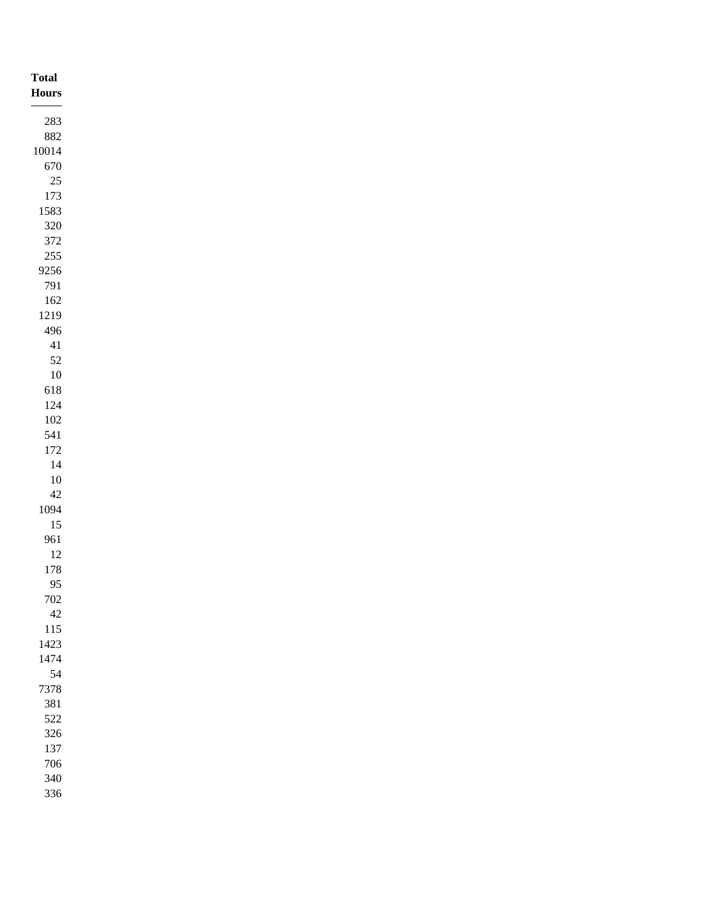| <b>Total</b><br>Hours |
|-----------------------|
| $283\,$               |
| $882\,$               |
| $10014\,$             |
| 670                   |
| $25\,$                |
| 173                   |
| 1583                  |
| $320\,$               |
| $372\,$               |
| $255\,$<br>9256       |
| 791                   |
| $162\,$               |
| 1219                  |
| 496                   |
| $41\,$                |
| $52\,$                |
| $10\,$                |
| 618                   |
| $124\,$               |
| $102\,$               |
| 541                   |
| $172\,$               |
| $14\,$                |
| $10\,$                |
| $42\,$                |
| 1094                  |
| $15\,$                |
| 961                   |
| $12\,$                |
| $178\,$               |
| 95                    |
| $702\,$               |
| $42\,$                |
| $115\,$               |
| 1423                  |
| 1474<br>54            |
| 7378                  |
| $381\,$               |
| 522                   |
| $326\,$               |
| 137                   |
| 706                   |
| $340\,$               |
| 336                   |
|                       |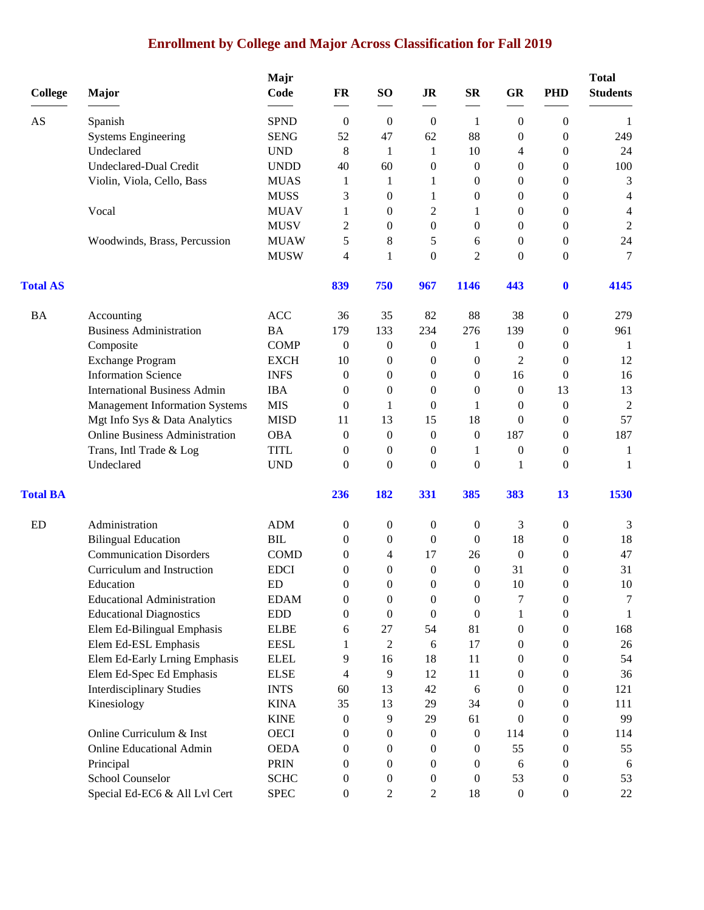# **Enrollment by College and Major Across Classification for Fall 2019**

| <b>College</b>  | Major                                 | Majr<br>Code | FR               | SO <sub>1</sub>  | <b>JR</b>        | <b>SR</b>        | <b>GR</b>        | <b>PHD</b>       | <b>Total</b><br><b>Students</b> |
|-----------------|---------------------------------------|--------------|------------------|------------------|------------------|------------------|------------------|------------------|---------------------------------|
| AS              | Spanish                               | <b>SPND</b>  | $\boldsymbol{0}$ | $\boldsymbol{0}$ | $\boldsymbol{0}$ | 1                | $\boldsymbol{0}$ | 0                | -1                              |
|                 | <b>Systems Engineering</b>            | <b>SENG</b>  | 52               | 47               | 62               | 88               | $\mathbf{0}$     | $\boldsymbol{0}$ | 249                             |
|                 | Undeclared                            | <b>UND</b>   | 8                | 1                | 1                | 10               | 4                | $\boldsymbol{0}$ | 24                              |
|                 | <b>Undeclared-Dual Credit</b>         | <b>UNDD</b>  | 40               | 60               | $\boldsymbol{0}$ | $\boldsymbol{0}$ | $\boldsymbol{0}$ | $\boldsymbol{0}$ | 100                             |
|                 | Violin, Viola, Cello, Bass            | <b>MUAS</b>  | 1                | 1                | 1                | $\theta$         | $\boldsymbol{0}$ | $\boldsymbol{0}$ | 3                               |
|                 |                                       | <b>MUSS</b>  | 3                | $\mathbf{0}$     | 1                | $\theta$         | $\theta$         | $\boldsymbol{0}$ | 4                               |
|                 | Vocal                                 | <b>MUAV</b>  | 1                | $\theta$         | 2                | 1                | $\theta$         | $\boldsymbol{0}$ | 4                               |
|                 |                                       | <b>MUSV</b>  | $\overline{c}$   | $\theta$         | $\boldsymbol{0}$ | $\theta$         | $\mathbf{0}$     | $\boldsymbol{0}$ | $\sqrt{2}$                      |
|                 | Woodwinds, Brass, Percussion          | <b>MUAW</b>  | 5                | 8                | 5                | 6                | $\theta$         | $\boldsymbol{0}$ | 24                              |
|                 |                                       | <b>MUSW</b>  | 4                | 1                | $\boldsymbol{0}$ | $\overline{2}$   | $\overline{0}$   | $\boldsymbol{0}$ | 7                               |
| <b>Total AS</b> |                                       |              | 839              | 750              | 967              | <b>1146</b>      | 443              | $\bf{0}$         | 4145                            |
| <b>BA</b>       | Accounting                            | <b>ACC</b>   | 36               | 35               | 82               | 88               | 38               | $\boldsymbol{0}$ | 279                             |
|                 | <b>Business Administration</b>        | <b>BA</b>    | 179              | 133              | 234              | 276              | 139              | $\boldsymbol{0}$ | 961                             |
|                 | Composite                             | <b>COMP</b>  | $\mathbf{0}$     | $\boldsymbol{0}$ | 0                | 1                | $\boldsymbol{0}$ | $\boldsymbol{0}$ | -1                              |
|                 | <b>Exchange Program</b>               | <b>EXCH</b>  | 10               | $\boldsymbol{0}$ | 0                | $\boldsymbol{0}$ | $\overline{2}$   | $\boldsymbol{0}$ | 12                              |
|                 | <b>Information Science</b>            | <b>INFS</b>  | $\mathbf{0}$     | $\theta$         | 0                | $\theta$         | 16               | $\boldsymbol{0}$ | 16                              |
|                 | <b>International Business Admin</b>   | <b>IBA</b>   | $\mathbf{0}$     | $\theta$         | $\boldsymbol{0}$ | $\theta$         | $\boldsymbol{0}$ | 13               | 13                              |
|                 | <b>Management Information Systems</b> | <b>MIS</b>   | $\mathbf{0}$     | 1                | 0                | 1                | $\theta$         | $\boldsymbol{0}$ | $\overline{2}$                  |
|                 | Mgt Info Sys & Data Analytics         | <b>MISD</b>  | 11               | 13               | 15               | 18               | $\theta$         | $\boldsymbol{0}$ | 57                              |
|                 | <b>Online Business Administration</b> | <b>OBA</b>   | $\boldsymbol{0}$ | $\boldsymbol{0}$ | $\boldsymbol{0}$ | $\boldsymbol{0}$ | 187              | $\boldsymbol{0}$ | 187                             |
|                 | Trans, Intl Trade & Log               | <b>TITL</b>  | 0                | $\boldsymbol{0}$ | 0                | 1                | $\boldsymbol{0}$ | $\boldsymbol{0}$ | 1                               |
|                 | Undeclared                            | <b>UND</b>   | $\theta$         | $\Omega$         | $\theta$         | $\theta$         | 1                | $\theta$         | 1                               |
| <b>Total BA</b> |                                       |              | 236              | 182              | 331              | 385              | 383              | 13               | 1530                            |
| ED              | Administration                        | <b>ADM</b>   | $\boldsymbol{0}$ | $\boldsymbol{0}$ | $\boldsymbol{0}$ | $\mathbf{0}$     | 3                | $\boldsymbol{0}$ | 3                               |
|                 | <b>Bilingual Education</b>            | <b>BIL</b>   | 0                | $\boldsymbol{0}$ | $\boldsymbol{0}$ | $\theta$         | 18               | $\boldsymbol{0}$ | 18                              |
|                 | <b>Communication Disorders</b>        | <b>COMD</b>  | 0                | 4                | 17               | 26               | $\overline{0}$   | $\boldsymbol{0}$ | 47                              |
|                 | Curriculum and Instruction            | <b>EDCI</b>  | $\overline{0}$   | $\mathbf{0}$     | $\boldsymbol{0}$ | $\mathbf{0}$     | 31               | $\boldsymbol{0}$ | 31                              |
|                 | Education                             | ED           | $\boldsymbol{0}$ | $\Omega$         | $\Omega$         | $\boldsymbol{0}$ | 10               | $\overline{0}$   | $10\,$                          |
|                 | <b>Educational Administration</b>     | <b>EDAM</b>  | 0                | $\boldsymbol{0}$ | 0                | $\boldsymbol{0}$ | 7                | $\boldsymbol{0}$ | 7                               |
|                 | <b>Educational Diagnostics</b>        | <b>EDD</b>   | 0                | $\boldsymbol{0}$ | $\boldsymbol{0}$ | $\boldsymbol{0}$ | 1                | $\boldsymbol{0}$ | 1                               |
|                 | Elem Ed-Bilingual Emphasis            | <b>ELBE</b>  | 6                | 27               | 54               | 81               | $\boldsymbol{0}$ | $\boldsymbol{0}$ | 168                             |
|                 | Elem Ed-ESL Emphasis                  | <b>EESL</b>  | 1                | 2                | 6                | 17               | $\theta$         | 0                | 26                              |
|                 | Elem Ed-Early Lrning Emphasis         | <b>ELEL</b>  | 9                | 16               | 18               | 11               | $\mathbf{0}$     | 0                | 54                              |
|                 | Elem Ed-Spec Ed Emphasis              | <b>ELSE</b>  | 4                | 9                | 12               | 11               | $\theta$         | 0                | 36                              |
|                 | <b>Interdisciplinary Studies</b>      | <b>INTS</b>  | 60               | 13               | 42               | 6                | $\mathbf{0}$     | $\boldsymbol{0}$ | 121                             |
|                 | Kinesiology                           | <b>KINA</b>  | 35               | 13               | 29               | 34               | $\boldsymbol{0}$ | $\boldsymbol{0}$ | 111                             |
|                 |                                       | <b>KINE</b>  | $\boldsymbol{0}$ | 9                | 29               | 61               | $\mathbf{0}$     | $\boldsymbol{0}$ | 99                              |
|                 | Online Curriculum & Inst              | <b>OECI</b>  | 0                | $\mathbf{0}$     | 0                | $\theta$         | 114              | 0                | 114                             |
|                 | <b>Online Educational Admin</b>       | <b>OEDA</b>  | 0                | 0                | 0                | $\theta$         | 55               | 0                | 55                              |
|                 | Principal                             | <b>PRIN</b>  | 0                | $\bf{0}$         | 0                | $\theta$         | 6                | 0                | 6                               |
|                 | School Counselor                      | <b>SCHC</b>  | 0                | $\mathbf{0}$     | 0                | $\theta$         | 53               | 0                | 53                              |
|                 | Special Ed-EC6 & All Lvl Cert         | <b>SPEC</b>  | $\boldsymbol{0}$ | $\overline{c}$   | 2                | 18               | $\boldsymbol{0}$ | $\boldsymbol{0}$ | 22                              |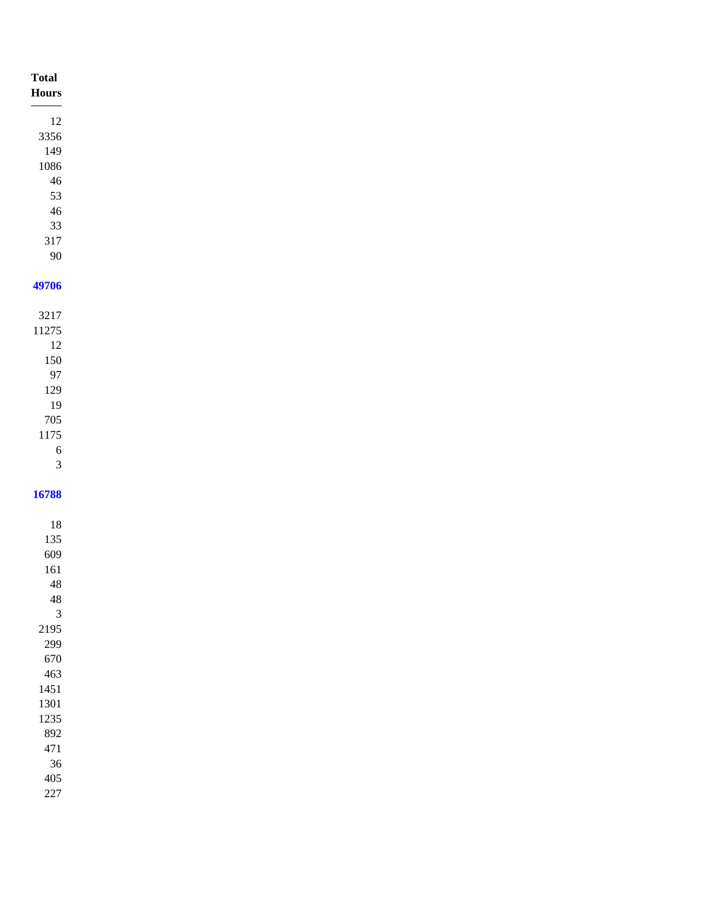| <b>Total</b><br>$\bold{Hours}$ |
|--------------------------------|
| $12\,$                         |
| 3356                           |
| 149                            |
| 1086                           |
| $46\,$                         |
| 53                             |
| $46\,$<br>$33\,$               |
| $317\,$                        |
| $90\,$                         |
|                                |
| 49706                          |
| 3217                           |
| 11275                          |
| $12\,$                         |
| $150\,$                        |
| $\mathbf{97}$                  |
| $129\,$                        |
| 19                             |
| $705\,$                        |
| $1175\,$                       |
| $\sqrt{6}$                     |
| $\sqrt{3}$                     |
| 16788                          |
|                                |
| $18\,$                         |
| 135                            |
| 609                            |
| $161\,$                        |
| $\sqrt{48}$                    |
| $\sqrt{48}$                    |
| $\mathfrak{Z}$                 |
| 2195                           |
| 299                            |
| 670                            |
| 463<br>1451                    |
| 1301                           |
| 1235                           |
| 892                            |
| $471\,$                        |
| $36\,$                         |
| $405\,$                        |
| $227\,$                        |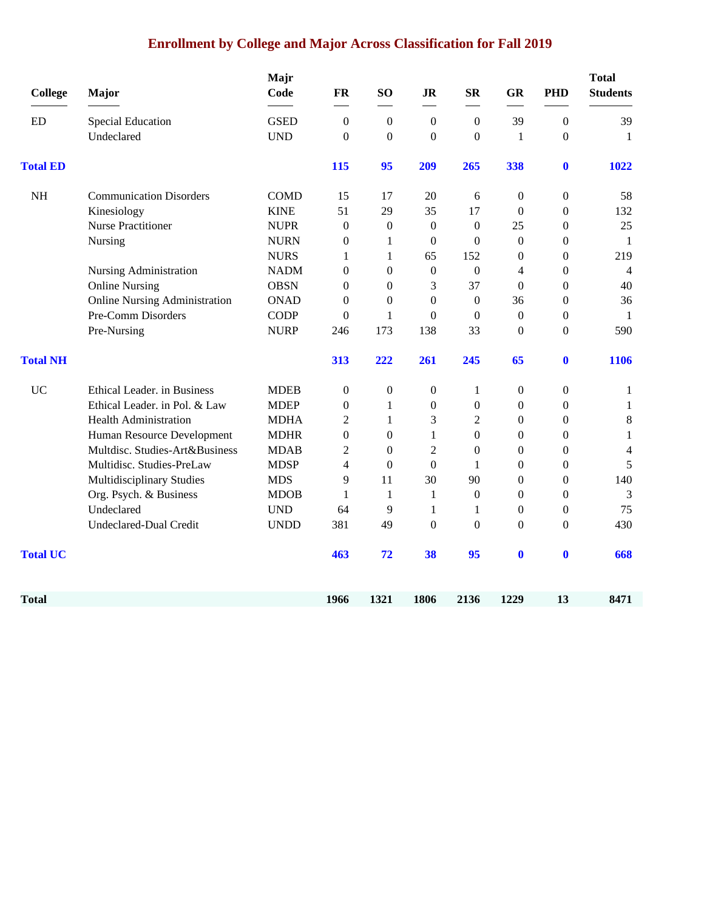### **Enrollment by College and Major Across Classification for Fall 2019**

| <b>College</b>  | Major                                | Majr<br>Code | <b>FR</b>        | SO <sub>1</sub>  | J <sub>R</sub>   | <b>SR</b>        | <b>GR</b>        | <b>PHD</b>       | <b>Total</b><br><b>Students</b> |
|-----------------|--------------------------------------|--------------|------------------|------------------|------------------|------------------|------------------|------------------|---------------------------------|
| ED              | Special Education                    | <b>GSED</b>  | $\boldsymbol{0}$ | $\boldsymbol{0}$ | $\boldsymbol{0}$ | $\boldsymbol{0}$ | 39               | $\boldsymbol{0}$ | 39                              |
|                 | Undeclared                           | <b>UND</b>   | $\mathbf{0}$     | $\boldsymbol{0}$ | $\boldsymbol{0}$ | $\mathbf{0}$     | 1                | $\theta$         | -1                              |
| <b>Total ED</b> |                                      |              | 115              | 95               | 209              | 265              | 338              | $\bf{0}$         | 1022                            |
| $\rm NH$        | <b>Communication Disorders</b>       | <b>COMD</b>  | 15               | 17               | 20               | 6                | $\boldsymbol{0}$ | $\boldsymbol{0}$ | 58                              |
|                 | Kinesiology                          | <b>KINE</b>  | 51               | 29               | 35               | 17               | $\boldsymbol{0}$ | $\boldsymbol{0}$ | 132                             |
|                 | <b>Nurse Practitioner</b>            | <b>NUPR</b>  | $\boldsymbol{0}$ | $\boldsymbol{0}$ | $\boldsymbol{0}$ | $\boldsymbol{0}$ | 25               | $\boldsymbol{0}$ | 25                              |
|                 | Nursing                              | <b>NURN</b>  | $\theta$         | 1                | $\mathbf{0}$     | $\Omega$         | $\mathbf{0}$     | $\boldsymbol{0}$ | 1                               |
|                 |                                      | <b>NURS</b>  | $\mathbf{1}$     | $\mathbf{1}$     | 65               | 152              | $\boldsymbol{0}$ | $\boldsymbol{0}$ | 219                             |
|                 | Nursing Administration               | <b>NADM</b>  | $\boldsymbol{0}$ | $\boldsymbol{0}$ | $\boldsymbol{0}$ | $\boldsymbol{0}$ | 4                | $\boldsymbol{0}$ | $\overline{4}$                  |
|                 | <b>Online Nursing</b>                | <b>OBSN</b>  | $\boldsymbol{0}$ | $\boldsymbol{0}$ | 3                | 37               | $\boldsymbol{0}$ | $\boldsymbol{0}$ | 40                              |
|                 | <b>Online Nursing Administration</b> | <b>ONAD</b>  | $\boldsymbol{0}$ | $\boldsymbol{0}$ | $\boldsymbol{0}$ | $\boldsymbol{0}$ | 36               | $\boldsymbol{0}$ | 36                              |
|                 | Pre-Comm Disorders                   | <b>CODP</b>  | $\boldsymbol{0}$ | $\mathbf{1}$     | $\boldsymbol{0}$ | $\boldsymbol{0}$ | $\boldsymbol{0}$ | $\boldsymbol{0}$ | $\mathbf{1}$                    |
|                 | Pre-Nursing                          | <b>NURP</b>  | 246              | 173              | 138              | 33               | $\boldsymbol{0}$ | $\boldsymbol{0}$ | 590                             |
| <b>Total NH</b> |                                      |              | 313              | 222              | 261              | 245              | 65               | $\bf{0}$         | 1106                            |
| <b>UC</b>       | Ethical Leader. in Business          | <b>MDEB</b>  | $\boldsymbol{0}$ | $\boldsymbol{0}$ | $\boldsymbol{0}$ | 1                | $\boldsymbol{0}$ | $\boldsymbol{0}$ | $\mathbf{1}$                    |
|                 | Ethical Leader. in Pol. & Law        | <b>MDEP</b>  | $\boldsymbol{0}$ | 1                | $\boldsymbol{0}$ | $\boldsymbol{0}$ | $\boldsymbol{0}$ | $\theta$         | $\mathbf{1}$                    |
|                 | <b>Health Administration</b>         | <b>MDHA</b>  | $\overline{2}$   | 1                | 3                | $\overline{2}$   | $\boldsymbol{0}$ | $\boldsymbol{0}$ | $\,8$                           |
|                 | Human Resource Development           | <b>MDHR</b>  | $\mathbf{0}$     | $\boldsymbol{0}$ | $\mathbf{1}$     | $\boldsymbol{0}$ | $\boldsymbol{0}$ | $\boldsymbol{0}$ | $\mathbf{1}$                    |
|                 | Multdisc. Studies-Art&Business       | <b>MDAB</b>  | $\overline{2}$   | $\boldsymbol{0}$ | $\overline{2}$   | $\boldsymbol{0}$ | $\boldsymbol{0}$ | $\boldsymbol{0}$ | $\overline{4}$                  |
|                 | Multidisc. Studies-PreLaw            | <b>MDSP</b>  | 4                | $\boldsymbol{0}$ | $\boldsymbol{0}$ | 1                | $\boldsymbol{0}$ | $\boldsymbol{0}$ | 5                               |
|                 | Multidisciplinary Studies            | <b>MDS</b>   | 9                | 11               | 30               | 90               | $\boldsymbol{0}$ | $\boldsymbol{0}$ | 140                             |
|                 | Org. Psych. & Business               | <b>MDOB</b>  | $\mathbf{1}$     | 1                | 1                | $\boldsymbol{0}$ | $\boldsymbol{0}$ | $\boldsymbol{0}$ | 3                               |
|                 | Undeclared                           | <b>UND</b>   | 64               | 9                | 1                | 1                | $\mathbf{0}$     | $\boldsymbol{0}$ | 75                              |
|                 | <b>Undeclared-Dual Credit</b>        | <b>UNDD</b>  | 381              | 49               | $\boldsymbol{0}$ | $\boldsymbol{0}$ | $\boldsymbol{0}$ | $\boldsymbol{0}$ | 430                             |
| <b>Total UC</b> |                                      |              | 463              | 72               | 38               | 95               | $\bf{0}$         | $\boldsymbol{0}$ | 668                             |
| <b>Total</b>    |                                      |              | 1966             | 1321             | 1806             | 2136             | 1229             | 13               | 8471                            |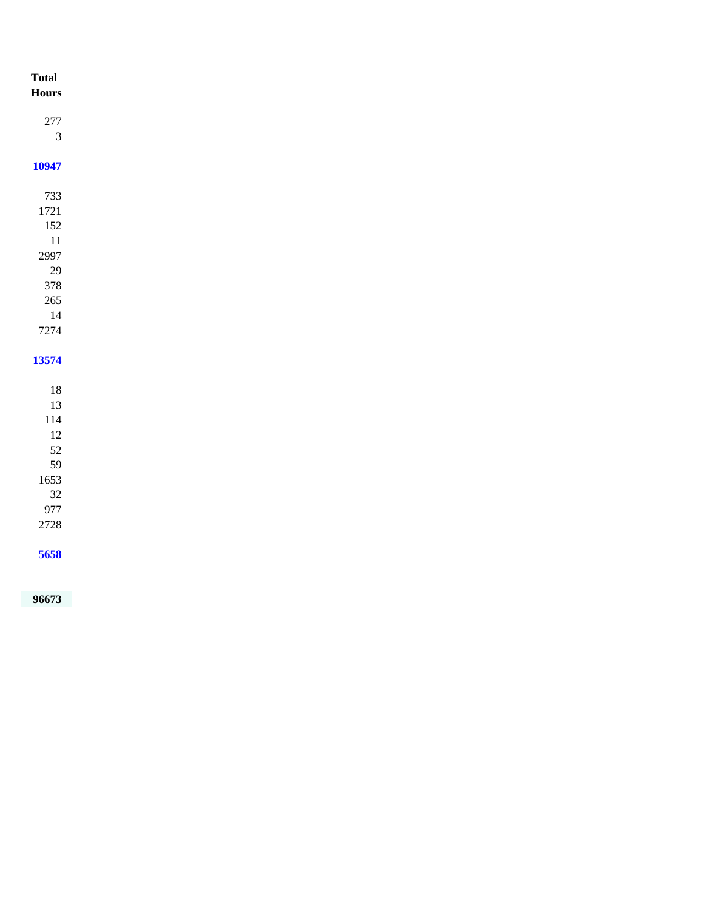| <b>Total</b><br>$\bold{Hours}$ |
|--------------------------------|
|                                |
| $277\,$                        |
| $\overline{3}$                 |
| 10947                          |
| 733                            |
| 1721                           |
| 152                            |
| $11\,$                         |
| 2997                           |
| $29\,$                         |
| 378                            |
| $265\,$                        |
| $14\,$                         |
| 7274                           |
|                                |
| 13574                          |
|                                |
| $18\,$                         |
| 13                             |
| 114                            |
| $12\,$                         |
| 52                             |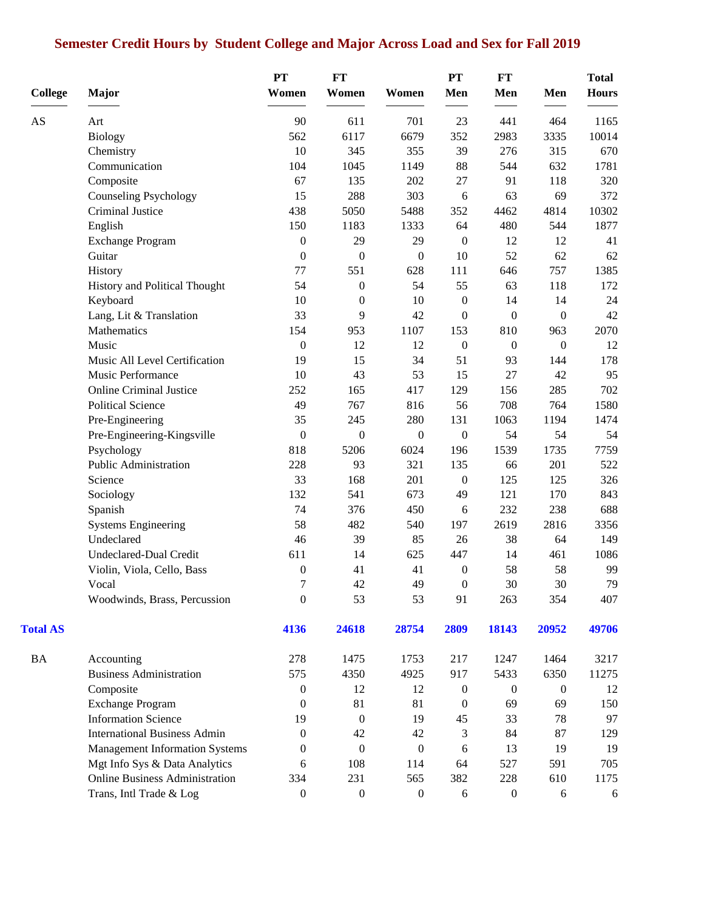# **Semester Credit Hours by Student College and Major Across Load and Sex for Fall 2019**

| <b>College</b>  | Major                                 | <b>PT</b><br>Women | <b>FT</b><br>Women | Women            | <b>PT</b><br>Men | <b>FT</b><br>Men | Men              | <b>Total</b><br><b>Hours</b> |
|-----------------|---------------------------------------|--------------------|--------------------|------------------|------------------|------------------|------------------|------------------------------|
|                 |                                       |                    |                    |                  |                  |                  |                  |                              |
| AS              | Art                                   | 90                 | 611                | 701              | 23               | 441              | 464              | 1165                         |
|                 | <b>Biology</b>                        | 562                | 6117               | 6679             | 352              | 2983             | 3335             | 10014                        |
|                 | Chemistry                             | 10                 | 345                | 355              | 39               | 276              | 315              | 670                          |
|                 | Communication                         | 104                | 1045               | 1149             | 88               | 544              | 632              | 1781                         |
|                 | Composite                             | 67                 | 135                | 202              | 27               | 91               | 118              | 320                          |
|                 | Counseling Psychology                 | 15                 | 288                | 303              | 6                | 63               | 69               | 372                          |
|                 | Criminal Justice                      | 438                | 5050               | 5488             | 352              | 4462             | 4814             | 10302                        |
|                 | English                               | 150                | 1183               | 1333             | 64               | 480              | 544              | 1877                         |
|                 | <b>Exchange Program</b>               | $\boldsymbol{0}$   | 29                 | 29               | $\boldsymbol{0}$ | 12               | 12               | 41                           |
|                 | Guitar                                | $\boldsymbol{0}$   | $\boldsymbol{0}$   | $\boldsymbol{0}$ | 10               | 52               | 62               | 62                           |
|                 | History                               | 77                 | 551                | 628              | 111              | 646              | 757              | 1385                         |
|                 | History and Political Thought         | 54                 | $\boldsymbol{0}$   | 54               | 55               | 63               | 118              | 172                          |
|                 | Keyboard                              | 10                 | $\boldsymbol{0}$   | 10               | $\boldsymbol{0}$ | 14               | 14               | 24                           |
|                 | Lang, Lit & Translation               | 33                 | 9                  | 42               | $\boldsymbol{0}$ | $\boldsymbol{0}$ | $\boldsymbol{0}$ | 42                           |
|                 | Mathematics                           | 154                | 953                | 1107             | 153              | 810              | 963              | 2070                         |
|                 | Music                                 | $\boldsymbol{0}$   | 12                 | 12               | $\boldsymbol{0}$ | $\boldsymbol{0}$ | $\boldsymbol{0}$ | 12                           |
|                 | Music All Level Certification         | 19                 | 15                 | 34               | 51               | 93               | 144              | 178                          |
|                 | Music Performance                     | 10                 | 43                 | 53               | 15               | 27               | 42               | 95                           |
|                 | <b>Online Criminal Justice</b>        | 252                | 165                | 417              | 129              | 156              | 285              | 702                          |
|                 | <b>Political Science</b>              | 49                 | 767                | 816              | 56               | 708              | 764              | 1580                         |
|                 | Pre-Engineering                       | 35                 | 245                | 280              | 131              | 1063             | 1194             | 1474                         |
|                 | Pre-Engineering-Kingsville            | $\boldsymbol{0}$   | $\boldsymbol{0}$   | $\overline{0}$   | $\boldsymbol{0}$ | 54               | 54               | 54                           |
|                 | Psychology                            | 818                | 5206               | 6024             | 196              | 1539             | 1735             | 7759                         |
|                 | Public Administration                 | 228                | 93                 | 321              | 135              | 66               | 201              | 522                          |
|                 | Science                               | 33                 | 168                | 201              | $\boldsymbol{0}$ | 125              | 125              | 326                          |
|                 | Sociology                             | 132                | 541                | 673              | 49               | 121              | 170              | 843                          |
|                 | Spanish                               | 74                 | 376                | 450              | 6                | 232              | 238              | 688                          |
|                 | <b>Systems Engineering</b>            | 58                 | 482                | 540              | 197              | 2619             | 2816             | 3356                         |
|                 | Undeclared                            | 46                 | 39                 | 85               | 26               | 38               | 64               | 149                          |
|                 | Undeclared-Dual Credit                | 611                | 14                 | 625              | 447              | 14               | 461              | 1086                         |
|                 | Violin, Viola, Cello, Bass            | $\boldsymbol{0}$   | 41                 | 41               | $\boldsymbol{0}$ | 58               | 58               | 99                           |
|                 | Vocal                                 | $\boldsymbol{7}$   | 42                 | 49               | $\boldsymbol{0}$ | $30\,$           | 30               | 79                           |
|                 | Woodwinds, Brass, Percussion          | $\boldsymbol{0}$   | 53                 | 53               | 91               | 263              | 354              | 407                          |
| <b>Total AS</b> |                                       | 4136               | 24618              | 28754            | 2809             | 18143            | 20952            | 49706                        |
| <b>BA</b>       | Accounting                            | 278                | 1475               | 1753             | 217              | 1247             | 1464             | 3217                         |
|                 | <b>Business Administration</b>        | 575                | 4350               | 4925             | 917              | 5433             | 6350             | 11275                        |
|                 | Composite                             | $\boldsymbol{0}$   | 12                 | 12               | $\boldsymbol{0}$ | $\boldsymbol{0}$ | $\boldsymbol{0}$ | 12                           |
|                 | <b>Exchange Program</b>               | $\boldsymbol{0}$   | 81                 | 81               | $\boldsymbol{0}$ | 69               | 69               | 150                          |
|                 | <b>Information Science</b>            | 19                 | $\boldsymbol{0}$   | 19               | 45               | 33               | 78               | 97                           |
|                 | <b>International Business Admin</b>   | $\overline{0}$     | 42                 | 42               | 3                | 84               | 87               | 129                          |
|                 | <b>Management Information Systems</b> | 0                  | $\boldsymbol{0}$   | $\boldsymbol{0}$ | 6                | 13               | 19               | 19                           |
|                 | Mgt Info Sys & Data Analytics         | 6                  | 108                | 114              | 64               | 527              | 591              | 705                          |
|                 | <b>Online Business Administration</b> | 334                | 231                | 565              | 382              | 228              | 610              | 1175                         |
|                 | Trans, Intl Trade & Log               | $\boldsymbol{0}$   | $\boldsymbol{0}$   | $\boldsymbol{0}$ | 6                | $\boldsymbol{0}$ | 6                | 6                            |
|                 |                                       |                    |                    |                  |                  |                  |                  |                              |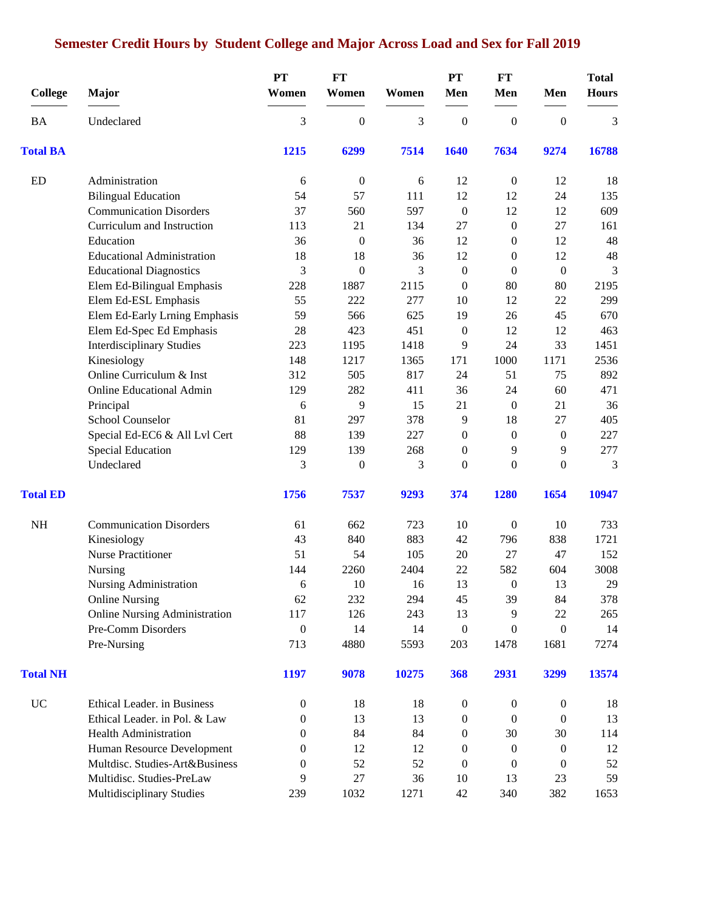# **Semester Credit Hours by Student College and Major Across Load and Sex for Fall 2019**

| <b>College</b>  | <b>Major</b>                         | <b>PT</b><br>Women | <b>FT</b><br>Women | Women | <b>PT</b><br>Men | FT<br>Men        | Men                                                                                                                                                             | <b>Total</b><br><b>Hours</b> |
|-----------------|--------------------------------------|--------------------|--------------------|-------|------------------|------------------|-----------------------------------------------------------------------------------------------------------------------------------------------------------------|------------------------------|
| <b>BA</b>       | Undeclared                           | 3                  | $\boldsymbol{0}$   | 3     | $\boldsymbol{0}$ | $\boldsymbol{0}$ | $\boldsymbol{0}$                                                                                                                                                | 3                            |
| <b>Total BA</b> |                                      | 1215               | 6299               | 7514  | 1640             | 7634             | 9274                                                                                                                                                            | 16788                        |
| <b>ED</b>       | Administration                       | 6                  | $\boldsymbol{0}$   | 6     | 12               | $\boldsymbol{0}$ | 12                                                                                                                                                              | 18                           |
|                 | <b>Bilingual Education</b>           | 54                 | 57                 | 111   | 12               | 12               | 24                                                                                                                                                              | 135                          |
|                 | <b>Communication Disorders</b>       | 37                 | 560                | 597   | $\boldsymbol{0}$ | 12               | 12                                                                                                                                                              | 609                          |
|                 | Curriculum and Instruction           | 113                | 21                 | 134   | 27               | $\boldsymbol{0}$ | 27                                                                                                                                                              | 161                          |
|                 | Education                            | 36                 | $\boldsymbol{0}$   | 36    | 12               | $\boldsymbol{0}$ | 12                                                                                                                                                              | 48                           |
|                 | <b>Educational Administration</b>    | 18                 | 18                 | 36    | 12               | $\boldsymbol{0}$ | 12                                                                                                                                                              | 48                           |
|                 | <b>Educational Diagnostics</b>       | 3                  | $\mathbf{0}$       | 3     | $\boldsymbol{0}$ | $\theta$         | $\boldsymbol{0}$                                                                                                                                                | 3                            |
|                 | Elem Ed-Bilingual Emphasis           | 228                | 1887               | 2115  | $\boldsymbol{0}$ | 80               | 80                                                                                                                                                              | 2195                         |
|                 | Elem Ed-ESL Emphasis                 | 55                 | 222                | 277   | 10               | 12               | 22                                                                                                                                                              | 299                          |
|                 | Elem Ed-Early Lrning Emphasis        | 59                 | 566                | 625   | 19               | 26               | 45                                                                                                                                                              | 670                          |
|                 | Elem Ed-Spec Ed Emphasis             | 28                 | 423                | 451   | $\boldsymbol{0}$ | 12               | 12                                                                                                                                                              | 463                          |
|                 | <b>Interdisciplinary Studies</b>     | 223                | 1195               | 1418  | 9                | 24               | 33                                                                                                                                                              | 1451                         |
|                 | Kinesiology                          | 148                | 1217               | 1365  | 171              | 1000             | 1171                                                                                                                                                            | 2536                         |
|                 | Online Curriculum & Inst             | 312                | 505                | 817   | 24               | 51               | 75                                                                                                                                                              | 892                          |
|                 | <b>Online Educational Admin</b>      | 129                | 282                | 411   | 36               | 24               | 60                                                                                                                                                              | 471                          |
|                 | Principal                            | 6                  | 9                  | 15    | 21               | $\boldsymbol{0}$ | 21                                                                                                                                                              | 36                           |
|                 | School Counselor                     | 81                 | 297                | 378   | 9                | 18               | 27                                                                                                                                                              | 405                          |
|                 | Special Ed-EC6 & All Lvl Cert        | 88                 | 139                | 227   | $\boldsymbol{0}$ | $\boldsymbol{0}$ | $\boldsymbol{0}$                                                                                                                                                | 227                          |
|                 | <b>Special Education</b>             | 129                | 139                | 268   | $\mathbf{0}$     | 9                | 9                                                                                                                                                               | 277                          |
|                 | Undeclared                           | 3                  | $\boldsymbol{0}$   | 3     | 0                | $\mathbf{0}$     | $\overline{0}$                                                                                                                                                  | 3                            |
| <b>Total ED</b> |                                      | 1756               | 7537               | 9293  | 374              | 1280             | 1654                                                                                                                                                            | 10947                        |
| NH              | <b>Communication Disorders</b>       | 61                 | 662                | 723   | 10               | $\boldsymbol{0}$ | 10                                                                                                                                                              | 733                          |
|                 | Kinesiology                          | 43                 | 840                | 883   | 42               | 796              | 838<br>47<br>604<br>13<br>84<br>22<br>$\boldsymbol{0}$<br>1681<br>3299<br>$\boldsymbol{0}$<br>$\overline{0}$<br>30<br>$\boldsymbol{0}$<br>$\theta$<br>23<br>382 | 1721                         |
|                 | <b>Nurse Practitioner</b>            | 51                 | 54                 | 105   | 20               | 27               |                                                                                                                                                                 | 152                          |
|                 | Nursing                              | 144                | 2260               | 2404  | 22               | 582              |                                                                                                                                                                 | 3008                         |
|                 | Nursing Administration               | $\boldsymbol{6}$   | 10                 | 16    | 13               | $\boldsymbol{0}$ |                                                                                                                                                                 | 29                           |
|                 | <b>Online Nursing</b>                | 62                 | 232                | 294   | 45               | 39               |                                                                                                                                                                 | 378                          |
|                 | <b>Online Nursing Administration</b> | 117                | 126                | 243   | 13               | 9                |                                                                                                                                                                 | 265                          |
|                 | Pre-Comm Disorders                   | $\boldsymbol{0}$   | 14                 | 14    | $\boldsymbol{0}$ | $\mathbf{0}$     |                                                                                                                                                                 | 14                           |
|                 | Pre-Nursing                          | 713                | 4880               | 5593  | 203              | 1478             |                                                                                                                                                                 | 7274                         |
| <b>Total NH</b> |                                      | 1197               | 9078               | 10275 | 368              | 2931             |                                                                                                                                                                 | 13574                        |
| <b>UC</b>       | Ethical Leader. in Business          | $\boldsymbol{0}$   | 18                 | 18    | $\boldsymbol{0}$ | $\boldsymbol{0}$ |                                                                                                                                                                 | 18                           |
|                 | Ethical Leader. in Pol. & Law        | $\mathbf{0}$       | 13                 | 13    | 0                | $\boldsymbol{0}$ |                                                                                                                                                                 | 13                           |
|                 | <b>Health Administration</b>         | 0                  | 84                 | 84    | $\boldsymbol{0}$ | 30               |                                                                                                                                                                 | 114                          |
|                 | Human Resource Development           | 0                  | 12                 | 12    | 0                | $\boldsymbol{0}$ |                                                                                                                                                                 | 12                           |
|                 | Multdisc. Studies-Art&Business       | $\theta$           | 52                 | 52    | 0                | $\mathbf{0}$     |                                                                                                                                                                 | 52                           |
|                 | Multidisc. Studies-PreLaw            | 9                  | 27                 | 36    | 10               | 13               |                                                                                                                                                                 | 59                           |
|                 | <b>Multidisciplinary Studies</b>     | 239                | 1032               | 1271  | 42               | 340              |                                                                                                                                                                 | 1653                         |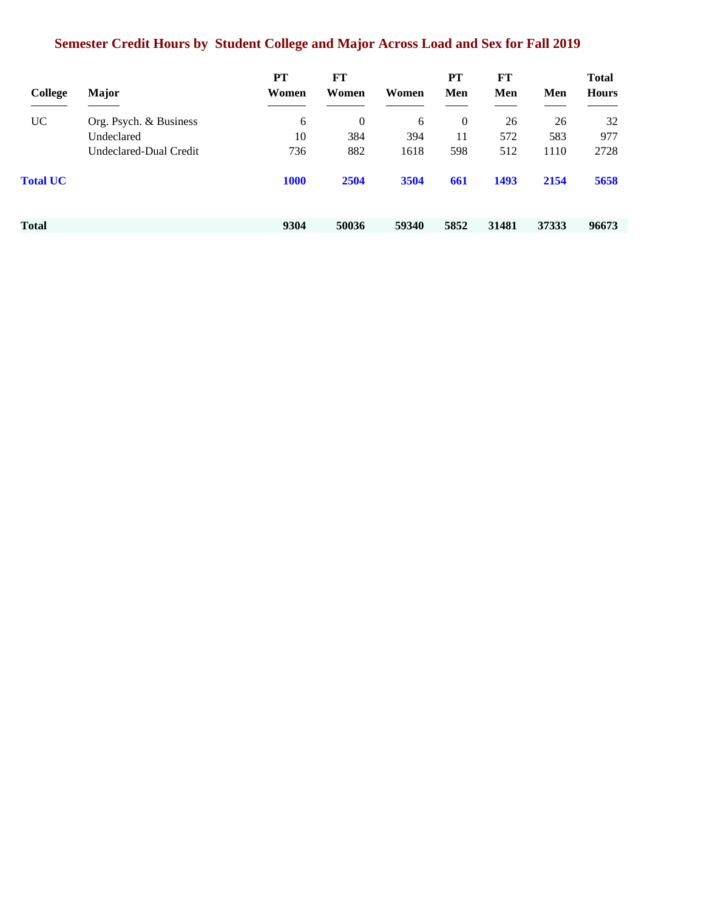# **Semester Credit Hours by Student College and Major Across Load and Sex for Fall 2019**

|                 |                        | PT          | FT           |       | PT   | $FT$  |       | <b>Total</b> |
|-----------------|------------------------|-------------|--------------|-------|------|-------|-------|--------------|
| College         | <b>Major</b>           | Women       | Women        | Women | Men  | Men   | Men   | <b>Hours</b> |
| <b>UC</b>       | Org. Psych. & Business | 6           | $\mathbf{0}$ | 6     | 0    | 26    | 26    | 32           |
|                 | Undeclared             | 10          | 384          | 394   | 11   | 572   | 583   | 977          |
|                 | Undeclared-Dual Credit | 736         | 882          | 1618  | 598  | 512   | 1110  | 2728         |
| <b>Total UC</b> |                        | <b>1000</b> | 2504         | 3504  | 661  | 1493  | 2154  | 5658         |
|                 |                        |             |              |       |      |       |       |              |
| Total           |                        | 9304        | 50036        | 59340 | 5852 | 31481 | 37333 | 96673        |
|                 |                        |             |              |       |      |       |       |              |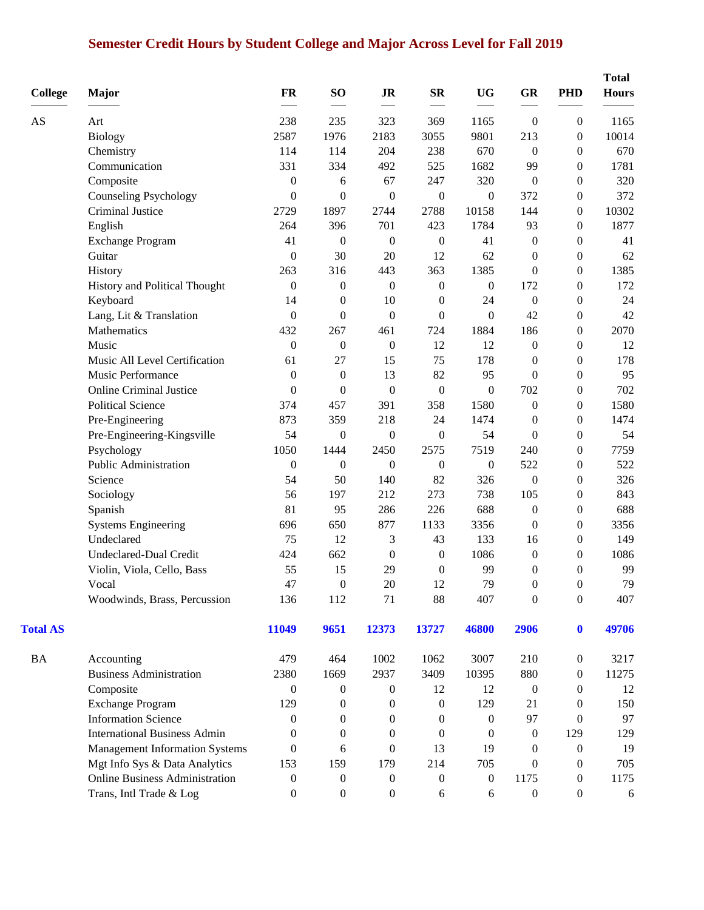# **Semester Credit Hours by Student College and Major Across Level for Fall 2019**

| <b>College</b>  | Major                                 | <b>FR</b>        | SO <sub>1</sub>  | <b>JR</b>        | $S_{\mathbf{R}}$ | <b>UG</b>        | GR               | <b>PHD</b>       | <b>Total</b><br><b>Hours</b> |
|-----------------|---------------------------------------|------------------|------------------|------------------|------------------|------------------|------------------|------------------|------------------------------|
| AS              | Art                                   | 238              | 235              | 323              | 369              | 1165             | $\boldsymbol{0}$ | $\boldsymbol{0}$ | 1165                         |
|                 | <b>Biology</b>                        | 2587             | 1976             | 2183             | 3055             | 9801             | 213              | $\boldsymbol{0}$ | 10014                        |
|                 | Chemistry                             | 114              | 114              | 204              | 238              | 670              | $\boldsymbol{0}$ | $\Omega$         | 670                          |
|                 | Communication                         | 331              | 334              | 492              | 525              | 1682             | 99               | $\overline{0}$   | 1781                         |
|                 | Composite                             | $\boldsymbol{0}$ | 6                | 67               | 247              | 320              | $\boldsymbol{0}$ | $\theta$         | 320                          |
|                 | <b>Counseling Psychology</b>          | $\boldsymbol{0}$ | $\boldsymbol{0}$ | $\overline{0}$   | $\boldsymbol{0}$ | $\boldsymbol{0}$ | 372              | $\overline{0}$   | 372                          |
|                 | Criminal Justice                      | 2729             | 1897             | 2744             | 2788             | 10158            | 144              | $\boldsymbol{0}$ | 10302                        |
|                 | English                               | 264              | 396              | 701              | 423              | 1784             | 93               | $\overline{0}$   | 1877                         |
|                 | <b>Exchange Program</b>               | 41               | $\boldsymbol{0}$ | $\boldsymbol{0}$ | $\boldsymbol{0}$ | 41               | $\boldsymbol{0}$ | $\overline{0}$   | 41                           |
|                 | Guitar                                | $\boldsymbol{0}$ | 30               | 20               | 12               | 62               | $\boldsymbol{0}$ | $\boldsymbol{0}$ | 62                           |
|                 | History                               | 263              | 316              | 443              | 363              | 1385             | $\boldsymbol{0}$ | $\boldsymbol{0}$ | 1385                         |
|                 | History and Political Thought         | $\theta$         | $\overline{0}$   | $\overline{0}$   | $\mathbf{0}$     | $\mathbf{0}$     | 172              | $\overline{0}$   | 172                          |
|                 | Keyboard                              | 14               | 0                | 10               | $\boldsymbol{0}$ | 24               | $\boldsymbol{0}$ | $\boldsymbol{0}$ | 24                           |
|                 | Lang, Lit & Translation               | $\mathbf{0}$     | $\boldsymbol{0}$ | $\mathbf{0}$     | $\boldsymbol{0}$ | $\mathbf{0}$     | 42               | $\boldsymbol{0}$ | 42                           |
|                 | Mathematics                           | 432              | 267              | 461              | 724              | 1884             | 186              | $\overline{0}$   | 2070                         |
|                 | Music                                 | $\boldsymbol{0}$ | $\boldsymbol{0}$ | $\boldsymbol{0}$ | 12               | 12               | $\boldsymbol{0}$ | $\boldsymbol{0}$ | 12                           |
|                 | Music All Level Certification         | 61               | 27               | 15               | 75               | 178              | $\boldsymbol{0}$ | $\overline{0}$   | 178                          |
|                 | Music Performance                     | $\theta$         | $\overline{0}$   | 13               | 82               | 95               | $\mathbf{0}$     | $\overline{0}$   | 95                           |
|                 | <b>Online Criminal Justice</b>        | $\boldsymbol{0}$ | $\boldsymbol{0}$ | $\boldsymbol{0}$ | $\boldsymbol{0}$ | $\boldsymbol{0}$ | 702              | $\boldsymbol{0}$ | 702                          |
|                 | <b>Political Science</b>              | 374              | 457              | 391              | 358              | 1580             | $\boldsymbol{0}$ | $\boldsymbol{0}$ | 1580                         |
|                 | Pre-Engineering                       | 873              | 359              | 218              | 24               | 1474             | $\boldsymbol{0}$ | $\boldsymbol{0}$ | 1474                         |
|                 | Pre-Engineering-Kingsville            | 54               | $\boldsymbol{0}$ | $\boldsymbol{0}$ | $\boldsymbol{0}$ | 54               | $\boldsymbol{0}$ | $\boldsymbol{0}$ | 54                           |
|                 | Psychology                            | 1050             | 1444             | 2450             | 2575             | 7519             | 240              | $\boldsymbol{0}$ | 7759                         |
|                 | Public Administration                 | $\theta$         | $\overline{0}$   | $\overline{0}$   | $\boldsymbol{0}$ | $\mathbf{0}$     | 522              | $\overline{0}$   | 522                          |
|                 | Science                               | 54               | 50               | 140              | 82               | 326              | $\boldsymbol{0}$ | $\boldsymbol{0}$ | 326                          |
|                 | Sociology                             | 56               | 197              | 212              | 273              | 738              | 105              | $\overline{0}$   | 843                          |
|                 | Spanish                               | 81               | 95               | 286              | 226              | 688              | $\boldsymbol{0}$ | $\overline{0}$   | 688                          |
|                 | <b>Systems Engineering</b>            | 696              | 650              | 877              | 1133             | 3356             | $\boldsymbol{0}$ | $\overline{0}$   | 3356                         |
|                 | Undeclared                            | 75               | 12               | 3                | 43               | 133              | 16               | $\theta$         | 149                          |
|                 | Undeclared-Dual Credit                | 424              | 662              | $\boldsymbol{0}$ | $\boldsymbol{0}$ | 1086             | $\boldsymbol{0}$ | $\overline{0}$   | 1086                         |
|                 | Violin, Viola, Cello, Bass            | 55               | 15               | 29               | $\boldsymbol{0}$ | 99               | $\boldsymbol{0}$ | $\overline{0}$   | 99                           |
|                 | Vocal                                 | 47               | $\overline{0}$   | 20               | 12               | 79               | $\boldsymbol{0}$ | $\Omega$         | 79                           |
|                 | Woodwinds, Brass, Percussion          | 136              | 112              | 71               | 88               | 407              | $\boldsymbol{0}$ | $\boldsymbol{0}$ | 407                          |
| <b>Total AS</b> |                                       | 11049            | 9651             | 12373            | 13727            | 46800            | 2906             | $\mathbf 0$      | 49706                        |
| <b>BA</b>       | Accounting                            | 479              | 464              | 1002             | 1062             | 3007             | 210              | $\boldsymbol{0}$ | 3217                         |
|                 | <b>Business Administration</b>        | 2380             | 1669             | 2937             | 3409             | 10395            | 880              | $\boldsymbol{0}$ | 11275                        |
|                 | Composite                             | $\boldsymbol{0}$ | 0                | $\boldsymbol{0}$ | 12               | 12               | $\boldsymbol{0}$ | $\overline{0}$   | 12                           |
|                 | <b>Exchange Program</b>               | 129              | $\theta$         | $\boldsymbol{0}$ | $\boldsymbol{0}$ | 129              | 21               | $\boldsymbol{0}$ | 150                          |
|                 | <b>Information Science</b>            | $\mathbf{0}$     | $\theta$         | $\mathbf{0}$     | $\mathbf{0}$     | $\mathbf{0}$     | 97               | $\Omega$         | 97                           |
|                 | <b>International Business Admin</b>   | $\theta$         | $\overline{0}$   | $\mathbf{0}$     | $\mathbf{0}$     | $\mathbf{0}$     | $\boldsymbol{0}$ | 129              | 129                          |
|                 | <b>Management Information Systems</b> | $\boldsymbol{0}$ | 6                | $\boldsymbol{0}$ | 13               | 19               | $\boldsymbol{0}$ | $\overline{0}$   | 19                           |
|                 | Mgt Info Sys & Data Analytics         | 153              | 159              | 179              | 214              | 705              | $\mathbf{0}$     | $\overline{0}$   | 705                          |
|                 | <b>Online Business Administration</b> | $\boldsymbol{0}$ | $\boldsymbol{0}$ | $\boldsymbol{0}$ | $\boldsymbol{0}$ | $\boldsymbol{0}$ | 1175             | $\overline{0}$   | 1175                         |
|                 | Trans, Intl Trade & Log               | $\boldsymbol{0}$ | $\boldsymbol{0}$ | $\boldsymbol{0}$ | 6                | 6                | $\boldsymbol{0}$ | $\boldsymbol{0}$ | 6                            |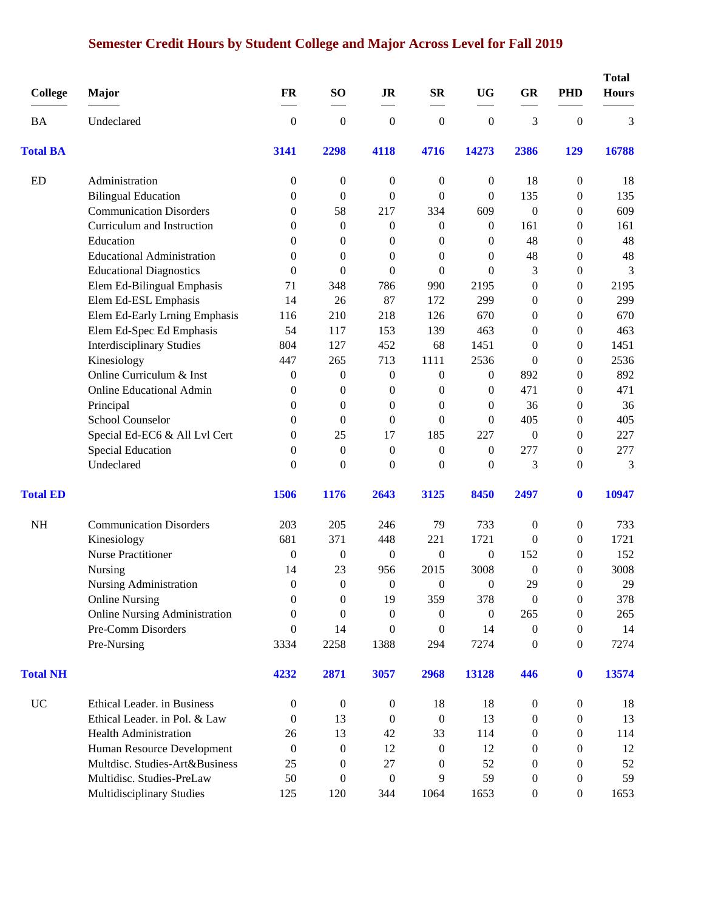# **Semester Credit Hours by Student College and Major Across Level for Fall 2019**

| <b>College</b>  | Major                                | <b>FR</b>        | SO <sub>1</sub>  | <b>JR</b>        | <b>SR</b>        | <b>UG</b>        | <b>GR</b>        | <b>PHD</b>       | <b>Total</b><br><b>Hours</b> |
|-----------------|--------------------------------------|------------------|------------------|------------------|------------------|------------------|------------------|------------------|------------------------------|
| BA              | Undeclared                           | $\boldsymbol{0}$ | $\boldsymbol{0}$ | $\boldsymbol{0}$ | $\boldsymbol{0}$ | $\boldsymbol{0}$ | 3                | $\boldsymbol{0}$ | 3                            |
| <b>Total BA</b> |                                      | 3141             | 2298             | 4118             | 4716             | 14273            | 2386             | 129              | 16788                        |
| <b>ED</b>       | Administration                       | 0                | $\boldsymbol{0}$ | $\boldsymbol{0}$ | $\boldsymbol{0}$ | $\boldsymbol{0}$ | 18               | 0                | 18                           |
|                 | <b>Bilingual Education</b>           | 0                | $\boldsymbol{0}$ | $\boldsymbol{0}$ | 0                | $\theta$         | 135              | 0                | 135                          |
|                 | <b>Communication Disorders</b>       | 0                | 58               | 217              | 334              | 609              | $\boldsymbol{0}$ | 0                | 609                          |
|                 | Curriculum and Instruction           | 0                | $\mathbf{0}$     | $\mathbf{0}$     | 0                | $\theta$         | 161              | 0                | 161                          |
|                 | Education                            | $\theta$         | $\theta$         | $\overline{0}$   | 0                | $\theta$         | 48               | 0                | 48                           |
|                 | <b>Educational Administration</b>    | 0                | $\mathbf{0}$     | $\overline{0}$   | 0                | $\mathbf{0}$     | 48               | 0                | 48                           |
|                 | <b>Educational Diagnostics</b>       | $\overline{0}$   | $\overline{0}$   | $\overline{0}$   | $\overline{0}$   | $\Omega$         | 3                | 0                | 3                            |
|                 | Elem Ed-Bilingual Emphasis           | 71               | 348              | 786              | 990              | 2195             | $\boldsymbol{0}$ | 0                | 2195                         |
|                 | Elem Ed-ESL Emphasis                 | 14               | 26               | 87               | 172              | 299              | $\boldsymbol{0}$ | 0                | 299                          |
|                 | Elem Ed-Early Lrning Emphasis        | 116              | 210              | 218              | 126              | 670              | $\boldsymbol{0}$ | $\theta$         | 670                          |
|                 | Elem Ed-Spec Ed Emphasis             | 54               | 117              | 153              | 139              | 463              | $\boldsymbol{0}$ | 0                | 463                          |
|                 | <b>Interdisciplinary Studies</b>     | 804              | 127              | 452              | 68               | 1451             | $\boldsymbol{0}$ | $\boldsymbol{0}$ | 1451                         |
|                 | Kinesiology                          | 447              | 265              | 713              | 1111             | 2536             | $\theta$         | $\overline{0}$   | 2536                         |
|                 | Online Curriculum & Inst             | 0                | $\boldsymbol{0}$ | $\boldsymbol{0}$ | 0                | 0                | 892              | 0                | 892                          |
|                 | <b>Online Educational Admin</b>      | 0                | $\boldsymbol{0}$ | $\boldsymbol{0}$ | 0                | $\boldsymbol{0}$ | 471              | 0                | 471                          |
|                 | Principal                            | $\theta$         | $\mathbf{0}$     | $\mathbf{0}$     | $\overline{0}$   | $\theta$         | 36               | 0                | 36                           |
|                 | School Counselor                     | 0                | $\mathbf{0}$     | $\overline{0}$   | $\overline{0}$   | $\theta$         | 405              | 0                | 405                          |
|                 | Special Ed-EC6 & All Lvl Cert        | $\overline{0}$   | 25               | 17               | 185              | 227              | $\boldsymbol{0}$ | $\boldsymbol{0}$ | 227                          |
|                 | Special Education                    | $\overline{0}$   | $\mathbf{0}$     | $\overline{0}$   | $\overline{0}$   | $\theta$         | 277              | $\boldsymbol{0}$ | 277                          |
|                 | Undeclared                           | $\overline{0}$   | $\mathbf{0}$     | $\overline{0}$   | $\overline{0}$   | $\mathbf{0}$     | 3                | 0                | 3                            |
| <b>Total ED</b> |                                      | 1506             | 1176             | 2643             | 3125             | 8450             | 2497             | $\bf{0}$         | 10947                        |
| <b>NH</b>       | <b>Communication Disorders</b>       | 203              | 205              | 246              | 79               | 733              | $\boldsymbol{0}$ | 0                | 733                          |
|                 | Kinesiology                          | 681              | 371              | 448              | 221              | 1721             | $\boldsymbol{0}$ | 0                | 1721                         |
|                 | <b>Nurse Practitioner</b>            | $\boldsymbol{0}$ | $\boldsymbol{0}$ | $\boldsymbol{0}$ | $\boldsymbol{0}$ | $\boldsymbol{0}$ | 152              | 0                | 152                          |
|                 | Nursing                              | 14               | 23               | 956              | 2015             | 3008             | $\boldsymbol{0}$ | 0                | 3008                         |
|                 | <b>Nursing Administration</b>        | $\theta$         | $\Omega$         | $\theta$         | $\theta$         | 0                | 29               | $\theta$         | 29                           |
|                 | <b>Online Nursing</b>                | $\mathbf{0}$     | $\mathbf{0}$     | 19               | 359              | 378              | $\boldsymbol{0}$ | $\boldsymbol{0}$ | 378                          |
|                 | <b>Online Nursing Administration</b> | $\overline{0}$   | $\mathbf{0}$     | $\overline{0}$   | 0                | $\boldsymbol{0}$ | 265              | 0                | 265                          |
|                 | Pre-Comm Disorders                   | 0                | 14               | $\mathbf{0}$     | $\boldsymbol{0}$ | 14               | $\boldsymbol{0}$ | 0                | 14                           |
|                 | Pre-Nursing                          | 3334             | 2258             | 1388             | 294              | 7274             | $\boldsymbol{0}$ | $\boldsymbol{0}$ | 7274                         |
| <b>Total NH</b> |                                      | 4232             | 2871             | 3057             | 2968             | 13128            | 446              | $\bf{0}$         | 13574                        |
| <b>UC</b>       | Ethical Leader. in Business          | $\boldsymbol{0}$ | $\boldsymbol{0}$ | $\boldsymbol{0}$ | 18               | 18               | 0                | $\boldsymbol{0}$ | 18                           |
|                 | Ethical Leader. in Pol. & Law        | 0                | 13               | $\theta$         | $\boldsymbol{0}$ | 13               | $\boldsymbol{0}$ | 0                | 13                           |
|                 | <b>Health Administration</b>         | 26               | 13               | 42               | 33               | 114              | $\boldsymbol{0}$ | 0                | 114                          |
|                 | Human Resource Development           | $\boldsymbol{0}$ | $\boldsymbol{0}$ | 12               | $\boldsymbol{0}$ | 12               | $\boldsymbol{0}$ | 0                | 12                           |
|                 | Multdisc. Studies-Art&Business       | 25               | $\theta$         | 27               | 0                | 52               | 0                | 0                | 52                           |
|                 | Multidisc. Studies-PreLaw            | 50               | $\theta$         | $\overline{0}$   | 9                | 59               | 0                | 0                | 59                           |
|                 | Multidisciplinary Studies            | 125              | 120              | 344              | 1064             | 1653             | $\boldsymbol{0}$ | $\boldsymbol{0}$ | 1653                         |